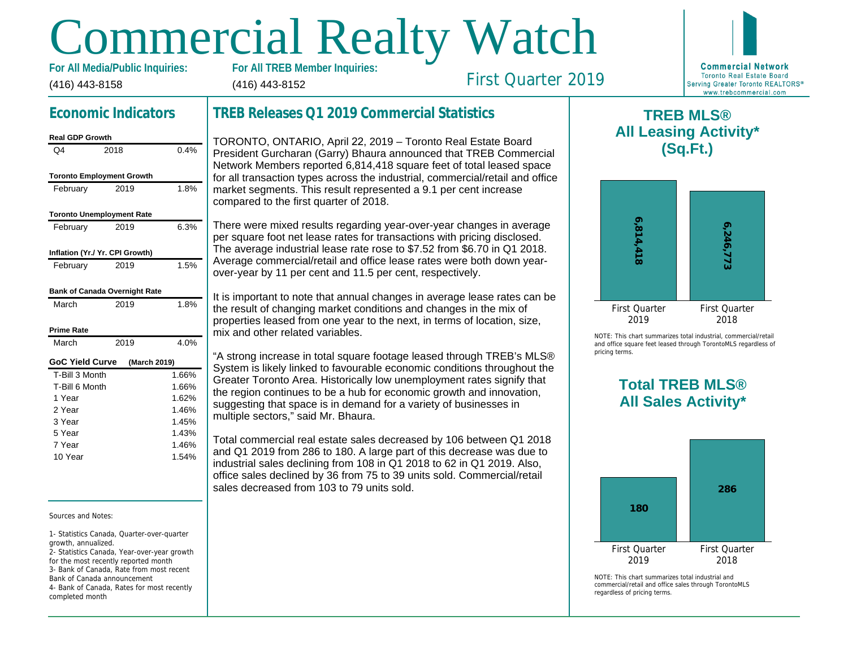# Commercial Realty Watch

**For All Media/Public Inquiries:**

(416) 443-8158

(416) 443-8152

First Quarter 2019



# **Economic Indicators**

#### **Real GDP Growth** Q4 2018 0.4%

| <b>Toronto Employment Growth</b>     |              |       |
|--------------------------------------|--------------|-------|
| February                             | 2019         | 1.8%  |
| <b>Toronto Unemployment Rate</b>     |              |       |
| February                             | 2019         | 6.3%  |
| Inflation (Yr./ Yr. CPI Growth)      |              |       |
| February                             | 2019         | 1.5%  |
| <b>Bank of Canada Overnight Rate</b> |              |       |
| March                                | 2019         | 1.8%  |
| <b>Prime Rate</b>                    |              |       |
| March                                | 2019         | 4.0%  |
| <b>GoC Yield Curve</b>               | (March 2019) |       |
| T-Bill 3 Month                       |              | 1.66% |
| T-Bill 6 Month                       |              | 1.66% |
| 1 Year                               |              | 1.62% |
| 2 Year                               |              | 1.46% |
| 3 Year                               |              | 1.45% |
| 5 Year                               |              | 1.43% |
| 7 Year                               |              | 1.46% |
| 10 Year                              |              | 1.54% |

#### Sources and Notes:

1- Statistics Canada, Quarter-over-quarter growth, annualized. 2- Statistics Canada, Year-over-year growth

for the most recently reported month 3- Bank of Canada, Rate from most recent Bank of Canada announcement 4- Bank of Canada, Rates for most recently completed month

## **TREB Releases Q1 2019 Commercial Statistics**

TORONTO, ONTARIO, April 22, 2019 – Toronto Real Estate Board President Gurcharan (Garry) Bhaura announced that TREB Commercial Network Members reported 6,814,418 square feet of total leased space for all transaction types across the industrial, commercial/retail and office market segments. This result represented a 9.1 per cent increase compared to the first quarter of 2018.

There were mixed results regarding year-over-year changes in average per square foot net lease rates for transactions with pricing disclosed. The average industrial lease rate rose to \$7.52 from \$6.70 in Q1 2018. Average commercial/retail and office lease rates were both down yearover-year by 11 per cent and 11.5 per cent, respectively.

It is important to note that annual changes in average lease rates can be the result of changing market conditions and changes in the mix of properties leased from one year to the next, in terms of location, size, mix and other related variables.

"A strong increase in total square footage leased through TREB's MLS® System is likely linked to favourable economic conditions throughout the Greater Toronto Area. Historically low unemployment rates signify that the region continues to be a hub for economic growth and innovation, suggesting that space is in demand for a variety of businesses in multiple sectors," said Mr. Bhaura.

Total commercial real estate sales decreased by 106 between Q1 2018 and Q1 2019 from 286 to 180. A large part of this decrease was due to industrial sales declining from 108 in Q1 2018 to 62 in Q1 2019. Also, office sales declined by 36 from 75 to 39 units sold. Commercial/retail sales decreased from 103 to 79 units sold.

## **TREB MLS® All Leasing Activity\* (Sq.Ft.)**



NOTE: This chart summarizes total industrial, commercial/retail and office square feet leased through TorontoMLS regardless of pricing terms.

## **Total TREB MLS® All Sales Activity\***



NOTE: This chart summarizes total industrial and commercial/retail and office sales through TorontoMLS regardless of pricing terms.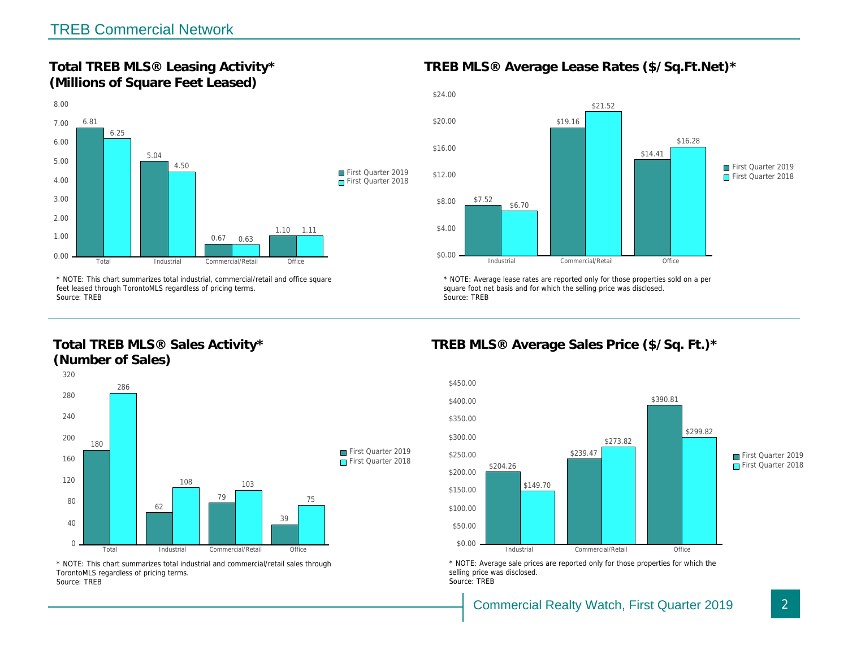## **Total TREB MLS® Leasing Activity\* (Millions of Square Feet Leased)**



\* NOTE: This chart summarizes total industrial, commercial/retail and office square feet leased through TorontoMLS regardless of pricing terms. Source: TREB

## **Total TREB MLS® Sales Activity\* (Number of Sales)**



\* NOTE: This chart summarizes total industrial and commercial/retail sales through TorontoMLS regardless of pricing terms. Source: TREB

**TREB MLS® Average Lease Rates (\$/Sq.Ft.Net)\***



\* NOTE: Average lease rates are reported only for those properties sold on a per square foot net basis and for which the selling price was disclosed. Source: TREB

## **TREB MLS® Average Sales Price (\$/Sq. Ft.)\***



\* NOTE: Average sale prices are reported only for those properties for which the selling price was disclosed. Source: TREB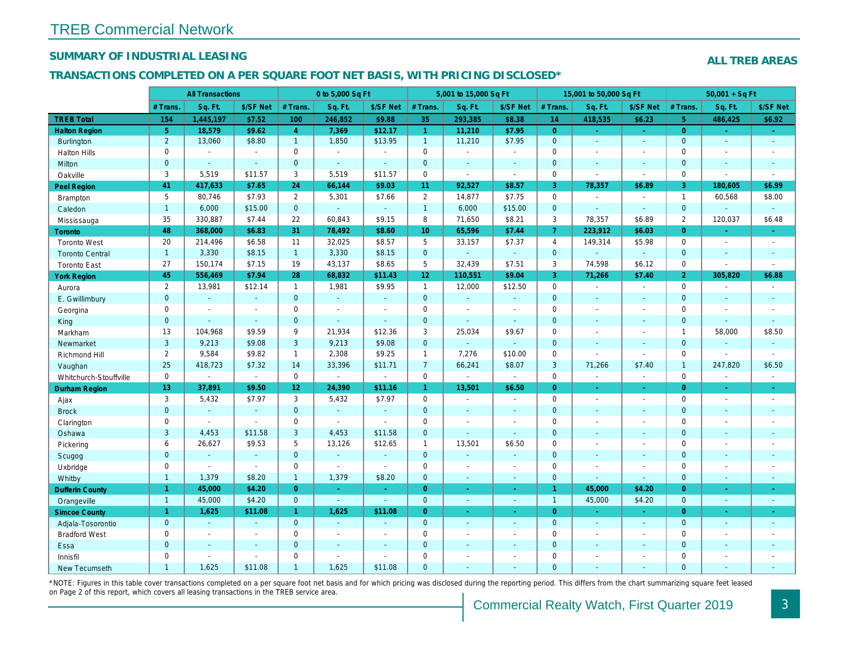#### **SUMMARY OF INDUSTRIAL LEASING**

#### **ALL TREB AREAS**

#### **TRANSACTIONS COMPLETED ON A PER SQUARE FOOT NET BASIS, WITH PRICING DISCLOSED\***

|                        |                | <b>All Transactions</b>  |                             |                 | 0 to 5,000 Sq Ft            |                          |                     | 5,001 to 15,000 Sq Ft       |                          |                | 15,001 to 50,000 Sq Ft      |                |                     | $50,001 + SqFt$          |                             |
|------------------------|----------------|--------------------------|-----------------------------|-----------------|-----------------------------|--------------------------|---------------------|-----------------------------|--------------------------|----------------|-----------------------------|----------------|---------------------|--------------------------|-----------------------------|
|                        | $#$ Trans      | Sq. Ft.                  | \$/SF Net                   | $#$ Trans.      | Sq. Ft.                     | \$/SF Net                | # Trans             | Sq. Ft.                     | \$/SF Net                | # Trans.       | Sq. Ft.                     | \$/SF Net      | $#$ Trans.          | Sq. Ft.                  | \$/SF Net                   |
| <b>TREB Total</b>      | 154            | 1,445,197                | \$7.52                      | 100             | 246,852                     | \$9.88                   | 35                  | 293,385                     | \$8.38                   | 14             | 418,535                     | \$6.23         | $\overline{5}$      | 486,425                  | \$6.92                      |
| <b>Halton Region</b>   | 5 <sup>5</sup> | 18,579                   | \$9.62                      | $\overline{4}$  | 7,369                       | \$12.17                  | $\overline{1}$      | 11,210                      | \$7.95                   | $\overline{0}$ |                             | i.             | $\overline{0}$      |                          | $\omega$                    |
| Burlington             | 2              | 13,060                   | \$8.80                      | $\overline{1}$  | 1,850                       | \$13.95                  | $\overline{1}$      | 11,210                      | \$7.95                   | $\overline{0}$ | $\mathcal{L}^{\mathcal{A}}$ | ÷.             | $\mathbf 0$         | i.                       | $\mathcal{L}$               |
| <b>Halton Hills</b>    | $\Omega$       | $\sim$                   | $\sim$                      | $\mathbf 0$     | $\overline{a}$              | $\sim$                   | $\Omega$            | $\overline{a}$              | $\sim$                   | $\Omega$       | $\overline{a}$              | $\sim$         | $\Omega$            |                          | $\overline{\phantom{a}}$    |
| Milton                 | $\mathbf 0$    | $\sim$                   | $\sim$                      | $\mathbf{0}$    | ÷.                          | ÷                        | $\overline{0}$      | ÷                           | $\mathbb{Z}^2$           | $\mathbf 0$    |                             | $\overline{a}$ | $\mathbf 0$         |                          | $\mathbb{Z}^2$              |
| Oakville               | 3              | 5,519                    | \$11.57                     | 3               | 5,519                       | \$11.57                  | $\mathsf 0$         | $\mathcal{L}_{\mathcal{A}}$ | $\sim$                   | $\Omega$       | $\sim$                      | $\sim$         | $\Omega$            | $\sim$                   | $\overline{\phantom{a}}$    |
| Peel Region            | 41             | 417,633                  | \$7.65                      | 24              | 66,144                      | \$9.03                   | 11                  | 92,527                      | \$8.57                   | $\overline{3}$ | 78,357                      | \$6.89         | 3                   | 180,605                  | \$6.99                      |
| Brampton               | 5              | 80,746                   | \$7.93                      | $\overline{2}$  | 5,301                       | \$7.66                   | 2                   | 14,877                      | \$7.75                   | $\mathbf 0$    | $\sim$                      | $\mathcal{L}$  | $\mathbf{1}$        | 60,568                   | \$8.00                      |
| Caledon                | $\mathbf{1}$   | 6,000                    | \$15.00                     | $\overline{0}$  | $\sim$                      | $\sim$                   | $\overline{1}$      | 6,000                       | \$15.00                  | $\overline{0}$ | $\sim$                      | i.             | $\mathbf{O}$        | $\sim$                   | $\sim$                      |
| Mississauga            | 35             | 330,887                  | \$7.44                      | 22              | 60,843                      | \$9.15                   | 8                   | 71,650                      | \$8.21                   | 3              | 78,357                      | \$6.89         | $\overline{2}$      | 120,037                  | \$6.48                      |
| Toronto                | 48             | 368,000                  | \$6.83                      | 31              | 78,492                      | \$8.60                   | 10 <sup>10</sup>    | 65,596                      | \$7.44                   | $\overline{7}$ | 223,912                     | \$6.03         | $\Omega$            | $\sim$                   | $\sim$                      |
| <b>Toronto West</b>    | 20             | 214,496                  | \$6.58                      | 11              | 32,025                      | \$8.57                   | 5                   | 33,157                      | \$7.37                   | $\overline{4}$ | 149,314                     | \$5.98         | $\mathbf 0$         |                          | $\sim$                      |
| <b>Toronto Central</b> | $\overline{1}$ | 3,330                    | \$8.15                      | $\overline{1}$  | 3,330                       | \$8.15                   | $\mathbf{0}$        | L,                          | $\mathbb{Z}$             | $\overline{0}$ |                             | ÷.             | $\overline{0}$      |                          | $\omega$                    |
| <b>Toronto East</b>    | 27             | 150.174                  | \$7.15                      | 19              | 43,137                      | \$8.65                   | 5                   | 32.439                      | \$7.51                   | 3              | 74.598                      | \$6.12         | $\mathbf 0$         |                          | $\sim$                      |
| <b>York Region</b>     | 45             | 556,469                  | \$7.94                      | 28              | 68,832                      | \$11.43                  | 12                  | 110,551                     | \$9.04                   | 3              | 71,266                      | \$7.40         | $\overline{2}$      | 305,820                  | \$6.88                      |
| Aurora                 | $\overline{2}$ | 13,981                   | \$12.14                     | $\mathbf{1}$    | 1,981                       | \$9.95                   | $\mathbf{1}$        | 12,000                      | \$12.50                  | $\mathbf{0}$   | $\overline{a}$              | $\sim$         | $\mathbf 0$         | $\overline{\phantom{a}}$ | $\sim$                      |
| E. Gwillimbury         | $\mathbf{0}$   | G.                       | $\sim$                      | $\mathbf{0}$    | ÷.                          | ÷,                       | $\mathbf{0}$        | ÷.                          | ÷.                       | $\overline{0}$ | ÷.                          | $\sim$         | $\overline{0}$      |                          | $\sim$                      |
| Georgina               | $\mathbf 0$    | $\sim$                   | $\sim$                      | $\mathbf 0$     | $\overline{a}$              | $\overline{a}$           | $\mathbf 0$         | $\overline{a}$              | ÷,                       | $\mathbf{0}$   | $\overline{\phantom{a}}$    | $\sim$         | $\mathbf 0$         | $\overline{\phantom{a}}$ | ÷,                          |
| King                   | $\mathbf{0}$   | $\sim$                   | $\sim$                      | $\mathbf{0}$    | ÷.                          | ÷,                       | $\overline{0}$      | ÷                           | ÷.                       | $\mathbf{0}$   |                             |                | $\mathbf{0}$        |                          | ÷.                          |
| Markham                | 13             | 104,968                  | \$9.59                      | 9               | 21,934                      | \$12.36                  | $\mathbf{3}$        | 25,034                      | \$9.67                   | $\mathbf 0$    | $\sim$                      | $\sim$         | $\mathbf{1}$        | 58,000                   | \$8.50                      |
| Newmarket              | $\overline{3}$ | 9.213                    | \$9.08                      | $\overline{3}$  | 9.213                       | \$9.08                   | $\overline{0}$      | ÷.                          | $\sim$                   | $\overline{0}$ |                             |                | $\mathbf{0}$        |                          | ÷.                          |
| Richmond Hill          | 2              | 9,584                    | \$9.82                      | $\overline{1}$  | 2,308                       | \$9.25                   | $\overline{1}$      | 7,276                       | \$10.00                  | $\mathbf 0$    | $\sim$                      | $\sim$         | $\mathbf 0$         | $\sim$                   | $\blacksquare$              |
| Vaughan                | 25             | 418,723                  | \$7.32                      | 14              | 33,396                      | \$11.71                  | $\overline{7}$      | 66,241                      | \$8.07                   | $\overline{3}$ | 71,266                      | \$7.40         | $\mathbf{1}$        | 247,820                  | \$6.50                      |
| Whitchurch-Stouffville | $\mathbf 0$    | $\mathcal{L}$            | $\mathcal{L}_{\mathcal{A}}$ | $\mathbf 0$     | $\mathcal{L}^{\mathcal{A}}$ | $\sim$                   | $\mathbf 0$         | $\mathcal{L}_{\mathcal{A}}$ | $\sim$                   | $\mathbf 0$    | $\sim$                      | $\sim$         | $\mathbf 0$         |                          | $\mathcal{L}_{\mathcal{A}}$ |
| Durham Region          | 13             | 37,891                   | \$9.50                      | 12 <sup>°</sup> | 24,390                      | \$11.16                  | $\mathbf{1}$        | 13,501                      | \$6.50                   | $\overline{0}$ | $\sim$                      | ÷.             | $\overline{0}$      | $\sim$                   | $\sim$                      |
| Ajax                   | 3              | 5,432                    | \$7.97                      | $\overline{3}$  | 5,432                       | \$7.97                   | $\mathbf 0$         | ÷,                          | $\sim$                   | $\mathbf 0$    | $\sim$                      | $\sim$         | $\mathbf 0$         | $\overline{\phantom{a}}$ | $\sim$                      |
| <b>Brock</b>           | $\mathbf{0}$   |                          | $\mathcal{L}$               | $\mathbf{0}$    | $\mathbb{Z}$                | $\overline{\phantom{a}}$ | $\overline{0}$      |                             | $\sim$                   | $\overline{0}$ |                             | $\sim$         | $\overline{0}$      |                          | $\mathbb{Z}^2$              |
| Clarington             | $\mathbf 0$    | $\mathbb{Z}$             | $\sim$                      | $\mathbf 0$     | $\mathcal{L}$               | $\overline{a}$           | $\mathsf{O}\xspace$ | ÷                           | ÷,                       | $\mathbf 0$    |                             |                | $\mathbf 0$         |                          | ÷                           |
| Oshawa                 | 3              | 4,453                    | \$11.58                     | 3               | 4,453                       | \$11.58                  | $\mathbf 0$         | $\sim$                      | ÷.                       | $\mathbf{0}$   |                             |                | $\overline{0}$      |                          | $\mathcal{L}_{\mathcal{A}}$ |
| Pickering              | 6              | 26,627                   | \$9.53                      | 5               | 13,126                      | \$12.65                  | $\mathbf{1}$        | 13,501                      | \$6.50                   | $\mathbf 0$    | $\overline{a}$              |                | $\mathsf{O}\xspace$ |                          | $\overline{\phantom{a}}$    |
| Scugog                 | $\overline{0}$ | $\sim$                   | $\sim$                      | $\overline{0}$  | ÷.                          | ÷,                       | $\overline{0}$      | $\mathbf{r}$                | $\overline{\phantom{a}}$ | $\overline{0}$ |                             | $\sim$         | $\overline{0}$      |                          | ÷.                          |
| Uxbridge               | $\mathbf 0$    | $\sim$                   | $\sim$                      | $\mathbf 0$     | $\sim$                      | $\sim$                   | $\mathbf 0$         | $\overline{\phantom{a}}$    | $\sim$                   | $\mathbf 0$    | $\overline{\phantom{a}}$    | $\sim$         | $\mathbf 0$         |                          | $\sim$                      |
| Whitby                 | $\mathbf{1}$   | 1,379                    | \$8.20                      | $\mathbf{1}$    | 1,379                       | \$8.20                   | $\overline{0}$      | $\mathbf{r}$                | $\sim$                   | $\mathbf 0$    |                             |                | $\overline{0}$      |                          | ÷.                          |
| <b>Dufferin County</b> | $\overline{1}$ | 45,000                   | \$4.20                      | $\overline{0}$  | ÷.                          | $\omega$                 | $\overline{0}$      | ÷.                          | $\mathbb{Z}$             | $\mathbf{1}$   | 45,000                      | \$4.20         | $\overline{0}$      |                          | $\sim$                      |
| Orangeville            | $\overline{1}$ | 45,000                   | \$4.20                      | $\mathbf{0}$    | $\mathbb{Z}^{\mathbb{Z}}$   | $\omega$                 | $\mathbf 0$         | $\omega$                    | $\sim$                   | $\mathbf{1}$   | 45,000                      | \$4.20         | $\overline{0}$      | $\sim$                   | $\omega$                    |
| <b>Simcoe County</b>   | $\mathbf{1}$   | 1,625                    | \$11.08                     | $\mathbf{1}$    | 1,625                       | \$11.08                  | $\overline{0}$      | ÷.                          | ÷.                       | $\overline{0}$ | u.                          | $\sim$         | $\overline{0}$      |                          | $\omega$                    |
| Adjala-Tosorontio      | $\overline{0}$ | i.                       | $\sim$                      | $\overline{0}$  | ÷.                          | $\sim$                   | $\mathbf{0}$        | ÷                           | $\sim$                   | $\overline{0}$ | i.                          | $\sim$         | $\overline{0}$      |                          | $\sim$                      |
| <b>Bradford West</b>   | $\mathbf 0$    | $\overline{\phantom{a}}$ | $\sim$                      | $\mathbf 0$     | $\overline{\phantom{a}}$    | $\overline{a}$           | $\mathbf 0$         | $\overline{a}$              | $\sim$                   | $\mathbf 0$    | $\sim$                      | $\sim$         | $\mathbf 0$         |                          | $\sim$                      |
| Essa                   | $\mathbf{0}$   |                          | $\sim$                      | $\mathbf{0}$    | ÷                           | $\overline{\phantom{a}}$ | $\overline{0}$      |                             | $\overline{\phantom{a}}$ | $\Omega$       |                             |                | $\overline{0}$      |                          | $\mathbf{r}$                |
| Innisfil               | $\mathbf 0$    |                          |                             | $\mathbf 0$     | ÷,                          | L,                       | $\mathbf 0$         |                             |                          | $\mathbf 0$    |                             |                | $\mathsf{O}\xspace$ |                          | ÷,                          |
| New Tecumseth          | $\mathbf{1}$   | 1.625                    | \$11.08                     | $\overline{1}$  | 1,625                       | \$11.08                  | $\overline{0}$      |                             |                          | $\Omega$       |                             |                | $\Omega$            |                          |                             |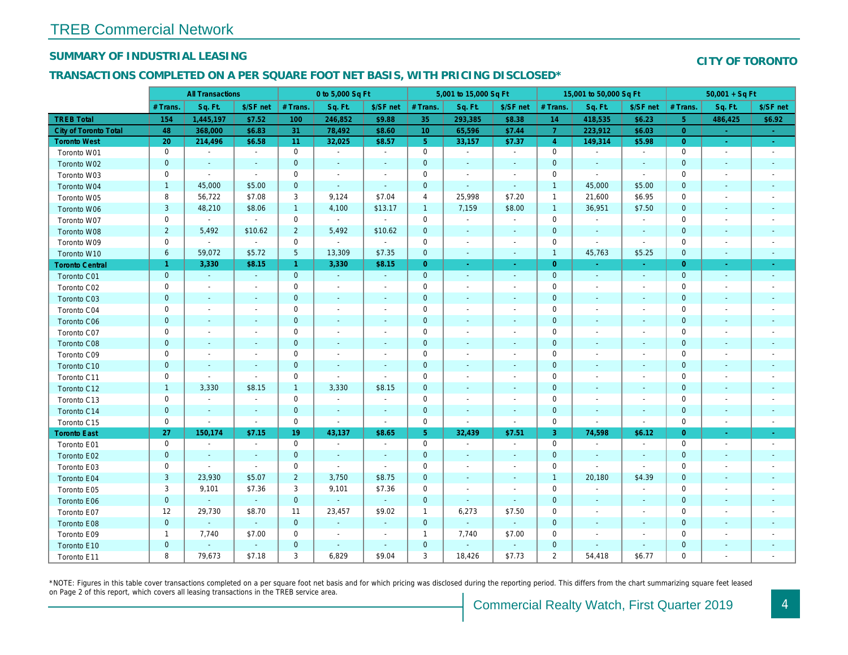#### **SUMMARY OF INDUSTRIAL LEASING**

#### **CITY OF TORONTO**

#### **TRANSACTIONS COMPLETED ON A PER SQUARE FOOT NET BASIS, WITH PRICING DISCLOSED\***

|                        |                | <b>All Transactions</b>     |                          |                | 0 to 5,000 Sq Ft            |                             |                | 5,001 to 15,000 Sq Ft       |                          |                     | 15,001 to 50,000 Sq Ft   |                             |                | $50,001 + SqFt$          |                             |
|------------------------|----------------|-----------------------------|--------------------------|----------------|-----------------------------|-----------------------------|----------------|-----------------------------|--------------------------|---------------------|--------------------------|-----------------------------|----------------|--------------------------|-----------------------------|
|                        | $#$ Trans      | Sq. Ft.                     | \$/SF net                | # Trans        | Sq. Ft.                     | \$/SF net                   | # Trans        | Sq. Ft.                     | \$/SF net                | # Trans.            | Sq. Ft.                  | \$/SF net                   | # Trans.       | Sq. Ft.                  | \$/SF net                   |
| <b>TREB Total</b>      | 154            | 1,445,197                   | \$7.52                   | 100            | 246,852                     | \$9.88                      | 35             | 293,385                     | \$8.38                   | 14                  | 418,535                  | \$6.23                      | 5 <sup>5</sup> | 486,425                  | \$6.92                      |
| City of Toronto Total  | 48             | 368,000                     | \$6.83                   | 31             | 78,492                      | \$8.60                      | 10             | 65,596                      | \$7.44                   | $\overline{7}$      | 223,912                  | \$6.03                      | $\overline{0}$ | $\sim$                   | $\sim$                      |
| <b>Toronto West</b>    | 20             | 214,496                     | \$6.58                   | 11             | 32,025                      | \$8.57                      | $5\phantom{.}$ | 33,157                      | \$7.37                   | $\overline{4}$      | 149,314                  | \$5.98                      | $\overline{0}$ | $\omega$ .               | $\sim$                      |
| Toronto W01            | $\mathbf 0$    | $\mathcal{L}_{\mathcal{A}}$ | $\sim$                   | $\mathbf 0$    | $\sim$                      | $\sim$                      | $\mathbf 0$    | $\sim$                      | $\sim$                   | $\mathbf 0$         | $\sim$                   | $\sim$                      | $\mathbf 0$    | $\sim$                   | $\sim$                      |
| Toronto W02            | $\mathbf{0}$   | $\sim$                      | $\mathcal{L}$            | $\mathbf{0}$   | $\sim$                      | $\sim$                      | $\overline{0}$ |                             | $\sim$                   | $\mathbf{0}$        | $\sim$                   | ÷.                          | $\mathbf{0}$   |                          | $\mathbb{Z}^2$              |
| Toronto W03            | 0              | $\sim$                      | $\sim$                   | $\mathbf 0$    | $\overline{\phantom{a}}$    | $\sim$                      | $\mathbf 0$    | $\overline{\phantom{a}}$    | $\sim$                   | $\mathbf 0$         | $\sim$                   | $\sim$                      | $\mathbf 0$    | ÷,                       | $\overline{\phantom{a}}$    |
| Toronto W04            | $\overline{1}$ | 45,000                      | \$5.00                   | $\mathbf 0$    | $\mathcal{L}_{\mathcal{A}}$ | $\sim$                      | $\mathbf 0$    | $\sim$                      | $\sim$                   | $\mathbf{1}$        | 45,000                   | \$5.00                      | $\mathbf{0}$   | $\sim$                   | $\overline{\phantom{a}}$    |
| Toronto W05            | 8              | 56,722                      | \$7.08                   | 3              | 9,124                       | \$7.04                      | 4              | 25,998                      | \$7.20                   | $\mathbf{1}$        | 21,600                   | \$6.95                      | $\mathbf 0$    | $\overline{\phantom{a}}$ | $\overline{\phantom{a}}$    |
| Toronto W06            | $\overline{3}$ | 48,210                      | \$8.06                   | $\overline{1}$ | 4.100                       | \$13.17                     | $\overline{1}$ | 7,159                       | \$8.00                   | $\mathbf{1}$        | 36.951                   | \$7.50                      | $\mathbf{0}$   | ÷.                       | ÷                           |
| Toronto W07            | $\mathbf 0$    | $\sim$                      | $\sim$                   | $\mathbf 0$    | $\sim$                      | $\sim$                      | $\mathbf 0$    | $\sim$                      | $\sim$                   | $\mathbf 0$         | $\sim$                   | $\mathcal{L}_{\mathcal{A}}$ | $\mathbf 0$    | $\overline{\phantom{a}}$ | $\overline{\phantom{a}}$    |
| Toronto W08            | $\overline{2}$ | 5,492                       | \$10.62                  | $\overline{2}$ | 5,492                       | \$10.62                     | $\overline{0}$ |                             | $\sim$                   | $\mathbf{0}$        | $\sim$                   | ÷.                          | $\mathbf{0}$   |                          | ÷                           |
| Toronto W09            | $\mathbf 0$    | $\mathcal{L}_{\mathcal{A}}$ | $\sim$                   | $\mathbf 0$    | $\sim$                      | $\sim$                      | $\mathbf 0$    | $\overline{\phantom{a}}$    | $\sim$                   | $\mathbf 0$         | $\sim$                   | $\sim$                      | $\mathbf 0$    | $\overline{\phantom{a}}$ | $\overline{\phantom{a}}$    |
| Toronto W10            | 6              | 59,072                      | \$5.72                   | 5              | 13.309                      | \$7.35                      | $\overline{0}$ | $\mathcal{L}_{\mathcal{A}}$ | $\sim$                   | $\mathbf{1}$        | 45,763                   | \$5.25                      | $\mathbf{0}$   | $\overline{\phantom{a}}$ | $\sim$                      |
| <b>Toronto Central</b> | $\mathbf{1}$   | 3,330                       | \$8.15                   | $\mathbf{1}$   | 3,330                       | \$8.15                      | $\overline{0}$ |                             | $\sim$                   | $\overline{0}$      | $\sim$                   | $\omega$                    | $\overline{0}$ | $\blacksquare$           | $\omega$                    |
| Toronto C01            | $\overline{0}$ | $\sim$                      | $\sim$                   | $\mathbf{0}$   | ÷.                          | i.                          | $\overline{0}$ |                             | $\sim$                   | $\mathbf{0}$        | $\sim$                   | $\mathbb{Z}^2$              | $\overline{0}$ |                          | $\mathcal{L}_{\mathcal{A}}$ |
| Toronto C02            | $\mathbf 0$    | $\overline{\phantom{a}}$    | $\overline{\phantom{a}}$ | $\mathbf 0$    | $\overline{\phantom{a}}$    | $\sim$                      | $\mathbf 0$    | $\overline{\phantom{a}}$    | $\sim$                   | $\mathbf 0$         | $\sim$                   | $\overline{\phantom{a}}$    | $\mathbf 0$    | $\overline{\phantom{a}}$ | $\overline{\phantom{a}}$    |
| Toronto C03            | $\mathbf{0}$   |                             | $\sim$                   | $\mathbf 0$    |                             | $\sim$                      | $\mathbf 0$    |                             | $\sim$                   | $\mathbf{0}$        |                          | $\mathcal{L}_{\mathcal{A}}$ | $\mathbf{0}$   |                          | $\mathcal{L}_{\mathcal{A}}$ |
| Toronto C04            | 0              | $\overline{\phantom{a}}$    | $\overline{\phantom{a}}$ | $\mathbf 0$    | $\overline{\phantom{a}}$    | $\overline{\phantom{a}}$    | $\mathbf 0$    |                             | $\sim$                   | $\mathbf 0$         | $\overline{\phantom{a}}$ | $\overline{\phantom{a}}$    | $\mathbf 0$    | $\overline{\phantom{a}}$ | $\overline{\phantom{a}}$    |
| Toronto C06            | $\mathbf{0}$   |                             | $\overline{\phantom{a}}$ | $\overline{0}$ |                             |                             | $\overline{0}$ |                             | $\sim$                   | $\mathbf{0}$        |                          |                             | $\mathbf{0}$   |                          | $\overline{\phantom{a}}$    |
| Toronto C07            | $\mathbf 0$    | $\overline{\phantom{a}}$    | $\sim$                   | $\mathbf 0$    | $\overline{\phantom{a}}$    | $\sim$                      | $\mathbf 0$    | $\overline{\phantom{a}}$    | $\sim$                   | $\mathbf 0$         | $\sim$                   | $\sim$                      | $\mathbf 0$    | $\overline{\phantom{a}}$ | $\overline{\phantom{a}}$    |
| Toronto C08            | $\overline{0}$ |                             | ÷.                       | $\overline{0}$ |                             | ÷.                          | $\overline{0}$ |                             | $\sim$                   | $\mathbf{0}$        |                          | $\mathbf{r}$                | $\mathbf{0}$   |                          | $\mathcal{L}_{\mathcal{A}}$ |
| Toronto C09            | $\mathbf 0$    | $\overline{\phantom{a}}$    | $\overline{a}$           | $\mathbf 0$    | $\overline{\phantom{a}}$    | $\overline{a}$              | $\Omega$       |                             | $\sim$                   | $\mathbf 0$         | $\sim$                   | $\overline{\phantom{a}}$    | $\mathbf 0$    | $\overline{\phantom{a}}$ | $\overline{\phantom{a}}$    |
| Toronto C10            | $\mathbf{0}$   | $\sim$                      | $\overline{\phantom{a}}$ | $\overline{0}$ | ÷                           | $\sim$                      | $\mathbf{0}$   |                             | $\sim$                   | $\mathbf{0}$        |                          | $\sim$                      | $\mathbf{0}$   |                          | $\mathcal{L}_{\mathcal{A}}$ |
| Toronto C11            | $\mathbf 0$    | $\sim$                      | $\sim$                   | $\mathbf 0$    | $\sim$                      | $\sim$                      | $\Omega$       | $\sim$                      | $\sim$                   | $\mathbf 0$         | $\sim$                   | $\overline{\phantom{a}}$    | $\mathbf 0$    | $\overline{\phantom{a}}$ | $\overline{\phantom{a}}$    |
| Toronto C12            | $\overline{1}$ | 3,330                       | \$8.15                   | $\overline{1}$ | 3,330                       | \$8.15                      | $\overline{0}$ |                             | $\sim$                   | $\mathbf{0}$        | $\sim$                   | $\mathbb{Z}^2$              | $\mathbf{0}$   |                          | $\sim$                      |
| Toronto C13            | $\mathbf 0$    | $\sim$                      | $\sim$                   | $\mathbf 0$    | $\sim$                      | $\sim$                      | $\mathbf 0$    | $\overline{\phantom{a}}$    | $\sim$                   | $\mathbf 0$         | $\sim$                   | $\overline{\phantom{a}}$    | $\mathbf 0$    | $\overline{\phantom{a}}$ | $\overline{\phantom{a}}$    |
| Toronto C14            | $\mathbf 0$    | $\sim$                      | $\sim$                   | $\mathbf 0$    | $\mathcal{L}_{\mathcal{A}}$ | $\sim$                      | $\mathbf 0$    | $\sim$                      | $\sim$                   | $\mathbf 0$         | $\sim$                   | $\mathbb{Z}^2$              | $\mathbf 0$    | $\sim$                   | $\sim$                      |
| Toronto C15            | $\mathbf 0$    | $\sim$                      | $\sim$                   | $\mathbf 0$    | $\sim$                      | $\sim$                      | $\mathbf 0$    | $\sim$                      | $\sim$                   | $\mathbf 0$         | $\sim$                   | $\sim$                      | $\mathbf 0$    | $\sim$                   | $\sim$                      |
| <b>Toronto East</b>    | 27             | 150,174                     | \$7.15                   | 19             | 43,137                      | \$8.65                      | 5              | 32,439                      | \$7.51                   | 3                   | 74,598                   | \$6.12                      | $\overline{0}$ | $\sim$                   | $\omega$                    |
| Toronto E01            | $\mathbf 0$    | $\sim$                      | $\sim$                   | $\mathbf 0$    | $\sim$                      | $\sim$                      | $\Omega$       | $\overline{\phantom{a}}$    | $\sim$                   | $\mathbf 0$         | $\sim$                   | $\sim$                      | $\mathbf 0$    | $\overline{\phantom{a}}$ | $\overline{\phantom{a}}$    |
| Toronto E02            | $\overline{0}$ | $\sim$                      | ÷.                       | $\overline{0}$ | ÷.                          | $\sim$                      | $\overline{0}$ |                             | $\sim$                   | $\mathbf 0$         | $\sim$                   | ÷                           | $\mathbf{0}$   | $\sim$                   | $\sim$                      |
| Toronto E03            | $\mathbf 0$    | $\mathbf{r}$                | $\sim$                   | $\mathbf 0$    | $\mathcal{L}_{\mathcal{A}}$ | $\mathcal{L}_{\mathcal{A}}$ | $\mathbf 0$    | $\sim$                      | $\overline{\phantom{a}}$ | $\mathsf{O}\xspace$ | $\sim$                   | $\overline{a}$              | $\mathbf 0$    | $\overline{\phantom{a}}$ | $\overline{\phantom{a}}$    |
| Toronto E04            | $\mathbf{3}$   | 23,930                      | \$5.07                   | $\overline{2}$ | 3,750                       | \$8.75                      | $\overline{0}$ | $\sim$                      | $\sim$                   | $\mathbf{1}$        | 20,180                   | \$4.39                      | $\mathbf{0}$   | $\sim$                   | $\sim$                      |
| Toronto E05            | 3              | 9,101                       | \$7.36                   | 3              | 9,101                       | \$7.36                      | $\mathbf 0$    | $\overline{\phantom{a}}$    | $\overline{\phantom{a}}$ | $\mathbf 0$         | $\sim$                   | $\sim$                      | $\mathbf 0$    |                          | $\overline{\phantom{a}}$    |
| Toronto E06            | $\mathbf{0}$   | $\sim$                      | $\sim$                   | $\overline{0}$ | $\sim$                      | i.                          | $\overline{0}$ | $\sim$                      | $\sim$                   | $\mathbf{0}$        | $\sim$                   | $\mathbf{r}$                | $\mathbf{0}$   |                          | $\sim$                      |
| Toronto E07            | 12             | 29,730                      | \$8.70                   | 11             | 23,457                      | \$9.02                      | $\mathbf{1}$   | 6,273                       | \$7.50                   | $\mathbf 0$         | $\sim$                   | $\overline{\phantom{a}}$    | $\mathbf 0$    | $\overline{\phantom{a}}$ | $\sim$                      |
| Toronto E08            | $\mathbf{0}$   | $\sim$                      | $\sim$                   | $\mathbf 0$    | $\mathcal{L}_{\mathcal{A}}$ | $\sim$                      | $\overline{0}$ | $\sim$                      | $\sim$                   | $\mathbf{0}$        | $\sim$                   | $\mathbb{Z}^2$              | $\mathbf 0$    | $\sim$                   | $\sim$                      |
| Toronto E09            | $\overline{1}$ | 7,740                       | \$7.00                   | $\mathbf 0$    | $\overline{\phantom{a}}$    | $\sim$                      | $\mathbf{1}$   | 7,740                       | \$7.00                   | $\mathbf 0$         | $\overline{\phantom{a}}$ | ÷,                          | $\mathbf 0$    |                          | $\sim$                      |
| Toronto E10            | $\mathbf 0$    | $\sim$                      | $\sim$                   | $\mathbf 0$    | $\sim$                      | $\sim$                      | $\overline{0}$ | $\sim$                      | $\sim$                   | $\mathbf{0}$        |                          | $\sim$                      | $\mathbf 0$    |                          | $\overline{\phantom{a}}$    |
| Toronto E11            | 8              | 79,673                      | \$7.18                   | 3              | 6,829                       | \$9.04                      | $\mathbf{3}$   | 18,426                      | \$7.73                   | 2                   | 54,418                   | \$6.77                      | $\mathbf 0$    | $\overline{\phantom{a}}$ | $\overline{\phantom{a}}$    |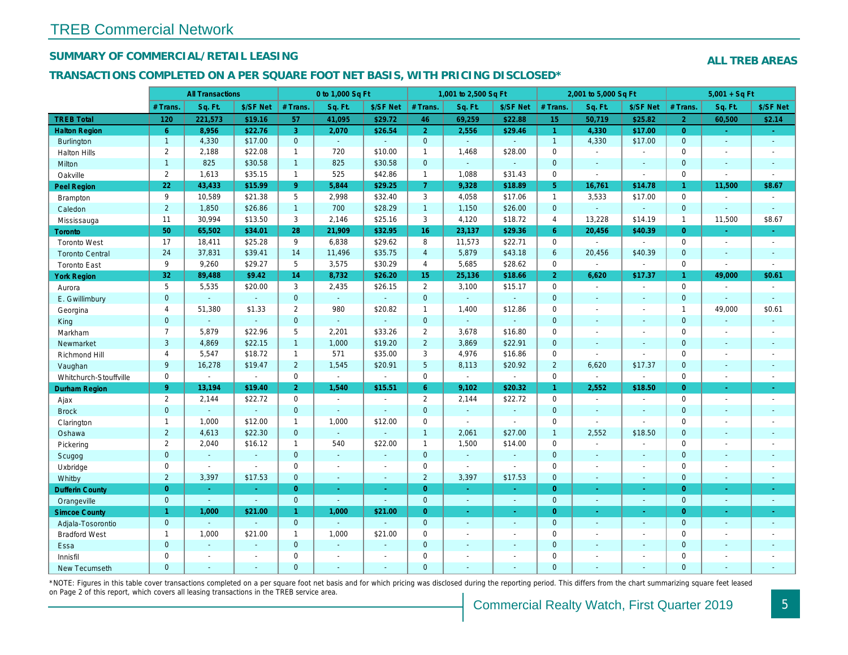#### **SUMMARY OF COMMERCIAL/RETAIL LEASING**

#### **TRANSACTIONS COMPLETED ON A PER SQUARE FOOT NET BASIS, WITH PRICING DISCLOSED\***

|  | <b>ALL TREB AREAS</b> |
|--|-----------------------|
|  |                       |

|                        |                | <b>All Transactions</b>     |                |                | 0 to 1,000 Sq Ft            |                |                     | 1,001 to 2,500 Sq Ft |                             |                     | 2,001 to 5,000 Sq Ft        |                          |                | $5,001 + SqFt$           |                          |
|------------------------|----------------|-----------------------------|----------------|----------------|-----------------------------|----------------|---------------------|----------------------|-----------------------------|---------------------|-----------------------------|--------------------------|----------------|--------------------------|--------------------------|
|                        | $#$ Trans      | Sq. Ft.                     | \$/SF Net      | $#$ Trans.     | Sq. Ft.                     | \$/SF Net      | # Trans             | Sq. Ft.              | \$/SF Net                   | # Trans.            | Sq. Ft.                     | \$/SF Net                | # Trans.       | Sq. Ft.                  | \$/SF Net                |
| <b>TREB Total</b>      | 120            | 221,573                     | \$19.16        | 57             | 41,095                      | \$29.72        | 46                  | 69,259               | \$22.88                     | 15                  | 50,719                      | \$25.82                  | $\overline{2}$ | 60,500                   | \$2.14                   |
| <b>Halton Region</b>   | 6              | 8,956                       | \$22.76        | $\overline{3}$ | 2,070                       | \$26.54        | $\overline{2}$      | 2,556                | \$29.46                     | $\mathbf{1}$        | 4.330                       | \$17.00                  | $\overline{0}$ | $\Delta$                 | $\omega_{\rm c}$         |
| Burlington             | $\overline{1}$ | 4,330                       | \$17.00        | $\mathbf{0}$   | ä,                          | $\sim$         | $\overline{0}$      | $\mathbb{Z}^2$       | $\mathbb{Z}^2$              | $\mathbf{1}$        | 4,330                       | \$17.00                  | $\mathbf{0}$   | $\mathbb{Z}$             | $\omega_{\rm c}$         |
| <b>Halton Hills</b>    | $\overline{2}$ | 2,188                       | \$22.08        | $\overline{1}$ | 720                         | \$10.00        | $\mathbf{1}$        | 1,468                | \$28.00                     | $\mathbf 0$         | $\mathbf{r}$                | $\overline{a}$           | $\Omega$       |                          | $\overline{\phantom{a}}$ |
| Milton                 | $\overline{1}$ | 825                         | \$30.58        | $\overline{1}$ | 825                         | \$30.58        | $\mathbf 0$         | a.                   | $\sim$                      | $\mathbf 0$         | $\sim$                      | ÷                        | $\mathbf{0}$   | $\sim$                   | $\mathbb{Z}^2$           |
| Oakville               | $\overline{2}$ | 1,613                       | \$35.15        | $\mathbf{1}$   | 525                         | \$42.86        | $\mathbf{1}$        | 1,088                | \$31.43                     | $\mathsf{O}\xspace$ | $\sim$                      | $\overline{a}$           | $\mathbf 0$    | $\overline{\phantom{a}}$ | $\overline{a}$           |
| Peel Region            | 22             | 43,433                      | \$15.99        | 9              | 5.844                       | \$29.25        | $7^{\circ}$         | 9,328                | \$18.89                     | 5 <sup>5</sup>      | 16,761                      | \$14.78                  | $\mathbf{1}$   | 11,500                   | \$8.67                   |
| Brampton               | 9              | 10,589                      | \$21.38        | 5              | 2,998                       | \$32.40        | 3                   | 4,058                | \$17.06                     | $\mathbf{1}$        | 3,533                       | \$17.00                  | $\mathbf{0}$   | $\overline{\phantom{a}}$ | $\mathbb{Z}^2$           |
| Caledon                | $\overline{2}$ | 1,850                       | \$26.86        | $\overline{1}$ | 700                         | \$28.29        | $\overline{1}$      | 1,150                | \$26.00                     | $\mathbf{0}$        | $\sim$                      | ÷.                       | $\mathbf{0}$   |                          | $\mathbb{Z}^2$           |
| Mississauga            | 11             | 30,994                      | \$13.50        | 3              | 2,146                       | \$25.16        | $\mathbf{3}$        | 4,120                | \$18.72                     | $\overline{4}$      | 13,228                      | \$14.19                  | $\mathbf{1}$   | 11,500                   | \$8.67                   |
| <b>Toronto</b>         | 50             | 65,502                      | \$34.01        | 28             | 21,909                      | \$32.95        | 16                  | 23,137               | \$29.36                     | 6                   | 20,456                      | \$40.39                  | $\Omega$       | ÷.                       | $\omega$ .               |
| <b>Toronto West</b>    | 17             | 18,411                      | \$25.28        | 9              | 6,838                       | \$29.62        | 8                   | 11,573               | \$22.71                     | $\mathbf 0$         | $\mathcal{L}_{\mathcal{A}}$ | $\sim$                   | $\mathbf 0$    |                          | $\sim$                   |
| <b>Toronto Central</b> | 24             | 37,831                      | \$39.41        | 14             | 11,496                      | \$35.75        | $\overline{4}$      | 5,879                | \$43.18                     | $\ddot{\mathbf{6}}$ | 20,456                      | \$40.39                  | $\mathbf{0}$   | $\sim$                   | ÷.                       |
| <b>Toronto East</b>    | 9              | 9.260                       | \$29.27        | 5              | 3,575                       | \$30.29        | $\overline{4}$      | 5.685                | \$28.62                     | $\mathbf 0$         | $\sim$                      | $\sim$                   | $\mathbf 0$    |                          | $\sim$                   |
| <b>York Region</b>     | 32             | 89,488                      | \$9.42         | 14             | 8,732                       | \$26.20        | 15                  | 25,136               | \$18.66                     | $\overline{2}$      | 6,620                       | \$17.37                  | $\mathbf{1}$   | 49,000                   | \$0.61                   |
| Aurora                 | 5              | 5.535                       | \$20.00        | $\overline{3}$ | 2,435                       | \$26.15        | $\overline{2}$      | 3,100                | \$15.17                     | $\mathbf 0$         | $\sim$                      | $\overline{\phantom{a}}$ | $\Omega$       | $\overline{\phantom{a}}$ | $\sim$                   |
| E. Gwillimbury         | $\mathbf{0}$   | $\mathbb{Z}^2$              | $\sim$         | $\mathbf 0$    | ä,                          | $\mathbb{Z}^2$ | $\overline{0}$      | G.                   | $\sim$                      | $\mathbf{0}$        | $\sim$                      | ÷.                       | $\mathbf{0}$   | ÷                        | ÷.                       |
| Georgina               | $\overline{4}$ | 51,380                      | \$1.33         | $\overline{2}$ | 980                         | \$20.82        | $\mathbf{1}$        | 1,400                | \$12.86                     | $\mathbf 0$         | $\sim$                      | $\overline{a}$           | $\overline{1}$ | 49,000                   | \$0.61                   |
| King                   | $\mathbf{0}$   | ÷.                          | $\sim$         | $\mathbf 0$    | a.                          | ÷.             | $\mathbf 0$         | $\sim$               | $\sim$                      | $\overline{0}$      |                             | ÷                        | $\mathbf{0}$   | $\sim$                   | ÷.                       |
| Markham                | $\overline{7}$ | 5,879                       | \$22.96        | 5              | 2,201                       | \$33.26        | $\overline{2}$      | 3,678                | \$16.80                     | $\mathbf 0$         | $\sim$                      | $\overline{\phantom{a}}$ | $\mathbf 0$    | $\overline{\phantom{a}}$ | $\sim$                   |
| Newmarket              | 3              | 4.869                       | \$22.15        | $\overline{1}$ | 1.000                       | \$19.20        | 2                   | 3,869                | \$22.91                     | $\mathbf{0}$        |                             | $\mathbf{r}$             | $\Omega$       |                          | $\mathbf{r}$             |
| Richmond Hill          | $\overline{4}$ | 5,547                       | \$18.72        | $\overline{1}$ | 571                         | \$35.00        | 3                   | 4,976                | \$16.86                     | $\mathbf 0$         | $\sim$                      | $\overline{\phantom{a}}$ | $\mathbf 0$    | $\overline{\phantom{a}}$ | $\overline{\phantom{a}}$ |
| Vaughan                | 9              | 16,278                      | \$19.47        | $\overline{2}$ | 1,545                       | \$20.91        | 5                   | 8,113                | \$20.92                     | $\overline{2}$      | 6,620                       | \$17.37                  | $\mathbf{0}$   |                          | $\mathcal{L}$            |
| Whitchurch-Stouffville | $\mathbf 0$    | $\mathcal{L}_{\mathcal{A}}$ | $\overline{a}$ | $\mathbf 0$    | $\mathcal{L}^{\mathcal{A}}$ | $\sim$         | $\mathbf 0$         | $\mathcal{L}$        | $\mathcal{L}_{\mathcal{A}}$ | $\mathbf 0$         | $\sim$                      | ÷,                       | $\mathbf 0$    | $\overline{\phantom{a}}$ | $\overline{\phantom{a}}$ |
| Durham Region          | 9              | 13,194                      | \$19.40        | $\overline{2}$ | 1,540                       | \$15.51        | 6                   | 9,102                | \$20.32                     | 1                   | 2,552                       | \$18.50                  | $\overline{0}$ |                          | ÷.                       |
| Ajax                   | $\overline{2}$ | 2,144                       | \$22.72        | $\mathbf 0$    | $\overline{a}$              | $\overline{a}$ | $\overline{2}$      | 2,144                | \$22.72                     | $\mathbf{0}$        | $\mathcal{L}$               | $\overline{a}$           | $\mathbf{0}$   |                          | $\mathcal{L}$            |
| <b>Brock</b>           | $\mathbf{0}$   | $\mathcal{L}$               | $\mathbf{u}$   | $\overline{0}$ | ÷.                          | $\mathcal{L}$  | $\overline{0}$      |                      | $\sim$                      | $\mathbf{O}$        | $\sim$                      | $\mathbf{r}$             | $\mathbf{0}$   |                          | $\mathbb{Z}^2$           |
| Clarington             | $\overline{1}$ | 1,000                       | \$12.00        | $\overline{1}$ | 1,000                       | \$12.00        | $\mathbf 0$         | $\mathcal{L}$        | $\sim$                      | $\mathsf{O}\xspace$ | $\mathcal{L}$               | $\overline{a}$           | $\mathbf 0$    |                          | $\overline{\phantom{a}}$ |
| Oshawa                 | $\overline{2}$ | 4,613                       | \$22.30        | $\mathbf{0}$   | ÷.                          | $\mathcal{L}$  | $\mathbf{1}$        | 2,061                | \$27.00                     | $\mathbf{1}$        | 2,552                       | \$18.50                  | $\mathbf{0}$   |                          | ÷,                       |
| Pickering              | $\overline{2}$ | 2,040                       | \$16.12        | $\overline{1}$ | 540                         | \$22.00        | $\mathbf{1}$        | 1,500                | \$14.00                     | $\mathsf{O}\xspace$ | $\sim$                      | ÷,                       | $\mathbf 0$    |                          | $\overline{\phantom{a}}$ |
| Scugog                 | $\overline{0}$ | ÷.                          | ÷.             | $\overline{0}$ | ÷.                          | $\sim$         | $\overline{0}$      | $\overline{a}$       |                             | $\mathbf{0}$        | $\sim$                      | ÷.                       | $\mathbf{0}$   |                          | $\mathbb{Z}^2$           |
| Uxbridge               | $\mathbf 0$    | $\sim$                      | $\overline{a}$ | $\mathbf 0$    | $\overline{\phantom{a}}$    | $\overline{a}$ | $\mathbf 0$         | $\sim$               | $\sim$                      | $\mathbf 0$         | $\sim$                      | $\overline{a}$           | $\mathbf 0$    | ÷,                       | $\overline{\phantom{a}}$ |
| Whitby                 | $\overline{2}$ | 3,397                       | \$17.53        | $\overline{0}$ | ÷.                          | $\sim$         | $\overline{2}$      | 3,397                | \$17.53                     | $\mathbf 0$         | $\sim$                      | $\mathbf{r}$             | $\mathbf{0}$   | $\sim$                   | ÷.                       |
| <b>Dufferin County</b> | $\overline{0}$ | ÷.                          | $\mathcal{L}$  | $\overline{0}$ | $\omega_{\rm c}$            | $\sim$         | $\overline{0}$      | ÷.                   | $\sim$                      | $\overline{0}$      | ÷.                          | ÷.                       | $\overline{0}$ | $\omega$                 | ÷.                       |
| Orangeville            | $\overline{0}$ | $\mathcal{L}^{\mathcal{A}}$ | $\mathbb{Z}^+$ | $\mathbf{0}$   | $\mathcal{L}^{\mathcal{A}}$ | ÷.             | $\overline{0}$      | ÷.                   | $\omega$                    | $\mathbf{0}$        | $\omega$                    | ÷.                       | $\overline{0}$ | ÷,                       | $\omega$                 |
| <b>Simcoe County</b>   | $\mathbf{1}$   | 1,000                       | \$21.00        | $\mathbf{1}$   | 1,000                       | \$21.00        | $\overline{0}$      |                      |                             | $\overline{0}$      |                             | $\omega$                 | $\overline{0}$ |                          | $\omega$                 |
| Adjala-Tosorontio      | $\overline{0}$ | G.                          | $\sim$         | $\mathbf{0}$   | a.                          | $\sim$         | $\overline{0}$      | $\overline{a}$       | $\sim$                      | $\overline{0}$      | $\sim$                      | ÷                        | $\overline{0}$ | $\sim$                   | $\sim$                   |
| <b>Bradford West</b>   | $\overline{1}$ | 1,000                       | \$21.00        | $\mathbf{1}$   | 1,000                       | \$21.00        | $\mathsf{O}\xspace$ | $\overline{a}$       | $\sim$                      | $\mathbf 0$         | $\sim$                      | $\sim$                   | $\mathbf 0$    | $\overline{\phantom{a}}$ | $\sim$                   |
| Essa                   | $\mathbf{0}$   | $\mathcal{L}$               | $\sim$         | $\overline{0}$ | ÷.                          | i.             | $\overline{0}$      |                      | $\sim$                      | $\overline{0}$      |                             | $\overline{a}$           | $\mathbf{0}$   |                          | ÷                        |
| Innisfil               | $\mathbf 0$    | $\overline{\phantom{a}}$    | $\overline{a}$ | $\mathbf 0$    | $\overline{a}$              | $\overline{a}$ | $\mathsf{O}\xspace$ |                      | $\overline{\phantom{a}}$    | $\mathsf{O}\xspace$ |                             | L,                       | $\mathbf 0$    |                          | $\overline{\phantom{a}}$ |
| New Tecumseth          | $\Omega$       |                             | ÷,             | $\overline{0}$ |                             |                | $\Omega$            |                      |                             | $\Omega$            |                             |                          | $\Omega$       |                          | $\mathbf{r}$             |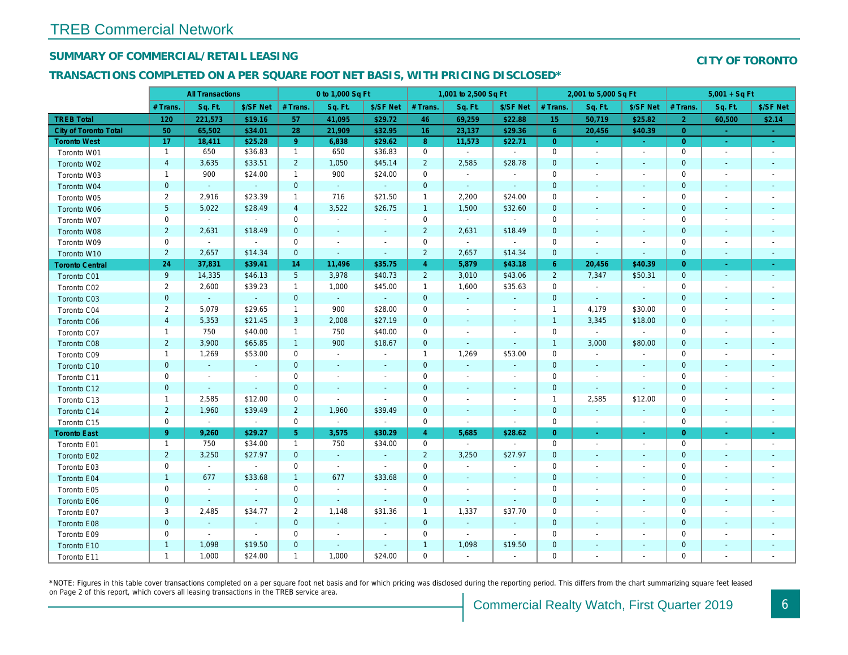Toronto E10 Toronto E11

#### **SUMMARY OF COMMERCIAL/RETAIL LEASING**

#### **TRANSACTIONS COMPLETED ON A PER SQUARE FOOT NET BASIS, WITH PRICING DISCLOSED\***

|                              |                | <b>All Transactions</b>     |                          |                     | 0 to 1,000 Sq Ft         |                          |                     | 1,001 to 2,500 Sq Ft        |                             |                | 2,001 to 5,000 Sq Ft     |                             |                | $5,001 + SqFt$           |                    |
|------------------------------|----------------|-----------------------------|--------------------------|---------------------|--------------------------|--------------------------|---------------------|-----------------------------|-----------------------------|----------------|--------------------------|-----------------------------|----------------|--------------------------|--------------------|
|                              | # Trans.       | Sq. Ft.                     | \$/SF Net                | # Trans.            | Sq. Ft.                  | \$/SF Net                | # Trans.            | Sq. Ft.                     | \$/SF Net                   | # Trans.       | Sq. Ft.                  | \$/SF Net                   | # Trans.       | Sq. Ft.                  | \$/SF Net          |
| <b>TREB Total</b>            | 120            | 221,573                     | \$19.16                  | 57                  | 41,095                   | \$29.72                  | 46                  | 69,259                      | \$22.88                     | 15             | 50,719                   | \$25.82                     | $\overline{2}$ | 60,500                   | \$2.14             |
| <b>City of Toronto Total</b> | 50             | 65,502                      | \$34.01                  | 28                  | 21,909                   | \$32.95                  | 16                  | 23,137                      | \$29.36                     | 6              | 20,456                   | \$40.39                     | $\overline{0}$ | $\blacksquare$           |                    |
| <b>Toronto West</b>          | 17             | 18,411                      | \$25.28                  | 9                   | 6,838                    | \$29.62                  | 8                   | 11,573                      | \$22.71                     | $\overline{0}$ | $\omega$                 | $\sim$                      | $\overline{0}$ | $\sim$                   | $\sim$ .           |
| Toronto W01                  | $\mathbf{1}$   | 650                         | \$36.83                  | $\mathbf{1}$        | 650                      | \$36.83                  | $\mathsf{O}\xspace$ | $\overline{\phantom{a}}$    | $\sim$                      | $\mathbf 0$    | $\overline{\phantom{a}}$ | $\overline{\phantom{a}}$    | $\mathbf 0$    | $\overline{\phantom{a}}$ |                    |
| Toronto W02                  | $\overline{4}$ | 3,635                       | \$33.51                  | $\overline{2}$      | 1,050                    | \$45.14                  | $\overline{2}$      | 2,585                       | \$28.78                     | $\mathbf{0}$   | $\sim$                   | $\sim$                      | $\mathbf{0}$   | $\mathbb{Z}^2$           | $\mathbb{L}^2$     |
| Toronto W03                  | $\mathbf{1}$   | 900                         | \$24.00                  | $\overline{1}$      | 900                      | \$24.00                  | $\mathbf 0$         |                             | $\overline{\phantom{a}}$    | $\mathbf 0$    |                          |                             | $\mathbf 0$    |                          |                    |
| Toronto W04                  | $\mathbf 0$    | $\mathcal{L}_{\mathcal{C}}$ | $\mathbb{Z}^2$           | $\mathsf{O}\xspace$ | $\sim$                   | $\sim$                   | $\mathbf 0$         | $\mathbb{Z}^2$              | $\sim$                      | $\mathbf 0$    |                          |                             | $\mathbf 0$    | $\overline{a}$           |                    |
| Toronto W05                  | 2              | 2,916                       | \$23.39                  | $\mathbf{1}$        | 716                      | \$21.50                  | $\mathbf{1}$        | 2,200                       | \$24.00                     | $\mathbf 0$    |                          |                             | $\mathbf 0$    |                          |                    |
| Toronto W06                  | 5              | 5,022                       | \$28.49                  | $\overline{4}$      | 3,522                    | \$26.75                  | $\mathbf{1}$        | 1,500                       | \$32.60                     | $\mathbf{0}$   |                          |                             | $\Omega$       |                          |                    |
| Toronto W07                  | 0              | $\sim$                      | $\overline{a}$           | $\mathbf 0$         |                          | $\sim$                   | $\mathbf 0$         | $\sim$                      | $\mathcal{L}_{\mathcal{A}}$ | $\mathbf 0$    |                          |                             | $\mathbf 0$    |                          |                    |
| Toronto W08                  | $\overline{2}$ | 2,631                       | \$18.49                  | $\mathbf 0$         | $\sim$                   | $\sim$                   | $\overline{2}$      | 2,631                       | \$18.49                     | $\mathbf 0$    |                          | $\overline{a}$              | $\mathbf{0}$   | $\overline{\phantom{a}}$ |                    |
| Toronto W09                  | $\mathbf 0$    | $\sim$                      | $\sim$                   | $\mathbf 0$         | $\overline{\phantom{a}}$ | $\sim$                   | $\mathbf 0$         | $\sim$                      | $\sim$                      | $\mathbf{0}$   |                          |                             | $\mathbf 0$    |                          |                    |
| Toronto W10                  | $\overline{2}$ | 2,657                       | \$14.34                  | $\mathbf 0$         | $\sim$                   | $\sim$                   | $\overline{2}$      | 2,657                       | \$14.34                     | $\mathbf 0$    | $\sim$                   | $\sim$                      | $\mathbf 0$    | $\mathbb{Z}^2$           |                    |
| <b>Toronto Central</b>       | 24             | 37,831                      | \$39.41                  | 14                  | 11,496                   | \$35.75                  | $\overline{4}$      | 5,879                       | \$43.18                     | 6              | 20,456                   | \$40.39                     | $\overline{0}$ | $\omega$                 | $\omega$ .         |
| Toronto C01                  | 9              | 14,335                      | \$46.13                  | 5                   | 3,978                    | \$40.73                  | $\overline{2}$      | 3,010                       | \$43.06                     | $\overline{2}$ | 7,347                    | \$50.31                     | $\mathbf 0$    | $\mathbf{r}$             |                    |
| Toronto C02                  | 2              | 2,600                       | \$39.23                  | $\overline{1}$      | 1,000                    | \$45.00                  | $\overline{1}$      | 1,600                       | \$35.63                     | $\mathbf 0$    | $\overline{\phantom{a}}$ | $\overline{\phantom{a}}$    | $\mathbf 0$    |                          |                    |
| Toronto C03                  | $\mathbf 0$    | $\sim$                      | ÷.                       | $\mathsf{O}\xspace$ |                          | $\sim$                   | $\boldsymbol{0}$    |                             | $\mathbf{u}$                | $\mathbf 0$    | $\mathcal{L}$            |                             | $\mathbf 0$    |                          |                    |
| Toronto C04                  | $\overline{2}$ | 5,079                       | \$29.65                  | $\overline{1}$      | 900                      | \$28.00                  | $\mathbf 0$         | $\overline{a}$              | $\sim$                      | $\overline{1}$ | 4,179                    | \$30.00                     | $\mathbf 0$    |                          |                    |
| Toronto C06                  | $\overline{4}$ | 5,353                       | \$21.45                  | 3                   | 2,008                    | \$27.19                  | $\mathbf 0$         | $\mathbf{r}$                | $\sim$                      | $\overline{1}$ | 3,345                    | \$18.00                     | $\mathbf 0$    | $\overline{\phantom{a}}$ | ÷.                 |
| Toronto C07                  | $\mathbf{1}$   | 750                         | \$40.00                  | $\overline{1}$      | 750                      | \$40.00                  | $\mathbf 0$         |                             | $\overline{\phantom{a}}$    | $\mathbf 0$    | $\sim$                   | $\mathcal{L}_{\mathcal{A}}$ | $\mathbf 0$    |                          |                    |
| Toronto C08                  | $\overline{2}$ | 3,900                       | \$65.85                  | $\overline{1}$      | 900                      | \$18.67                  | $\mathbf 0$         | $\sim$                      | $\sim$                      | $\overline{1}$ | 3,000                    | \$80.00                     | $\mathbf 0$    |                          |                    |
| Toronto C09                  | $\mathbf{1}$   | 1,269                       | \$53.00                  | $\mathbf 0$         |                          | $\sim$                   | $\mathbf{1}$        | 1,269                       | \$53.00                     | $\mathbf 0$    |                          |                             | $\mathbf 0$    |                          |                    |
| Toronto C10                  | $\mathbf{0}$   | $\sim$                      | $\sim$                   | $\mathbf 0$         |                          | $\sim$                   | $\mathbf 0$         | $\blacksquare$              | $\sim$                      | $\mathbf{0}$   | $\sim$                   | $\sim$                      | $\mathbf{0}$   |                          |                    |
| Toronto C11                  | $\mathbf 0$    | ÷                           | ÷                        | $\mathbf 0$         |                          |                          | $\mathbf 0$         |                             | ÷                           | $\mathbf 0$    |                          |                             | $\mathbf 0$    |                          |                    |
| Toronto C12                  | $\mathbf 0$    | $\sim$                      | $\mathcal{L}$            | $\mathbf 0$         | $\sim$                   | $\sim$                   | $\overline{0}$      |                             | $\sim$                      | $\mathbf 0$    | $\sim$                   | $\sim$                      | $\mathbf{0}$   | $\overline{\phantom{a}}$ |                    |
| Toronto C13                  | $\mathbf{1}$   | 2,585                       | \$12.00                  | $\mathbf 0$         |                          | $\overline{\phantom{a}}$ | $\Omega$            |                             | $\sim$                      | $\overline{1}$ | 2,585                    | \$12.00                     | $\mathbf 0$    |                          |                    |
| Toronto C14                  | $\overline{2}$ | 1,960                       | \$39.49                  | $\overline{2}$      | 1,960                    | \$39.49                  | $\mathbf 0$         | $\overline{\phantom{a}}$    | $\blacksquare$              | $\mathbf{0}$   | $\sim$                   | $\sim$                      | $\mathbf{0}$   | $\overline{\phantom{a}}$ | $\mathbf{u}$       |
| Toronto C15                  | $\mathbf{0}$   | $\sim$                      | $\mathbb{L}$             | $\mathbf 0$         | $\sim$                   | $\sim$                   | $\mathbf 0$         | $\overline{\phantom{a}}$    | $\sim$                      | 0              | $\sim$                   | $\sim$                      | 0              | $\overline{\phantom{a}}$ | $\sim$             |
| <b>Toronto East</b>          | 9              | 9,260                       | \$29.27                  | $\overline{5}$      | 3,575                    | \$30.29                  | $\overline{4}$      | 5,685                       | \$28.62                     | $\overline{0}$ | $\sim$                   | $\sim$                      | $\overline{0}$ | $\omega$                 | $\sigma_{\rm eff}$ |
| Toronto E01                  | $\mathbf{1}$   | 750                         | \$34.00                  | $\overline{1}$      | 750                      | \$34.00                  | $\mathbf 0$         |                             |                             | $\mathbf 0$    | $\sim$                   | $\sim$                      | $\mathbf 0$    | $\overline{\phantom{m}}$ |                    |
| Toronto E02                  | $\overline{2}$ | 3,250                       | \$27.97                  | $\mathsf{O}\xspace$ |                          | $\sim$                   | $\overline{2}$      | 3,250                       | \$27.97                     | $\mathbf 0$    |                          |                             | $\mathbf 0$    |                          |                    |
| Toronto E03                  | $\mathbf 0$    | $\sim$                      |                          | $\mathbf 0$         | $\sim$                   | $\sim$                   | $\mathbf 0$         |                             | $\sim$                      | $\mathbf 0$    |                          | $\overline{\phantom{a}}$    | $\mathbf 0$    | $\overline{\phantom{a}}$ |                    |
| Toronto E04                  | $\mathbf{1}$   | 677                         | \$33.68                  | $\overline{1}$      | 677                      | \$33.68                  | $\mathbf 0$         | $\mathcal{L}_{\mathcal{A}}$ | $\sim$                      | $\mathbf{0}$   |                          | $\sim$                      | $\mathbf{0}$   | $\overline{\phantom{a}}$ | $\mathbb{L}^2$     |
| Toronto E05                  | $\mathbf 0$    | $\overline{\phantom{a}}$    | $\overline{\phantom{a}}$ | $\mathbf 0$         | $\overline{\phantom{a}}$ | $\overline{\phantom{a}}$ | $\mathbf 0$         |                             | $\overline{\phantom{a}}$    | $\mathbf 0$    |                          | $\sim$                      | 0              |                          |                    |
| Toronto E06                  | $\mathbf 0$    | $\sim$                      | $\sim$                   | $\mathbf 0$         | $\sim$                   | $\sim$                   | $\mathbf 0$         | $\overline{\phantom{a}}$    | $\sim$                      | $\mathbf{0}$   |                          |                             | $\mathbf{0}$   |                          |                    |
| Toronto E07                  | 3              | 2,485                       | \$34.77                  | $\overline{2}$      | 1,148                    | \$31.36                  | $\mathbf{1}$        | 1,337                       | \$37.70                     | $\mathbf 0$    |                          |                             | $\mathbf 0$    |                          |                    |
| Toronto E08                  | $\mathbf 0$    | $\overline{\phantom{a}}$    | $\blacksquare$           | $\overline{0}$      |                          | $\sim$                   | $\mathbf 0$         | $\overline{\phantom{a}}$    | $\overline{\phantom{a}}$    | $\mathbf 0$    |                          |                             | 0              |                          |                    |
| Toronto E09                  | $\mathbf 0$    |                             | $\overline{\phantom{a}}$ | 0                   |                          |                          | $\mathbf 0$         |                             | $\overline{a}$              | $\Omega$       |                          |                             | $\Omega$       |                          |                    |

\*NOTE: Figures in this table cover transactions completed on a per square foot net basis and for which pricing was disclosed during the reporting period. This differs from the chart summarizing square feet leased on Page 2 of this report, which covers all leasing transactions in the TREB service area.

1 | 1,098 | \$19.50 | 0 | - | - | - | 1 | 1,098 | \$19.50 | 0 | - | - | 0 | - | -1 1,000 \$24.00 1 1,000 \$24.00 0 - - 0 - - 0 - -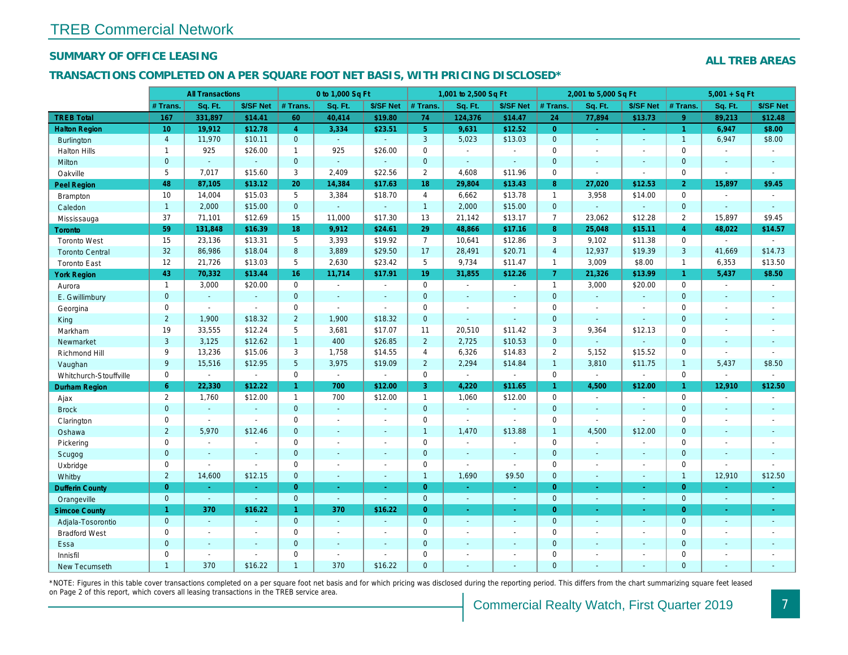#### **SUMMARY OF OFFICE LEASING**

#### **ALL TREB AREAS**

#### **TRANSACTIONS COMPLETED ON A PER SQUARE FOOT NET BASIS, WITH PRICING DISCLOSED\***

|                        |                     | <b>All Transactions</b>  |                          |                | 0 to 1,000 Sq Ft         |                          |                     | 1,001 to 2,500 Sq Ft        |                             |                     | 2,001 to 5,000 Sq Ft |                          |                     | $5,001 + SqFt$           |                             |
|------------------------|---------------------|--------------------------|--------------------------|----------------|--------------------------|--------------------------|---------------------|-----------------------------|-----------------------------|---------------------|----------------------|--------------------------|---------------------|--------------------------|-----------------------------|
|                        | # Trans.            | Sq. Ft.                  | \$/SF Net                | # Trans.       | Sq. Ft.                  | \$/SF Net                | # Trans.            | Sq. Ft.                     | \$/SF Net                   | # Trans.            | Sq. Ft.              | \$/SF Net                | # Trans.            | Sq. Ft.                  | \$/SF Net                   |
| <b>TREB Total</b>      | 167                 | 331,897                  | \$14.41                  | 60             | 40,414                   | \$19.80                  | 74                  | 124,376                     | \$14.47                     | 24                  | 77,894               | \$13.73                  | 9                   | 89,213                   | \$12.48                     |
| <b>Halton Region</b>   | 10                  | 19,912                   | \$12.78                  | $\overline{4}$ | 3,334                    | \$23.51                  | 5 <sup>1</sup>      | 9,631                       | \$12.52                     | $\overline{O}$      | ÷.                   |                          | $\mathbf{1}$        | 6,947                    | \$8.00                      |
| Burlington             | $\overline{4}$      | 11,970                   | \$10.11                  | $\overline{0}$ | $\omega$                 | ÷.                       | $\overline{3}$      | 5,023                       | \$13.03                     | $\overline{0}$      | ÷.                   | i.                       | $\overline{1}$      | 6,947                    | \$8.00                      |
| <b>Halton Hills</b>    | $\mathbf{1}$        | 925                      | \$26.00                  | $\overline{1}$ | 925                      | \$26.00                  | $\mathbf 0$         | $\overline{a}$              | $\sim$                      | $\mathsf{O}\xspace$ | $\sim$               |                          | $\mathsf{O}\xspace$ | $\sim$                   | $\mathcal{L}_{\mathcal{A}}$ |
| Milton                 | $\Omega$            | $\sim$                   | $\sim$                   | $\overline{0}$ | ÷.                       | ÷.                       | $\overline{0}$      | ÷.                          | $\mathcal{L}$               | $\overline{0}$      | i.                   | $\sim$                   | $\overline{0}$      | $\sim$                   | $\sim$                      |
| Oakville               | 5                   | 7,017                    | \$15.60                  | 3              | 2,409                    | \$22.56                  | $\overline{2}$      | 4,608                       | \$11.96                     | $\mathbf 0$         | $\mathbb{Z}^2$       | $\sim$                   | $\mathbf 0$         |                          | $\sim$                      |
| Peel Region            | 48                  | 87,105                   | \$13.12                  | 20             | 14,384                   | \$17.63                  | 18                  | 29,804                      | \$13.43                     | 8                   | 27,020               | \$12.53                  | $\overline{2}$      | 15,897                   | \$9.45                      |
| Brampton               | 10                  | 14,004                   | \$15.03                  | 5              | 3,384                    | \$18.70                  | $\overline{4}$      | 6,662                       | \$13.78                     | $\mathbf{1}$        | 3,958                | \$14.00                  | $\mathbf 0$         | $\sim$                   | $\sim$                      |
| Caledon                | $\mathbf{1}$        | 2,000                    | \$15.00                  | $\overline{0}$ | $\mathbb{Z}^2$           | $\sim$                   | $\overline{1}$      | 2,000                       | \$15.00                     | $\mathbf{0}$        | $\Delta \phi$        | $\mathcal{L}$            | $\mathbf{O}$        |                          | $\mathbb{Z}^2$              |
| Mississauga            | 37                  | 71,101                   | \$12.69                  | 15             | 11,000                   | \$17.30                  | 13                  | 21,142                      | \$13.17                     | $\overline{7}$      | 23,062               | \$12.28                  | $\overline{2}$      | 15,897                   | \$9.45                      |
| Toronto                | 59                  | 131,848                  | \$16.39                  | 18             | 9,912                    | \$24.61                  | 29                  | 48,866                      | \$17.16                     | 8                   | 25,048               | \$15.11                  | $\overline{4}$      | 48,022                   | \$14.57                     |
| <b>Toronto West</b>    | 15                  | 23,136                   | \$13.31                  | 5              | 3,393                    | \$19.92                  | $\overline{7}$      | 10,641                      | \$12.86                     | $\mathbf{3}$        | 9,102                | \$11.38                  | $\mathbf 0$         | $\sim$                   |                             |
| <b>Toronto Central</b> | 32                  | 86,986                   | \$18.04                  | 8              | 3,889                    | \$29.50                  | 17                  | 28,491                      | \$20.71                     | $\overline{4}$      | 12,937               | \$19.39                  | $\overline{3}$      | 41,669                   | \$14.73                     |
| <b>Toronto East</b>    | 12                  | 21,726                   | \$13.03                  | 5              | 2,630                    | \$23.42                  | 5                   | 9,734                       | \$11.47                     | $\mathbf{1}$        | 3,009                | \$8.00                   | $\mathbf{1}$        | 6,353                    | \$13.50                     |
| <b>York Region</b>     | 43                  | 70,332                   | \$13.44                  | 16             | 11,714                   | \$17.91                  | 19                  | 31,855                      | \$12.26                     | $\overline{7}$      | 21,326               | \$13.99                  | $\mathbf{1}$        | 5,437                    | \$8.50                      |
| Aurora                 | $\overline{1}$      | 3,000                    | \$20.00                  | $\mathbf 0$    | $\mathbb{R}^2$           | $\mathcal{L}$            | $\mathsf{O}\xspace$ | $\mathcal{L}_{\mathcal{A}}$ | $\mathcal{L}_{\mathcal{A}}$ | $\mathbf{1}$        | 3,000                | \$20.00                  | $\mathsf 0$         | $\sim$                   | $\mathcal{L}_{\mathcal{A}}$ |
| E. Gwillimbury         | $\mathbf{0}$        | $\sim$                   | $\sim$                   | $\mathbf{0}$   | $\sim$                   | $\overline{a}$           | $\overline{0}$      | $\overline{a}$              | $\sim$                      | $\mathbf{0}$        | G.                   | i.                       | $\mathbf{0}$        |                          | $\sim$                      |
| Georgina               | $\mathbf 0$         | $\overline{a}$           | $\mathcal{L}$            | $\mathbf 0$    | $\mathcal{L}$            | $\sim$                   | $\mathbf 0$         | $\overline{\phantom{a}}$    | $\sim$                      | $\mathsf{O}\xspace$ | $\sim$               | $\sim$                   | $\mathsf 0$         |                          | $\sim$                      |
| King                   | $\overline{2}$      | 1,900                    | \$18.32                  | $\overline{2}$ | 1,900                    | \$18.32                  | $\overline{0}$      | ÷.                          | $\sim$                      | $\overline{0}$      | ÷.                   |                          | $\Omega$            |                          | ÷                           |
| Markham                | 19                  | 33,555                   | \$12.24                  | 5              | 3,681                    | \$17.07                  | 11                  | 20,510                      | \$11.42                     | 3                   | 9,364                | \$12.13                  | $\mathsf{O}\xspace$ |                          | $\overline{\phantom{a}}$    |
| Newmarket              | 3                   | 3,125                    | \$12.62                  | $\mathbf{1}$   | 400                      | \$26.85                  | $\overline{2}$      | 2,725                       | \$10.53                     | $\overline{0}$      |                      |                          | $\overline{0}$      |                          | ÷                           |
| Richmond Hill          | 9                   | 13,236                   | \$15.06                  | 3              | 1,758                    | \$14.55                  | $\overline{4}$      | 6,326                       | \$14.83                     | $\overline{2}$      | 5,152                | \$15.52                  | $\mathbf 0$         |                          | $\overline{a}$              |
| Vaughan                | 9                   | 15,516                   | \$12.95                  | 5              | 3,975                    | \$19.09                  | $\overline{2}$      | 2,294                       | \$14.84                     | $\overline{1}$      | 3,810                | \$11.75                  | $\mathbf{1}$        | 5,437                    | \$8.50                      |
| Whitchurch-Stouffville | $\mathbf 0$         | $\mathcal{L}$            | $\sim$                   | $\mathbf 0$    | $\mathcal{L}$            | $\sim$                   | $\mathsf{O}\xspace$ | $\mathcal{L}^{\mathcal{A}}$ | $\sim$                      | $\mathsf{O}\xspace$ | $\sim$               | $\sim$                   | $\mathbf 0$         | $\sim$                   | $\mathcal{L}$               |
| <b>Durham Region</b>   | 6                   | 22,330                   | \$12.22                  | 1              | 700                      | \$12.00                  | 3                   | 4,220                       | \$11.65                     | $\mathbf{1}$        | 4,500                | \$12.00                  | 1                   | 12,910                   | \$12.50                     |
| Ajax                   | $\overline{2}$      | 1,760                    | \$12.00                  | $\overline{1}$ | 700                      | \$12.00                  | $\overline{1}$      | 1,060                       | \$12.00                     | $\mathsf{O}\xspace$ | $\sim$               | $\sim$                   | $\mathsf{O}\xspace$ | $\overline{\phantom{a}}$ | $\sim$                      |
| <b>Brock</b>           | $\mathbf{0}$        | ÷.                       | $\sim$                   | $\overline{0}$ | $\mathcal{L}$            | ÷                        | $\overline{0}$      | ÷.                          | ÷.                          | $\overline{0}$      | $\sim$               | $\sim$                   | $\mathbf{0}$        |                          | ÷.                          |
| Clarington             | $\mathbf 0$         | $\overline{a}$           | $\sim$                   | $\mathbf 0$    | $\overline{\phantom{a}}$ | $\overline{a}$           | $\mathbf 0$         | $\sim$                      | $\sim$                      | $\mathbf 0$         | $\sim$               | $\sim$                   | $\mathbf 0$         |                          | $\overline{\phantom{a}}$    |
| Oshawa                 | 2                   | 5,970                    | \$12.46                  | $\Omega$       |                          |                          | $\overline{1}$      | 1,470                       | \$13.88                     | $\overline{1}$      | 4,500                | \$12.00                  | $\mathbf{0}$        |                          |                             |
| Pickering              | $\mathsf{O}\xspace$ | $\overline{\phantom{a}}$ | $\sim$                   | 0              | $\overline{\phantom{a}}$ | $\overline{\phantom{a}}$ | $\mathbf 0$         | ÷                           | $\sim$                      | $\mathbf 0$         | $\sim$               | $\sim$                   | $\mathbf 0$         | $\overline{\phantom{a}}$ | $\overline{\phantom{a}}$    |
| Scugog                 | $\mathbf{0}$        | $\sim$                   |                          | $\mathbf{0}$   | $\sim$                   |                          | $\overline{0}$      | ÷,                          | ÷,                          | $\overline{0}$      | $\overline{a}$       |                          | $\mathbf{0}$        |                          | ÷                           |
| Uxbridge               | $\mathbf 0$         | $\sim$                   | $\sim$                   | $\mathbf 0$    | $\sim$                   | ÷                        | $\mathbf 0$         | $\overline{\phantom{a}}$    | $\sim$                      | $\mathbf 0$         | $\sim$               | $\sim$                   | $\mathbf 0$         |                          | $\overline{\phantom{a}}$    |
| Whitby                 | $\overline{2}$      | 14,600                   | \$12.15                  | $\mathbf{O}$   | $\sim$                   | ÷                        | $\overline{1}$      | 1,690                       | \$9.50                      | $\overline{0}$      | $\sim$               | $\sim$                   | $\mathbf{1}$        | 12,910                   | \$12.50                     |
| <b>Dufferin County</b> | $\overline{O}$      |                          | $\sim$                   | $\Omega$       | $\Delta \phi$            | $\omega$                 | $\overline{0}$      | $\omega$                    | ÷.                          | $\overline{0}$      | $\Delta$             | a.                       | $\overline{0}$      |                          |                             |
| Orangeville            | $\mathbf{0}$        | $\sim$                   | $\sim$                   | $\mathbf{0}$   | $\Delta \phi$            | $\sim$                   | $\overline{0}$      | $\omega$ .                  | $\sim$                      | $\overline{0}$      | $\sim$               | $\sim$                   | $\Omega$            | $\sim$                   | $\mathbb{Z}^2$              |
| <b>Simcoe County</b>   | -1                  | 370                      | \$16.22                  | $\mathbf{1}$   | 370                      | \$16.22                  | $\overline{0}$      | ÷.                          | ÷.                          | $\overline{0}$      | ÷.                   |                          | $\overline{O}$      |                          | $\omega$                    |
| Adjala-Tosorontio      | $\mathbf{0}$        | ÷.                       | $\sim$                   | $\Omega$       | $\mathcal{L}$            | ÷.                       | $\overline{0}$      | ÷,                          | $\mathcal{L}$               | $\overline{0}$      | ÷.                   | $\sim$                   | $\mathbf{0}$        |                          | $\mathbb{Z}^2$              |
| <b>Bradford West</b>   | $\mathbf 0$         |                          | $\overline{\phantom{a}}$ | $\mathbf 0$    | $\overline{\phantom{a}}$ |                          | $\mathbf 0$         |                             | $\overline{\phantom{a}}$    | $\mathbf 0$         |                      | $\overline{\phantom{a}}$ | $\mathbf 0$         |                          | $\overline{\phantom{a}}$    |
| Essa                   | $\mathbf{O}$        |                          | $\sim$                   | $\mathbf{O}$   | $\sim$                   | ÷,                       | $\overline{0}$      |                             | ÷                           | $\overline{0}$      |                      |                          | $\overline{0}$      |                          | $\mathbb{Z}^2$              |
| Innisfil               | $\mathbf 0$         | $\sim$                   | $\overline{\phantom{a}}$ | $\mathbf 0$    | $\sim$                   | ÷                        | $\mathbf 0$         | $\overline{a}$              | $\overline{\phantom{a}}$    | $\mathbf 0$         |                      |                          | $\mathbf 0$         |                          | $\overline{\phantom{a}}$    |
| New Tecumseth          | $\mathbf{1}$        | 370                      | \$16.22                  | $\mathbf{1}$   | 370                      | \$16.22                  | $\Omega$            | ÷,                          | $\sim$                      | $\Omega$            | $\sim$               |                          | $\Omega$            |                          | $\sim$                      |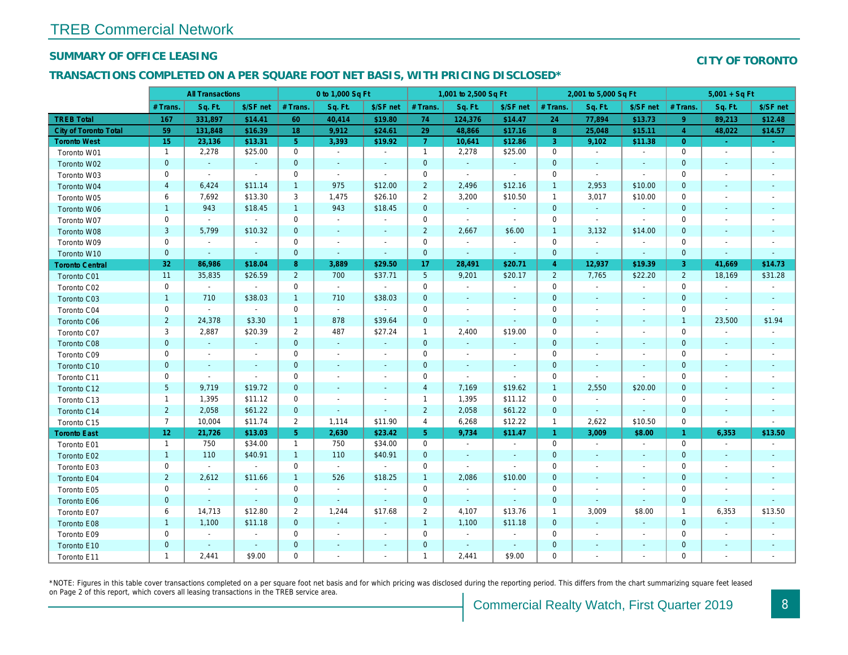#### **SUMMARY OF OFFICE LEASING**

#### **CITY OF TORONTO**

#### **TRANSACTIONS COMPLETED ON A PER SQUARE FOOT NET BASIS, WITH PRICING DISCLOSED\***

|                        |                 | <b>All Transactions</b>  |                             |                | 0 to 1,000 Sq Ft            |                             |                     | 1,001 to 2,500 Sq Ft        |                          |                | 2,001 to 5,000 Sq Ft     |                          |                | $5,001 + SqFt$           |                             |
|------------------------|-----------------|--------------------------|-----------------------------|----------------|-----------------------------|-----------------------------|---------------------|-----------------------------|--------------------------|----------------|--------------------------|--------------------------|----------------|--------------------------|-----------------------------|
|                        | $#$ Trans.      | Sq. Ft.                  | \$/SF net                   | # Trans.       | Sq. Ft.                     | \$/SF net                   | $#$ Trans.          | Sq. Ft.                     | \$/SF net                | # Trans.       | Sq. Ft.                  | \$/SF net                | $#$ Trans.     | Sq. Ft.                  | \$/SF net                   |
| <b>TREB Total</b>      | 167             | 331,897                  | \$14.41                     | 60             | 40,414                      | \$19.80                     | 74                  | 124,376                     | \$14.47                  | 24             | 77,894                   | \$13.73                  | 9              | 89,213                   | \$12.48                     |
| City of Toronto Total  | 59              | 131,848                  | \$16.39                     | 18             | 9,912                       | \$24.61                     | 29                  | 48,866                      | \$17.16                  | 8              | 25,048                   | \$15.11                  | $\overline{4}$ | 48,022                   | \$14.57                     |
| <b>Toronto West</b>    | 15 <sub>1</sub> | 23,136                   | \$13.31                     | 5 <sup>°</sup> | 3.393                       | \$19.92                     | 7                   | 10,641                      | \$12.86                  | $\overline{3}$ | 9,102                    | \$11.38                  | $\overline{0}$ | $\Delta$                 | $\sim$                      |
| Toronto W01            | $\overline{1}$  | 2,278                    | \$25.00                     | $\mathsf 0$    | $\mathbb{Z}^{\mathbb{Z}}$   | $\sim$                      | $\overline{1}$      | 2,278                       | \$25.00                  | $\mathbf 0$    | $\sim$                   | $\sim$                   | $\mathbf 0$    | $\sim$                   | $\mathcal{L}_{\mathcal{A}}$ |
| Toronto W02            | $\mathbf{0}$    | $\mathcal{L}$            | $\sim$                      | $\overline{0}$ | $\mathbb{Z}^2$              | $\mathcal{L}$               | $\mathbf 0$         | $\omega$                    | $\sim$                   | $\mathbf{0}$   | $\mathcal{L}$            | $\sim$                   | $\mathbf{0}$   | $\sim$                   | $\mathcal{L}_{\mathcal{A}}$ |
| Toronto W03            | $\mathbf 0$     | $\sim$                   | $\sim$                      | $\mathbf 0$    | $\sim$                      | $\sim$                      | $\mathbf 0$         | $\sim$                      | $\sim$                   | $\mathbf 0$    | $\sim$                   | $\sim$                   | $\mathbf 0$    |                          | $\overline{\phantom{a}}$    |
| Toronto W04            | $\overline{4}$  | 6,424                    | \$11.14                     | $\overline{1}$ | 975                         | \$12.00                     | $\overline{2}$      | 2,496                       | \$12.16                  | $\mathbf{1}$   | 2,953                    | \$10.00                  | $\overline{0}$ |                          | $\mathbf{r}$                |
| Toronto W05            | 6               | 7,692                    | \$13.30                     | $\mathbf{3}$   | 1,475                       | \$26.10                     | $\overline{2}$      | 3,200                       | \$10.50                  | $\mathbf{1}$   | 3,017                    | \$10.00                  | $\mathbf 0$    |                          | $\sim$                      |
| Toronto W06            | $\mathbf{1}$    | 943                      | \$18.45                     | $\overline{1}$ | 943                         | \$18.45                     | $\overline{0}$      | $\sim$                      | $\sim$                   | $\mathbf{0}$   | $\sim$                   | $\sim$                   | $\mathbf{0}$   |                          | $\sim$                      |
| Toronto W07            | $\mathbf 0$     | $\sim$                   | $\mathbb{Z}^{\mathbb{Z}}$   | $\mathbf 0$    | $\sim$                      | $\overline{\phantom{a}}$    | $\mathbf 0$         | $\sim$                      | $\sim$                   | $\mathbf 0$    | $\sim$                   | $\sim$                   | $\mathbf 0$    |                          | $\sim$                      |
| Toronto W08            | 3               | 5,799                    | \$10.32                     | $\mathbf{0}$   | $\sim$                      | $\sim$                      | $\overline{2}$      | 2,667                       | \$6.00                   | $\mathbf{1}$   | 3,132                    | \$14.00                  | $\overline{0}$ |                          | $\sim$                      |
| Toronto W09            | $\mathbf 0$     | $\overline{\phantom{a}}$ | $\sim$                      | $\mathbf 0$    | $\sim$                      | $\overline{\phantom{a}}$    | $\mathbf 0$         | $\overline{\phantom{a}}$    | $\sim$                   | $\mathbf 0$    | $\sim$                   | $\blacksquare$           | $\mathbf 0$    |                          | $\overline{\phantom{a}}$    |
| Toronto W10            | $\mathbf{0}$    | $\sim$                   | $\sim$                      | $\overline{0}$ | $\sim$                      | $\sim$                      | $\overline{0}$      | $\sim$                      | $\sim$                   | $\mathbf{0}$   | $\sim$                   | $\sim$                   | $\overline{0}$ | $\sim$                   | $\omega$                    |
| <b>Toronto Central</b> | 32              | 86,986                   | \$18.04                     | 8              | 3,889                       | \$29.50                     | 17                  | 28,491                      | \$20.71                  | $\overline{4}$ | 12,937                   | \$19.39                  | 3              | 41,669                   | \$14.73                     |
| Toronto C01            | 11              | 35,835                   | \$26.59                     | 2              | 700                         | \$37.71                     | 5                   | 9,201                       | \$20.17                  | 2              | 7,765                    | \$22.20                  | $\overline{2}$ | 18,169                   | \$31.28                     |
| Toronto C02            | $\mathbf 0$     | $\sim$                   | $\mathcal{L}_{\mathcal{A}}$ | $\mathbf 0$    | $\mathcal{L}_{\mathcal{A}}$ | $\sim$                      | $\mathbf 0$         | $\overline{\phantom{a}}$    | $\blacksquare$           | $\mathbf 0$    | $\sim$                   | $\overline{\phantom{a}}$ | $\mathbf 0$    | $\overline{\phantom{a}}$ | $\overline{\phantom{a}}$    |
| Toronto C03            | $\overline{1}$  | 710                      | \$38.03                     | $\mathbf{1}$   | 710                         | \$38.03                     | $\overline{0}$      | ÷                           | $\sim$                   | $\mathbf{0}$   | $\sim$                   | i.                       | $\mathbf{0}$   |                          | $\sim$                      |
| Toronto C04            | $\mathbf 0$     | $\sim$                   | $\sim$                      | $\mathbf 0$    | $\mathbb{Z}^{\mathbb{Z}}$   | $\sim$                      | $\mathbf 0$         | $\overline{\phantom{a}}$    | $\overline{\phantom{a}}$ | $\mathbf 0$    |                          | $\sim$                   | $\mathbf 0$    | $\sim$                   | $\sim$                      |
| Toronto C06            | $\overline{2}$  | 24,378                   | \$3.30                      | $\overline{1}$ | 878                         | \$39.64                     | $\mathbf{0}$        | $\mathcal{L}_{\mathcal{A}}$ | $\sim$                   | $\mathbf{0}$   |                          |                          | $\mathbf{1}$   | 23,500                   | \$1.94                      |
| Toronto C07            | 3               | 2,887                    | \$20.39                     | 2              | 487                         | \$27.24                     | $\mathbf{1}$        | 2,400                       | \$19.00                  | $\mathbf 0$    | $\overline{\phantom{a}}$ | $\sim$                   | $\mathbf 0$    | $\overline{\phantom{a}}$ | $\sim$                      |
| Toronto C08            | $\mathbf 0$     | $\mathbb{Z}^2$           | $\mathbb{Z}^2$              | $\mathbf{0}$   | $\mathbb{Z}^2$              | $\sim$                      | $\mathbf 0$         | $\mathcal{L}_{\mathcal{A}}$ | $\sim$                   | $\mathbf 0$    |                          |                          | $\overline{0}$ |                          | $\blacksquare$              |
| Toronto C09            | $\mathbf 0$     | $\sim$                   | $\sim$                      | $\mathbf 0$    | $\overline{\phantom{a}}$    | $\overline{\phantom{a}}$    | $\mathbf 0$         | $\overline{\phantom{a}}$    | $\sim$                   | $\mathbf 0$    |                          | $\sim$                   | $\Omega$       | $\sim$                   | $\sim$                      |
| Toronto C10            | $\mathbf{0}$    | $\sim$                   | $\mathcal{L}_{\mathcal{A}}$ | $\overline{0}$ |                             | ÷                           | $\mathbf 0$         | ÷                           | $\sim$                   | $\mathbf{0}$   |                          |                          | $\overline{0}$ |                          | $\sim$                      |
| Toronto C11            | $\mathbf 0$     | $\sim$                   | $\sim$                      | $\mathbf 0$    | $\overline{\phantom{a}}$    | $\overline{\phantom{a}}$    | $\mathbf 0$         | $\sim$                      | $\sim$                   | $\mathbf 0$    | $\sim$                   | $\sim$                   | $\mathbf 0$    | $\sim$                   | $\overline{\phantom{a}}$    |
| Toronto C12            | 5               | 9,719                    | \$19.72                     | $\mathbf{0}$   | $\mathcal{L}_{\mathcal{A}}$ | $\overline{\phantom{a}}$    | $\overline{4}$      | 7,169                       | \$19.62                  | $\mathbf{1}$   | 2,550                    | \$20.00                  | $\overline{0}$ |                          | $\mathbf{r}$                |
| Toronto C13            | $\overline{1}$  | 1,395                    | \$11.12                     | $\mathbf 0$    | $\overline{\phantom{a}}$    | $\overline{\phantom{a}}$    | $\mathbf{1}$        | 1,395                       | \$11.12                  | $\mathbf 0$    | $\sim$                   | $\blacksquare$           | $\mathbf 0$    |                          | $\overline{\phantom{a}}$    |
| Toronto C14            | $\overline{2}$  | 2,058                    | \$61.22                     | $\mathbf{0}$   | ÷.                          | ÷.                          | $\overline{2}$      | 2,058                       | \$61.22                  | $\mathbf{0}$   | $\sim$                   | $\sim$                   | $\overline{0}$ | $\sim$                   | $\sim$                      |
| Toronto C15            | $\overline{7}$  | 10,004                   | \$11.74                     | 2              | 1,114                       | \$11.90                     | $\overline{4}$      | 6,268                       | \$12.22                  | $\mathbf{1}$   | 2,622                    | \$10.50                  | $\mathbf 0$    | $\sim$                   | $\overline{\phantom{a}}$    |
| <b>Toronto East</b>    | 12 <sup>2</sup> | 21,726                   | \$13.03                     | 5 <sup>5</sup> | 2,630                       | \$23.42                     | 5 <sub>5</sub>      | 9,734                       | \$11.47                  | $\mathbf{1}$   | 3,009                    | \$8.00                   | $\mathbf{1}$   | 6,353                    | \$13.50                     |
| Toronto E01            | $\overline{1}$  | 750                      | \$34.00                     | $\mathbf{1}$   | 750                         | \$34.00                     | $\mathsf{O}\xspace$ | $\overline{\phantom{a}}$    | $\sim$                   | $\mathbf 0$    | $\sim$                   | $\mathbb{Z}^2$           | $\mathbf 0$    | $\overline{\phantom{a}}$ | ÷,                          |
| Toronto E02            | $\mathbf{1}$    | 110                      | \$40.91                     | $\mathbf{1}$   | 110                         | \$40.91                     | $\mathbf 0$         | $\sim$                      | $\sim$                   | $\mathbf{0}$   |                          | $\sim$                   | $\mathbf{0}$   |                          | $\sim$                      |
| Toronto E03            | $\mathbf 0$     | $\sim$                   | $\sim$                      | $\mathbf 0$    | $\sim$                      | $\sim$                      | $\mathbf 0$         | $\sim$                      | $\sim$                   | $\mathbf 0$    |                          | $\overline{a}$           | $\mathbf 0$    |                          | $\overline{\phantom{a}}$    |
| Toronto E04            | 2               | 2,612                    | \$11.66                     | $\overline{1}$ | 526                         | \$18.25                     | $\overline{1}$      | 2,086                       | \$10.00                  | $\mathbf{0}$   | $\sim$                   | $\sim$                   | $\overline{0}$ |                          | $\mathcal{L}_{\mathcal{A}}$ |
| Toronto E05            | $\mathbf 0$     | $\sim$                   | $\sim$                      | $\mathbf 0$    | $\overline{\phantom{a}}$    | $\sim$                      | $\mathbf 0$         | $\overline{\phantom{a}}$    | $\sim$                   | $\mathbf 0$    |                          | $\sim$                   | $\mathbf 0$    |                          | $\overline{\phantom{a}}$    |
| Toronto E06            | $\mathbf{0}$    | $\sim$                   | $\sim$                      | $\overline{0}$ | $\mathcal{L}_{\mathcal{A}}$ | $\mathcal{L}_{\mathcal{A}}$ | $\mathbf 0$         | $\mathcal{L}_{\mathcal{A}}$ | $\sim$                   | $\mathbf 0$    | $\sim$                   | $\sim$                   | $\mathbf{0}$   | $\sim$                   | $\mathbb{Z}^2$              |
| Toronto E07            | 6               | 14,713                   | \$12.80                     | 2              | 1,244                       | \$17.68                     | 2                   | 4,107                       | \$13.76                  | $\mathbf{1}$   | 3,009                    | \$8.00                   | $\mathbf{1}$   | 6,353                    | \$13.50                     |
| Toronto E08            | $\overline{1}$  | 1,100                    | \$11.18                     | $\overline{0}$ | $\mathbb{Z}^2$              | $\sim$                      | $\overline{1}$      | 1,100                       | \$11.18                  | $\mathbf{0}$   | $\mathcal{L}$            | $\mathcal{L}$            | $\mathbf{0}$   |                          | $\mathbb{Z}^2$              |
| Toronto E09            | $\mathbf 0$     | $\sim$                   | $\sim$                      | $\mathbf 0$    | $\overline{\phantom{a}}$    | ÷                           | $\mathbf 0$         | $\overline{\phantom{a}}$    | $\sim$                   | $\mathbf 0$    |                          | $\overline{\phantom{a}}$ | $\mathbf 0$    |                          | $\overline{\phantom{a}}$    |
| Toronto E10            | $\mathbf{0}$    | $\sim$                   |                             | $\overline{0}$ |                             | $\mathcal{L}_{\mathcal{A}}$ | $\overline{0}$      | $\mathcal{L}_{\mathcal{A}}$ | $\sim$                   | $\mathbf{0}$   |                          | $\sim$                   | $\overline{0}$ |                          | $\mathbf{r}$                |
| Toronto E11            | $\mathbf{1}$    | 2,441                    | \$9.00                      | $\mathbf 0$    |                             | ÷                           | $\mathbf{1}$        | 2,441                       | \$9.00                   | $\mathbf 0$    |                          |                          | $\mathbf 0$    |                          |                             |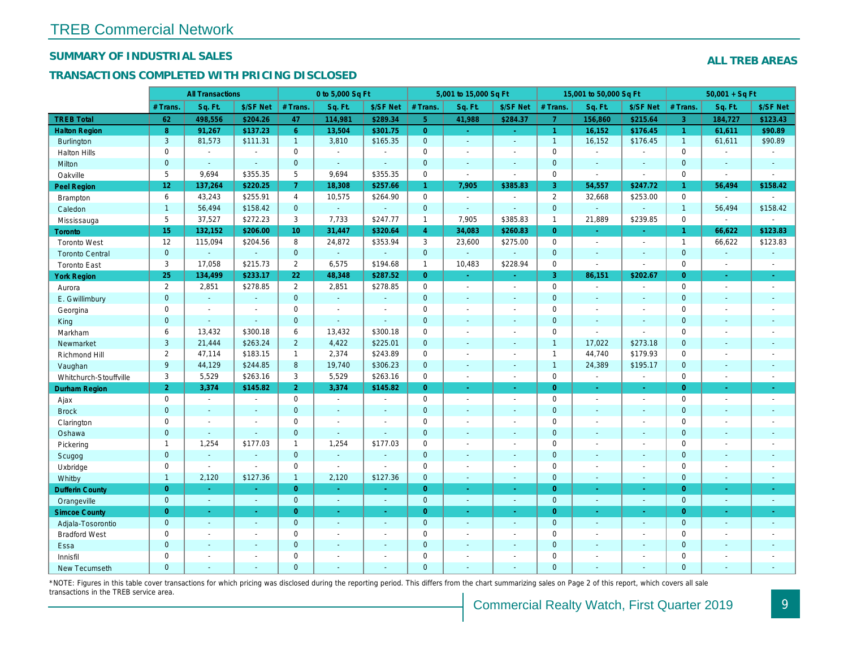#### **SUMMARY OF INDUSTRIAL SALES**

#### **TRANSACTIONS COMPLETED WITH PRICING DISCLOSED**

|                        |                     | <b>All Transactions</b>     |                          |                     | 0 to 5,000 Sq Ft |                          |                | 5,001 to 15,000 Sq Ft    |                          |                | 15,001 to 50,000 Sq Ft      |                          |                     | $50,001 + SqFt$             |                             |
|------------------------|---------------------|-----------------------------|--------------------------|---------------------|------------------|--------------------------|----------------|--------------------------|--------------------------|----------------|-----------------------------|--------------------------|---------------------|-----------------------------|-----------------------------|
|                        | # Trans.            | Sq. Ft.                     | \$/SF Net                | # Trans.            | Sq. Ft.          | \$/SF Net                | # Trans.       | Sq. Ft.                  | \$/SF Net                | # Trans.       | Sq. Ft.                     | \$/SF Net                | $#$ Trans.          | Sq. Ft.                     | \$/SF Net                   |
| <b>TREB Total</b>      | 62                  | 498,556                     | \$204.26                 | 47                  | 114,981          | \$289.34                 | 5 <sup>1</sup> | 41,988                   | \$284.37                 | $\overline{7}$ | 156,860                     | \$215.64                 | $\overline{3}$      | 184,727                     | \$123.43                    |
| <b>Halton Region</b>   | 8                   | 91,267                      | \$137.23                 | 6                   | 13,504           | \$301.75                 | $\overline{0}$ | $\omega$                 | $\sim$                   | $\mathbf{1}$   | 16,152                      | \$176.45                 | $\mathbf{1}$        | 61,611                      | \$90.89                     |
| <b>Burlington</b>      | $\overline{3}$      | 81,573                      | \$111.31                 | $\overline{1}$      | 3,810            | \$165.35                 | $\overline{0}$ | ÷.                       | $\sim$                   | $\mathbf{1}$   | 16,152                      | \$176.45                 | $\mathbf{1}$        | 61,611                      | \$90.89                     |
| <b>Halton Hills</b>    | $\mathsf{O}\xspace$ | $\sim$                      | $\sim$                   | $\mathsf{O}\xspace$ | $\sim$           | $\sim$                   | $\mathbf 0$    | ÷                        | $\sim$                   | $\mathbf 0$    | $\sim$                      | $\sim$                   | $\mathbf 0$         |                             | $\sim$                      |
| Milton                 | $\overline{0}$      | $\mathcal{L}$               | $\sim$                   | $\mathbf 0$         | $\sim$           |                          | $\overline{0}$ | ÷,                       | $\sim$                   | $\overline{0}$ | i.                          |                          | $\mathbf{0}$        |                             | $\sim$                      |
| Oakville               | 5                   | 9,694                       | \$355.35                 | 5                   | 9,694            | \$355.35                 | $\mathbf 0$    | $\overline{\phantom{a}}$ | $\sim$                   | $\mathbf 0$    | $\sim$                      | $\sim$                   | $\mathbf 0$         | $\sim$                      | $\sim$                      |
| Peel Region            | 12                  | 137,264                     | \$220.25                 | $\overline{7}$      | 18,308           | \$257.66                 | $\mathbf{1}$   | 7,905                    | \$385.83                 | 3              | 54,557                      | \$247.72                 | -1                  | 56,494                      | \$158.42                    |
| Brampton               | 6                   | 43,243                      | \$255.91                 | $\overline{4}$      | 10,575           | \$264.90                 | $\mathbf 0$    | $\sim$                   | $\sim$                   | 2              | 32,668                      | \$253.00                 | $\mathbf 0$         | $\sim$                      |                             |
| Caledon                | $\overline{1}$      | 56,494                      | \$158.42                 | $\mathbf{0}$        | ä,               | $\sim$                   | $\mathbf 0$    | $\overline{\phantom{a}}$ |                          | $\mathbf{0}$   | $\sim$                      |                          | $\mathbf{1}$        | 56,494                      | \$158.42                    |
| Mississauga            | 5                   | 37,527                      | \$272.23                 | 3                   | 7,733            | \$247.77                 | $\mathbf{1}$   | 7,905                    | \$385.83                 | $\mathbf{1}$   | 21,889                      | \$239.85                 | 0                   | $\mathbb{Z}^2$              |                             |
| Toronto                | 15                  | 132,152                     | \$206.00                 | 10                  | 31,447           | \$320.64                 | $\overline{4}$ | 34,083                   | \$260.83                 | $\overline{O}$ | i.                          | $\sim$                   | $\overline{1}$      | 66,622                      | \$123.83                    |
| Toronto West           | 12                  | 115,094                     | \$204.56                 | 8                   | 24,872           | \$353.94                 | 3              | 23,600                   | \$275.00                 | $\mathbf 0$    | $\sim$                      | $\sim$                   | $\mathbf{1}$        | 66,622                      | \$123.83                    |
| <b>Toronto Central</b> | $\mathbf{0}$        | L,                          | $\mathbb{Z}^2$           | $\overline{0}$      | $\mathcal{L}$    | ÷.                       | $\overline{0}$ | ÷.                       | $\mathcal{L}$            | $\overline{0}$ | ÷.                          |                          | $\mathbf{0}$        | i.                          | $\sim$                      |
| <b>Toronto East</b>    | 3                   | 17,058                      | \$215.73                 | $\overline{2}$      | 6,575            | \$194.68                 | $\mathbf{1}$   | 10,483                   | \$228.94                 | $\mathbf 0$    | $\sim$                      |                          | $\mathsf{O}\xspace$ | $\sim$                      | $\sim$                      |
| <b>York Region</b>     | 25                  | 134,499                     | \$233.17                 | 22                  | 48,348           | \$287.52                 | $\overline{0}$ | $\sim$                   | $\sim$                   | $\overline{3}$ | 86,151                      | \$202.67                 | $\overline{0}$      | $\mathcal{L}_{\mathcal{A}}$ | $\sim$                      |
| Aurora                 | $\overline{2}$      | 2,851                       | \$278.85                 | $\overline{2}$      | 2,851            | \$278.85                 | $\mathbf 0$    | $\sim$                   | $\sim$                   | $\mathbf 0$    | $\sim$                      | $\sim$                   | $\mathsf{O}\xspace$ |                             | $\mathcal{L}_{\mathcal{A}}$ |
| E. Gwillimbury         | $\mathbf{0}$        | ä,                          | $\blacksquare$           | $\overline{0}$      | ÷.               | $\mathcal{L}$            | $\overline{0}$ | $\mathbf{u}$             | $\sim$                   | $\mathbf{0}$   |                             |                          | $\mathbf{0}$        |                             |                             |
| Georgina               | $\mathbf 0$         | $\overline{\phantom{a}}$    | $\overline{\phantom{a}}$ | $\mathbf 0$         | $\overline{a}$   | $\overline{\phantom{a}}$ | $\mathbf 0$    |                          | $\sim$                   | $\mathbf 0$    | $\overline{\phantom{a}}$    |                          | $\mathbf 0$         |                             |                             |
| King                   | $\mathbf{0}$        | $\mathcal{L}_{\mathcal{A}}$ | $\mathcal{L}$            | $\mathbf 0$         | ä,               | $\sim$                   | $\overline{0}$ | $\blacksquare$           | $\sim$                   | $\mathbf{0}$   | $\mathcal{L}_{\mathcal{A}}$ | $\sim$                   | $\mathbf{0}$        |                             | $\sim$                      |
| Markham                | 6                   | 13,432                      | \$300.18                 | 6                   | 13,432           | \$300.18                 | $\mathbf 0$    |                          | $\overline{a}$           | $\mathbf{0}$   | $\sim$                      |                          | $\mathbf 0$         |                             |                             |
| Newmarket              | $\overline{3}$      | 21,444                      | \$263.24                 | $\overline{2}$      | 4,422            | \$225.01                 | $\mathbf 0$    | $\overline{a}$           | $\sim$                   | $\mathbf{1}$   | 17,022                      | \$273.18                 | $\mathbf 0$         |                             | $\sim$                      |
| Richmond Hill          | $\overline{2}$      | 47,114                      | \$183.15                 | $\mathbf{1}$        | 2,374            | \$243.89                 | $\mathbf 0$    | $\overline{a}$           | $\overline{\phantom{a}}$ | $\mathbf{1}$   | 44,740                      | \$179.93                 | 0                   |                             |                             |
| Vaughan                | 9                   | 44,129                      | \$244.85                 | $8\,$               | 19,740           | \$306.23                 | $\overline{0}$ | ÷                        | $\sim$                   | $\mathbf{1}$   | 24,389                      | \$195.17                 | $\overline{0}$      |                             | $\sim$                      |
| Whitchurch-Stouffville | $\mathbf{3}$        | 5,529                       | \$263.16                 | 3                   | 5,529            | \$263.16                 | $\mathbf 0$    | $\overline{\phantom{a}}$ | $\sim$                   | $\mathbf{0}$   | $\sim$                      | $\blacksquare$           | $\mathbf 0$         | $\sim$                      | $\sim$                      |
| Durham Region          | 2                   | 3,374                       | \$145.82                 | $\overline{2}$      | 3,374            | \$145.82                 | $\overline{0}$ | $\omega$                 | $\sim$                   | $\overline{0}$ | $\omega$                    |                          | $\overline{0}$      |                             |                             |
| Ajax                   | $\mathbf 0$         | $\overline{a}$              | $\sim$                   | $\mathbf 0$         | $\mathcal{L}$    | $\sim$                   | $\Omega$       | $\overline{a}$           | $\sim$                   | $\Omega$       | $\sim$                      |                          | $\Omega$            |                             | $\sim$                      |
| <b>Brock</b>           | $\mathbf{0}$        | ÷,                          | $\sim$                   | $\mathbf 0$         | $\Box$           |                          | $\mathbf 0$    |                          | $\sim$                   | $\mathbf{0}$   |                             |                          | $\mathbf{0}$        |                             |                             |
| Clarington             | $\mathbf 0$         | $\overline{\phantom{a}}$    | $\sim$                   | $\mathbf 0$         | $\mathbf{r}$     | $\sim$                   | $\mathbf 0$    | $\overline{a}$           | $\sim$                   | $\mathbf 0$    | $\sim$                      | $\sim$                   | $\mathbf 0$         |                             | $\sim$                      |
| Oshawa                 | $\mathbf 0$         | $\mathbb{Z}^2$              | $\mathcal{L}$            | $\mathbf 0$         | $\sim$           | ÷                        | $\mathbf 0$    |                          | ÷.                       | $\mathbf{0}$   |                             |                          | $\mathbf 0$         |                             |                             |
| Pickering              | $\mathbf{1}$        | 1,254                       | \$177.03                 | $\mathbf{1}$        | 1,254            | \$177.03                 | $\mathbf 0$    | $\overline{\phantom{a}}$ | $\sim$                   | $\mathbf 0$    | $\sim$                      | $\sim$                   | $\mathbf 0$         |                             | $\sim$                      |
| Scugog                 | $\mathbf{0}$        | ÷.                          | $\sim$                   | $\overline{0}$      | a.               | $\sim$                   | $\Omega$       |                          | $\sim$                   | $\overline{0}$ |                             |                          | $\mathbf{0}$        |                             | $\sim$                      |
| Uxbridge               | $\mathbf 0$         | $\sim$                      | $\sim$                   | $\mathsf{O}\xspace$ | $\sim$           | $\sim$                   | $\mathbf 0$    | $\overline{\phantom{a}}$ | $\overline{\phantom{a}}$ | $\mathbf 0$    | $\sim$                      | $\overline{\phantom{a}}$ | $\mathbf 0$         |                             | $\overline{\phantom{a}}$    |
| Whitby                 | $\overline{1}$      | 2,120                       | \$127.36                 | $\mathbf{1}$        | 2,120            | \$127.36                 | $\overline{0}$ | $\sim$                   | $\sim$                   | $\overline{0}$ | $\sim$                      | $\sim$                   | $\Omega$            | $\overline{\phantom{a}}$    | $\sim$                      |
| <b>Dufferin County</b> | $\overline{O}$      | ÷.                          |                          | $\overline{0}$      | ä,               |                          | $\overline{0}$ | ÷.                       | $\mathcal{L}$            | $\overline{0}$ | ÷.                          | $\omega$                 | $\overline{0}$      |                             | $\sim$                      |
| Orangeville            | $\overline{0}$      | $\mathcal{L}_{\mathcal{A}}$ | $\sim$                   | $\mathbf 0$         | $\sim$           | $\sim$                   | $\overline{0}$ | $\blacksquare$           | $\sim$                   | $\mathbf{0}$   | $\sim$                      | $\sim$                   | $\mathbf{0}$        | $\sim$                      | $\sim$                      |
| <b>Simcoe County</b>   | $\overline{0}$      | u,                          | u.                       | $\overline{0}$      | u.               |                          | $\overline{0}$ |                          | ÷.                       | $\overline{0}$ |                             |                          | $\overline{0}$      |                             | i.                          |
| Adjala-Tosorontio      | $\mathbf 0$         | $\mathcal{L}$               | $\sim$                   | $\overline{0}$      | ÷.               | $\sim$                   | $\mathbf{0}$   | $\mathbf{u}$             | $\sim$                   | $\overline{0}$ | $\mathbb{Z}^2$              | $\sim$                   | $\mathbf{0}$        |                             | $\sim$                      |
| <b>Bradford West</b>   | $\mathbf 0$         |                             | $\overline{\phantom{a}}$ | $\mathbf 0$         | $\overline{a}$   |                          | $\mathbf 0$    |                          |                          | $\mathbf 0$    | $\overline{a}$              |                          | $\mathbf 0$         |                             |                             |
| Essa                   | $\mathbf 0$         | ÷.                          | $\mathbf{u}$             | $\mathbf 0$         | L.               | $\Box$                   | $\mathbf 0$    | L,                       | $\mathcal{L}$            | $\mathbf{0}$   |                             |                          | $\mathbf 0$         |                             |                             |
| Innisfil               | $\mathbf 0$         | $\overline{a}$              | $\overline{\phantom{a}}$ | $\mathbf 0$         | $\overline{a}$   |                          | $\mathbf 0$    |                          |                          | $\mathbf 0$    |                             |                          | $\mathbf 0$         |                             |                             |
| New Tecumseth          | $\Omega$            | ÷.                          | $\sim$                   | $\Omega$            | $\overline{a}$   |                          | $\Omega$       | $\sim$                   | $\sim$                   | $\Omega$       | $\sim$                      |                          | $\Omega$            |                             |                             |

\*NOTE: Figures in this table cover transactions for which pricing was disclosed during the reporting period. This differs from the chart summarizing sales on Page 2 of this report, which covers all sale transactions in the TREB service area.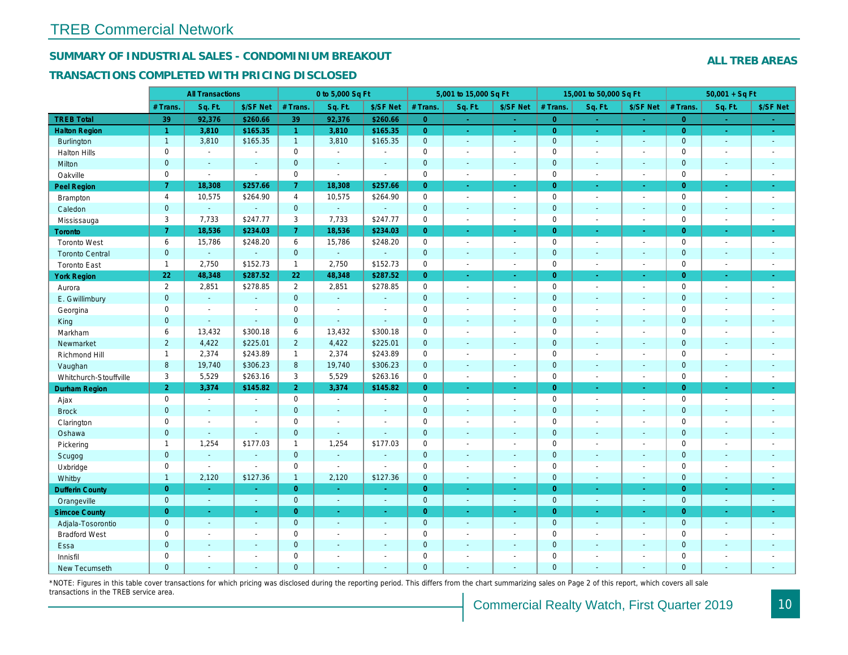#### **SUMMARY OF INDUSTRIAL SALES - CONDOMINIUM BREAKOUT**

#### **TRANSACTIONS COMPLETED WITH PRICING DISCLOSED**

|                        |                  | <b>All Transactions</b>  |                          |                  | 0 to 5,000 Sq Ft            |                |                     | 5,001 to 15,000 Sq Ft    |                             |                     | 15,001 to 50,000 Sq Ft      |                             |                     | $50,001 + SqF$           |                             |
|------------------------|------------------|--------------------------|--------------------------|------------------|-----------------------------|----------------|---------------------|--------------------------|-----------------------------|---------------------|-----------------------------|-----------------------------|---------------------|--------------------------|-----------------------------|
|                        | # Trans          | Sq. Ft.                  | \$/SF Net                | # Trans          | Sq. Ft.                     | \$/SF Net      | # Trans.            | Sq. Ft.                  | \$/SF Net                   | # Trans.            | Sq. Ft.                     | \$/SF Net                   | # Trans             | Sq. Ft.                  | \$/SF Net                   |
| <b>TREB Total</b>      | 39               | 92,376                   | \$260.66                 | 39               | 92,376                      | \$260.66       | $\overline{0}$      | $\sim$                   |                             | $\overline{0}$      | $\sim$                      | $\sim$                      | $\overline{0}$      | $\sim$                   |                             |
| <b>Halton Region</b>   | $\overline{1}$   | 3,810                    | \$165.35                 | $\overline{1}$   | 3,810                       | \$165.35       | $\overline{0}$      | ч.                       | $\sim$                      | $\overline{0}$      | $\sim$                      | $\omega$                    | $\overline{0}$      | $\omega$                 | $\omega$                    |
| Burlington             | $\overline{1}$   | 3,810                    | \$165.35                 | $\overline{1}$   | 3,810                       | \$165.35       | $\mathbf 0$         | $\mathcal{L}$            | $\blacksquare$              | $\mathbf{0}$        | $\sim$                      | $\mathbb{Z}^2$              | $\mathbf 0$         | $\mathcal{L}$            | $\mathbb{Z}^2$              |
| <b>Halton Hills</b>    | $\mathbf 0$      | $\overline{\phantom{a}}$ | $\overline{\phantom{a}}$ | $\mathbf 0$      | $\sim$                      | $\overline{a}$ | $\mathbf 0$         |                          | $\sim$                      | $\mathbf 0$         | $\sim$                      | L,                          | $\mathbf 0$         | ÷,                       | $\overline{a}$              |
| Milton                 | $\mathbf{0}$     | $\mathbb{Z}^2$           | $\overline{\phantom{a}}$ | $\overline{0}$   | ÷.                          | $\sim$         | $\mathbf 0$         |                          | $\blacksquare$              | $\mathbf{0}$        | $\sim$                      | $\mathcal{L}_{\mathcal{A}}$ | $\mathbf{0}$        | $\overline{\phantom{a}}$ | $\blacksquare$              |
| Oakville               | $\mathbf 0$      | $\mathbb{R}^2$           | $\sim$                   | $\mathbf 0$      | $\mathcal{L}$               | $\sim$         | $\mathbf 0$         | $\sim$                   | $\sim$                      | $\mathbf 0$         | $\sim$                      | $\sim$                      | $\mathbf 0$         | $\overline{\phantom{a}}$ | $\overline{\phantom{a}}$    |
| Peel Region            | $\overline{7}$   | 18,308                   | \$257.66                 | $\overline{7}$   | 18,308                      | \$257.66       | $\overline{0}$      | $\sim$                   | $\sim$                      | $\overline{0}$      | $\sim$                      | $\omega$                    | $\overline{0}$      | $\sim$                   | $\omega_{\rm c}$            |
| Brampton               | $\overline{4}$   | 10,575                   | \$264.90                 | $\overline{4}$   | 10,575                      | \$264.90       | $\mathbf 0$         | $\overline{\phantom{a}}$ | $\sim$                      | $\mathsf{O}\xspace$ | $\sim$                      | $\overline{a}$              | $\mathbf{0}$        | ÷,                       | $\sim$                      |
| Caledon                | $\overline{0}$   | $\mathbb{Z}^2$           | $\mathbb{Z}^2$           | $\mathbf 0$      | $\mathcal{L}^{\mathcal{A}}$ | $\sim$         | $\mathbf 0$         |                          | $\sim$                      | $\mathbf 0$         | $\sim$                      | $\mathbb{Z}^2$              | $\mathbf{0}$        |                          | $\mathbb{Z}^2$              |
| Mississauga            | 3                | 7,733                    | \$247.77                 | 3                | 7,733                       | \$247.77       | $\mathbf 0$         | $\sim$                   | $\sim$                      | $\mathbf 0$         | $\sim$                      | $\blacksquare$              | $\mathbf 0$         | $\overline{\phantom{a}}$ | $\overline{\phantom{a}}$    |
| Toronto                | $\overline{7}$   | 18,536                   | \$234.03                 | $\overline{7}$   | 18,536                      | \$234.03       | $\overline{0}$      |                          | $\mathcal{L}$               | $\overline{0}$      | $\mathcal{L}$               | ÷.                          | $\overline{0}$      |                          | $\omega$                    |
| <b>Toronto West</b>    | 6                | 15,786                   | \$248.20                 | 6                | 15,786                      | \$248.20       | $\mathbf 0$         | $\sim$                   | $\sim$                      | $\mathbf 0$         | $\sim$                      | $\sim$                      | $\mathbf 0$         | $\overline{\phantom{a}}$ | $\sim$                      |
| <b>Toronto Central</b> | $\overline{0}$   | $\mathcal{L}^{\pm}$      | ÷.                       | $\mathbf{0}$     | $\sim$                      |                | $\mathbf{0}$        |                          | $\sim$                      | $\mathbf{O}$        | $\sim$                      | $\mathcal{L}$               | $\mathbf{0}$        |                          | $\mathcal{L}$               |
| <b>Toronto East</b>    | $\overline{1}$   | 2,750                    | \$152.73                 | $\mathbf{1}$     | 2,750                       | \$152.73       | $\mathbf 0$         | $\overline{\phantom{a}}$ | $\overline{\phantom{a}}$    | $\mathbf 0$         | $\overline{\phantom{a}}$    | $\overline{\phantom{a}}$    | $\mathbf 0$         | $\overline{\phantom{a}}$ | $\overline{\phantom{a}}$    |
| <b>York Region</b>     | 22               | 48,348                   | \$287.52                 | 22               | 48,348                      | \$287.52       | $\overline{0}$      |                          | $\Delta$                    | $\overline{0}$      | u.                          | ÷.                          | $\overline{0}$      | ÷                        | $\mathcal{L}_{\mathcal{A}}$ |
| Aurora                 | 2                | 2,851                    | \$278.85                 | $\overline{2}$   | 2,851                       | \$278.85       | $\mathsf{O}\xspace$ | $\sim$                   | $\mathcal{L}_{\mathcal{A}}$ | $\mathsf{O}\xspace$ | $\sim$                      | $\sim$                      | $\mathsf 0$         | $\overline{\phantom{a}}$ | $\mathcal{L}_{\mathcal{A}}$ |
| E. Gwillimbury         | $\overline{0}$   | ÷.                       | $\sim$                   | $\mathbf{0}$     | ÷.                          | $\sim$         | $\mathbf{0}$        |                          | $\sim$                      | $\overline{0}$      | $\sim$                      | $\sim$                      | $\overline{0}$      |                          | $\sim$                      |
| Georgina               | $\mathbf 0$      | $\overline{\phantom{a}}$ | $\sim$                   | $\mathbf 0$      | $\sim$                      | $\sim$         | $\mathsf{O}\xspace$ |                          | $\overline{\phantom{a}}$    | $\mathsf{O}\xspace$ | $\overline{\phantom{a}}$    | $\overline{\phantom{a}}$    | $\mathsf{O}\xspace$ |                          | ÷                           |
| King                   | $\overline{0}$   | $\mathbb{Z}^2$           | $\mathbb{Z}^2$           | $\mathbf{0}$     | $\mathbb{Z}^2$              | $\sim$         | $\mathbf{0}$        |                          | $\sim$                      | $\overline{0}$      | $\sim$                      | $\mathcal{L}$               | $\overline{0}$      |                          | $\mathcal{L}$               |
| Markham                | $\boldsymbol{6}$ | 13,432                   | \$300.18                 | $\boldsymbol{6}$ | 13,432                      | \$300.18       | $\mathsf{O}\xspace$ |                          | $\overline{\phantom{a}}$    | $\mathsf{O}\xspace$ | $\overline{\phantom{a}}$    | ÷                           | $\mathbf 0$         |                          | $\overline{\phantom{a}}$    |
| Newmarket              | $\overline{2}$   | 4,422                    | \$225.01                 | $\overline{2}$   | 4,422                       | \$225.01       | $\mathbf{0}$        |                          | $\sim$                      | $\mathbf{0}$        |                             | $\mathcal{L}$               | $\mathbf{0}$        |                          | $\mathbf{u}$                |
| Richmond Hill          | $\mathbf{1}$     | 2,374                    | \$243.89                 | $\mathbf{1}$     | 2,374                       | \$243.89       | $\mathsf{O}\xspace$ |                          | $\overline{\phantom{a}}$    | $\mathsf{O}\xspace$ | $\overline{\phantom{a}}$    | $\overline{a}$              | $\mathsf{O}\xspace$ |                          | ÷                           |
| Vaughan                | 8                | 19,740                   | \$306.23                 | $\boldsymbol{8}$ | 19,740                      | \$306.23       | $\mathbf 0$         |                          | $\blacksquare$              | $\mathbf{0}$        | $\sim$                      | $\Box$                      | $\mathbf{0}$        | $\overline{a}$           | $\blacksquare$              |
| Whitchurch-Stouffville | $\mathbf{3}$     | 5,529                    | \$263.16                 | $\mathbf{3}$     | 5,529                       | \$263.16       | 0                   | $\overline{a}$           | $\mathcal{L}_{\mathcal{A}}$ | $\mathsf{O}\xspace$ | $\mathcal{L}_{\mathcal{A}}$ | $\mathcal{L}$               | $\mathbf 0$         | $\overline{\phantom{a}}$ | $\sim$                      |
| Durham Region          | 2                | 3,374                    | \$145.82                 | $\overline{2}$   | 3,374                       | \$145.82       | $\overline{O}$      | $\sim$                   | $\sim$                      | $\overline{0}$      | $\Delta$                    | $\Delta$                    | $\overline{0}$      | $\Delta$                 | $\Delta \phi$               |
| Ajax                   | $\mathbf{0}$     | $\overline{\phantom{a}}$ | $\overline{\phantom{a}}$ | $\mathbf 0$      | $\overline{\phantom{a}}$    | $\overline{a}$ | $\mathbf 0$         |                          | $\sim$                      | $\mathbf 0$         | $\sim$                      | $\overline{\phantom{a}}$    | $\mathbf 0$         | $\overline{\phantom{a}}$ | $\sim$                      |
| <b>Brock</b>           | $\mathbf{0}$     | $\mathbb{Z}^2$           | $\sim$                   | $\mathbf 0$      | $\mathbb{Z}^2$              | $\sim$         | $\mathbf 0$         |                          | $\sim$                      | $\mathbf{0}$        | $\sim$                      | $\mathbb{Z}^2$              | $\mathbf{0}$        |                          | $\sim$                      |
| Clarington             | $\mathbf 0$      | $\overline{\phantom{a}}$ | $\sim$                   | $\mathbf 0$      | $\sim$                      | $\sim$         | $\mathbf 0$         | $\overline{\phantom{a}}$ | $\sim$                      | $\mathbf 0$         | $\sim$                      | $\overline{\phantom{a}}$    | $\mathbf 0$         | ÷,                       | $\sim$                      |
| Oshawa                 | $\mathbf{0}$     | $\mathcal{L}$            |                          | $\overline{0}$   | $\mathbb{Z}^2$              |                | $\mathbf{0}$        |                          | $\sim$                      | $\mathbf{0}$        |                             |                             | $\overline{0}$      |                          | $\overline{\phantom{a}}$    |
| Pickering              | $\mathbf{1}$     | 1,254                    | \$177.03                 | $\mathbf{1}$     | 1,254                       | \$177.03       | $\mathbf 0$         |                          | $\sim$                      | $\mathbf 0$         | $\sim$                      | $\sim$                      | $\mathbf 0$         | $\overline{\phantom{a}}$ | $\overline{\phantom{a}}$    |
| Scugog                 | $\mathbf{0}$     | $\mathbb{Z}^2$           | $\overline{\phantom{a}}$ | $\overline{0}$   | $\mathbb{Z}^2$              |                | $\mathbf 0$         |                          | $\sim$                      | $\mathbf 0$         |                             | $\overline{\phantom{a}}$    | $\overline{0}$      |                          | $\blacksquare$              |
| Uxbridge               | $\mathbf 0$      | $\sim$                   | $\sim$                   | $\mathbf 0$      | $\sim$                      | $\sim$         | $\mathbf 0$         | $\overline{\phantom{a}}$ | $\overline{\phantom{a}}$    | $\mathbf 0$         | $\sim$                      | $\overline{\phantom{a}}$    | $\mathbf 0$         | $\overline{a}$           | $\overline{\phantom{a}}$    |
| Whitby                 | $\overline{1}$   | 2,120                    | \$127.36                 | $\overline{1}$   | 2,120                       | \$127.36       | $\mathbf{0}$        | $\sim$                   | $\sim$                      | $\mathsf{O}\xspace$ | $\sim$                      | $\mathbb{Z}^2$              | $\overline{0}$      | ÷                        | $\blacksquare$              |
| <b>Dufferin County</b> | $\overline{0}$   | ä,                       |                          | $\overline{0}$   | ÷.                          |                | $\overline{0}$      | $\sim$                   | $\sim$                      | $\overline{0}$      | $\sim$                      | ÷.                          | $\overline{0}$      | $\omega$                 | $\Delta \phi$               |
| Orangeville            | $\overline{0}$   | $\omega$                 | $\sim$                   | $\mathbf 0$      | $\sim$                      | $\sim$         | $\mathbf 0$         | $\sim$                   | $\blacksquare$              | $\mathbf{0}$        | $\sim$                      | $\omega$                    | $\mathbf 0$         | $\mathbb{Z}^2$           | $\omega$                    |
| <b>Simcoe County</b>   | $\overline{0}$   | ÷.                       | ÷.                       | $\overline{0}$   | u.                          | $\sim$         | $\overline{0}$      |                          | $\Delta$                    | $\overline{0}$      | $\Delta$                    | ÷.                          | $\overline{0}$      | $\sim$                   | ÷.                          |
| Adjala-Tosorontio      | $\overline{0}$   | $\mathbb{Z}$             | $\sim$                   | $\mathbf{0}$     | ÷.                          | $\sim$         | $\mathbf{0}$        | $\sim$                   | $\sim$                      | $\mathbf{0}$        | $\mathcal{L}$               | $\mathbb{Z}^2$              | $\overline{0}$      | ÷,                       | $\mathcal{L}$               |
| <b>Bradford West</b>   | $\mathbf 0$      | $\overline{a}$           | $\overline{\phantom{a}}$ | $\mathbf 0$      | $\overline{\phantom{a}}$    |                | $\mathbf 0$         |                          | $\overline{\phantom{a}}$    | $\mathbf 0$         | $\overline{\phantom{a}}$    | ÷                           | $\mathbf 0$         |                          | ÷                           |
| Essa                   | $\mathbf 0$      | ÷.                       | $\mathbf{u}$             | $\overline{0}$   | ÷                           | $\sim$         | $\mathbf{0}$        |                          | $\sim$                      | $\mathbf{0}$        |                             | $\mathcal{L}_{\mathcal{A}}$ | $\overline{0}$      |                          | ÷.                          |
| Innisfil               | $\mathbf 0$      | ÷,                       | $\overline{\phantom{a}}$ | $\mathbf 0$      | $\overline{a}$              |                | $\mathbf 0$         |                          | $\overline{\phantom{a}}$    | $\mathbf 0$         | $\overline{\phantom{a}}$    | ÷                           | $\mathbf 0$         | $\overline{a}$           | $\overline{a}$              |
| New Tecumseth          | $\Omega$         | ÷.                       | $\sim$                   | $\Omega$         | $\sim$                      |                | $\Omega$            | $\sim$                   | $\sim$                      | $\Omega$            | $\sim$                      | $\overline{a}$              | $\overline{0}$      | ÷.                       | $\sim$                      |

\*NOTE: Figures in this table cover transactions for which pricing was disclosed during the reporting period. This differs from the chart summarizing sales on Page 2 of this report, which covers all sale transactions in the TREB service area.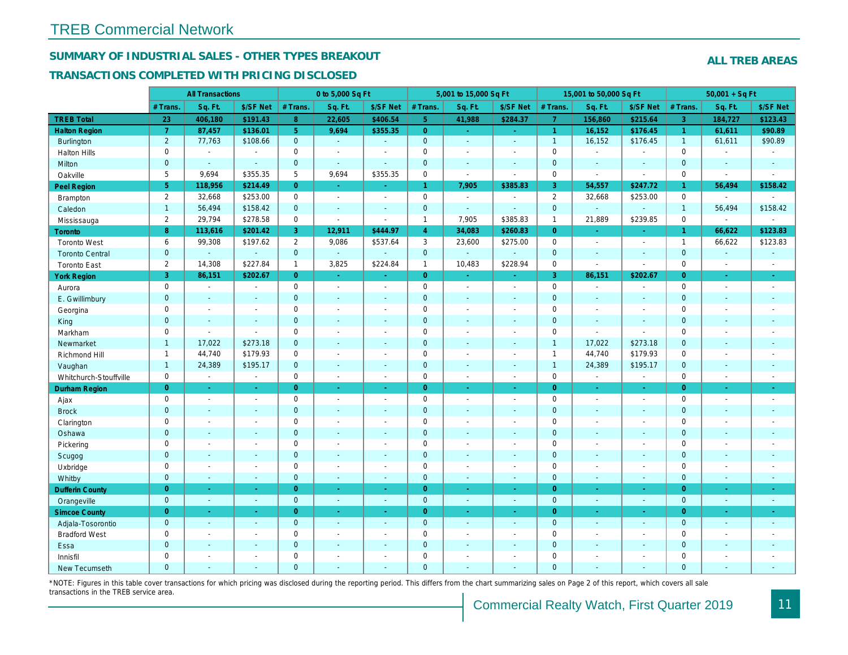#### **SUMMARY OF INDUSTRIAL SALES - OTHER TYPES BREAKOUT**

#### **TRANSACTIONS COMPLETED WITH PRICING DISCLOSED**

|                        |                | <b>All Transactions</b>     |                             |                     | 0 to 5,000 Sq Ft            |                          |                | 5,001 to 15,000 Sq Ft       |                          |                     | 15,001 to 50,000 Sq Ft   |                             |                     | $50,001 + SqF$           |                             |
|------------------------|----------------|-----------------------------|-----------------------------|---------------------|-----------------------------|--------------------------|----------------|-----------------------------|--------------------------|---------------------|--------------------------|-----------------------------|---------------------|--------------------------|-----------------------------|
|                        | # Trans        | Sq. Ft.                     | \$/SF Net                   | # Trans             | Sq. Ft.                     | \$/SF Net                | # Trans        | Sq. Ft.                     | \$/SF Net                | # Trans.            | Sq. Ft.                  | \$/SF Net                   | # Trans.            | Sq. Ft.                  | \$/SF Net                   |
| <b>TREB Total</b>      | 23             | 406,180                     | \$191.43                    | 8 <sup>°</sup>      | 22,605                      | \$406.54                 | 5 <sup>°</sup> | 41,988                      | \$284.37                 | $\overline{7}$      | 156,860                  | \$215.64                    | $\overline{3}$      | 184,727                  | \$123.43                    |
| <b>Halton Region</b>   | $\overline{7}$ | 87,457                      | \$136.01                    | 5 <sup>°</sup>      | 9.694                       | \$355.35                 | $\overline{0}$ | $\omega_{\rm{eff}}$         | $\sim$                   | $\mathbf{1}$        | 16,152                   | \$176.45                    | $\mathbf{1}$        | 61,611                   | \$90.89                     |
| <b>Burlington</b>      | $\overline{2}$ | 77,763                      | \$108.66                    | $\mathbf{0}$        | $\omega_{\rm c}$            | $\mathcal{L}$            | $\mathbf{0}$   | ÷.                          | $\sim$                   | $\mathbf{1}$        | 16,152                   | \$176.45                    | $\mathbf{1}$        | 61,611                   | \$90.89                     |
| Halton Hills           | $\mathbf 0$    | $\sim$                      | $\overline{a}$              | $\mathbf 0$         | $\overline{a}$              | $\sim$                   | $\mathbf 0$    | $\overline{a}$              | $\sim$                   | $\mathbf 0$         | $\overline{\phantom{a}}$ | $\overline{a}$              | $\mathbf 0$         | $\sim$                   | $\overline{\phantom{a}}$    |
| Milton                 | $\mathbf{0}$   | $\mathbb{Z}^2$              | $\sim$                      | $\mathbf{0}$        | $\mathcal{L}_{\mathcal{A}}$ | $\mathcal{L}$            | $\mathbf{0}$   | $\mathbf{u}$                | $\sim$                   | $\mathbf 0$         | $\sim$                   | $\sim$                      | $\mathbf{0}$        | $\sim$                   | $\omega$                    |
| Oakville               | 5              | 9,694                       | \$355.35                    | 5                   | 9,694                       | \$355.35                 | $\mathbf 0$    | $\sim$                      | $\sim$                   | $\mathbf 0$         | $\mathcal{L}$            | $\sim$                      | $\mathbf 0$         | $\sim$                   | $\sim$                      |
| Peel Region            | 5 <sub>5</sub> | 118,956                     | \$214.49                    | $\overline{0}$      | $\omega_{\rm c}$            | $\sim$                   | $\mathbf{1}$   | 7,905                       | \$385.83                 | 3                   | 54,557                   | \$247.72                    | $\mathbf{1}$        | 56,494                   | \$158.42                    |
| Brampton               | 2              | 32,668                      | \$253.00                    | $\mathsf{O}\xspace$ | $\mathcal{L}$               | $\sim$                   | $\mathbf 0$    | $\sim$                      | $\sim$                   | $\overline{2}$      | 32,668                   | \$253.00                    | $\mathbf 0$         | $\sim$                   |                             |
| Caledon                | $\overline{1}$ | 56,494                      | \$158.42                    | $\mathsf{O}\xspace$ | ÷.                          | $\mathcal{L}$            | $\mathbf 0$    | $\mathbb{Z}^2$              | $\mathcal{L}$            | $\mathbf 0$         | $\sim$                   | $\sim$                      | $\mathbf{1}$        | 56,494                   | \$158.42                    |
| Mississauga            | 2              | 29,794                      | \$278.58                    | $\mathbf 0$         | $\sim$                      | $\sim$                   | $\mathbf{1}$   | 7,905                       | \$385.83                 | $\mathbf{1}$        | 21,889                   | \$239.85                    | $\mathbf 0$         | $\sim$                   | $\sim$                      |
| <b>Toronto</b>         | 8              | 113,616                     | \$201.42                    | $\overline{3}$      | 12,911                      | \$444.97                 | $\overline{4}$ | 34,083                      | \$260.83                 | $\overline{0}$      |                          | $\mathcal{L}_{\mathcal{A}}$ | $\mathbf{1}$        | 66,622                   | \$123.83                    |
| <b>Toronto West</b>    | 6              | 99,308                      | \$197.62                    | 2                   | 9,086                       | \$537.64                 | 3              | 23,600                      | \$275.00                 | $\mathbf 0$         | $\sim$                   | $\sim$                      | $\overline{1}$      | 66,622                   | \$123.83                    |
| <b>Toronto Central</b> | $\mathbf{0}$   | ÷.                          | $\mathcal{L}$               | $\mathbf{0}$        | ÷.                          | $\mathcal{L}$            | $\mathbf{0}$   | $\mathcal{L}$               |                          | $\mathbf{0}$        | $\mathcal{L}$            | $\sim$                      | $\mathbf{O}$        | $\mathcal{L}$            | $\mathcal{L}_{\mathcal{A}}$ |
| <b>Toronto East</b>    | 2              | 14,308                      | \$227.84                    | $\overline{1}$      | 3,825                       | \$224.84                 | $\mathbf{1}$   | 10,483                      | \$228.94                 | $\mathsf{O}\xspace$ | $\blacksquare$           | $\sim$                      | $\mathbf 0$         | $\overline{\phantom{a}}$ | $\sim$                      |
| <b>York Region</b>     | $\overline{3}$ | 86,151                      | \$202.67                    | $\overline{0}$      | $\Delta \phi$               | $\sim$                   | $\overline{0}$ | u,                          | in 1                     | $\overline{3}$      | 86,151                   | \$202.67                    | $\overline{0}$      | ш.                       | $\sim$                      |
| Aurora                 | $\mathbf 0$    | $\sim$                      | $\sim$                      | $\mathsf{O}$        | $\mathbb{L}^+$              | $\blacksquare$           | $\mathbf 0$    | $\overline{\phantom{a}}$    | $\sim$                   | $\mathsf{O}\xspace$ | $\sim$                   | $\mathbb{L}$                | $\mathbf 0$         | $\sim$                   | $\mathbb{L}^+$              |
| E. Gwillimbury         | $\overline{0}$ | ÷                           | $\sim$                      | $\overline{0}$      | ÷.                          | ÷                        | $\mathbf{0}$   | ÷                           | $\sim$                   | $\mathbf{0}$        |                          |                             | $\overline{0}$      |                          | ÷.                          |
| Georgina               | $\mathbf 0$    |                             | $\overline{\phantom{a}}$    | $\mathbf 0$         | $\overline{\phantom{a}}$    | $\overline{\phantom{a}}$ | $\mathbf 0$    | ÷                           | $\overline{\phantom{a}}$ | $\mathsf{O}\xspace$ | $\sim$                   | $\overline{\phantom{a}}$    | $\mathsf{O}\xspace$ |                          | $\overline{\phantom{a}}$    |
| King                   | $\overline{0}$ | ÷.                          | $\mathcal{L}$               | $\mathbf{0}$        | ÷,                          | $\mathcal{L}$            | $\mathbf{0}$   | $\overline{\phantom{a}}$    | $\sim$                   | $\mathbf{0}$        | $\sim$                   | $\sim$                      | $\overline{0}$      |                          | $\mathbb{Z}^2$              |
| Markham                | $\mathbf 0$    | $\sim$                      | $\overline{a}$              | $\mathsf{O}$        | $\overline{a}$              | ÷                        | $\mathbf 0$    |                             | $\sim$                   | $\mathsf{O}\xspace$ | $\mathbb{Z}^2$           | $\sim$                      | $\mathsf{O}\xspace$ |                          | $\overline{\phantom{a}}$    |
| Newmarket              | $\overline{1}$ | 17,022                      | \$273.18                    | $\mathbf 0$         | $\mathbf{u}$                | ÷,                       | $\mathbf{0}$   |                             |                          | $\mathbf{1}$        | 17,022                   | \$273.18                    | $\mathbf{0}$        |                          | $\mathbb{Z}^2$              |
| Richmond Hill          | $\overline{1}$ | 44,740                      | \$179.93                    | $\mathsf{O}$        | $\overline{a}$              | ÷                        | $\mathbf 0$    | ÷                           |                          | $\mathbf{1}$        | 44,740                   | \$179.93                    | $\mathbf 0$         |                          | $\overline{\phantom{a}}$    |
| Vaughan                | $\overline{1}$ | 24,389                      | \$195.17                    | $\mathbf 0$         | $\mathcal{L}_{\mathcal{A}}$ | $\mathcal{L}$            | $\mathbf{0}$   | $\mathbf{u}$                | $\sim$                   | $\mathbf{1}$        | 24,389                   | \$195.17                    | $\mathbf{0}$        |                          | $\mathcal{L}_{\mathcal{A}}$ |
| Whitchurch-Stouffville | $\mathbf 0$    | $\mathbb{Z}^{\mathbb{Z}}$   | $\omega$                    | $\mathbf 0$         | $\mathbb{L}^+$              | $\sim$                   | $\mathbf 0$    | ÷,                          | $\blacksquare$           | $\mathbf 0$         | $\sim$                   | $\sim$                      | $\mathbf 0$         | $\sim$                   | $\blacksquare$              |
| Durham Region          | $\overline{0}$ | $\omega$                    | $\sim$                      | $\overline{0}$      | $\omega_{\rm c}$            | ÷.                       | $\overline{0}$ | ÷.                          | $\sim$                   | $\overline{0}$      | $\sim$                   | $\Delta$                    | $\overline{0}$      | $\sim$                   | $\sim$                      |
| Ajax                   | $\mathbf 0$    | $\overline{\phantom{a}}$    | $\overline{\phantom{a}}$    | $\mathbf 0$         | $\overline{\phantom{a}}$    | $\overline{a}$           | $\mathbf 0$    | $\overline{a}$              | $\sim$                   | $\mathbf 0$         | $\overline{a}$           | $\sim$                      | $\mathbf 0$         | $\overline{\phantom{a}}$ | $\sim$                      |
| <b>Brock</b>           | $\mathbf{0}$   | $\mathbb{Z}^2$              | $\sim$                      | $\overline{0}$      | $\mathbb{Z}^2$              | $\mathbf{u}$             | $\mathbf{0}$   | $\overline{\phantom{a}}$    | $\sim$                   | $\mathbf 0$         | $\sim$                   | $\sim$                      | $\mathbf 0$         |                          | $\mathbb{Z}^2$              |
| Clarington             | $\mathbf 0$    | $\overline{\phantom{a}}$    | $\sim$                      | $\mathbf 0$         | $\sim$                      | $\sim$                   | $\mathbf 0$    | $\overline{\phantom{a}}$    | $\overline{a}$           | $\mathbf 0$         | $\sim$                   | $\sim$                      | $\mathbf 0$         | $\overline{\phantom{a}}$ | $\sim$                      |
| Oshawa                 | $\mathbf{0}$   |                             | $\overline{\phantom{a}}$    | $\overline{0}$      |                             |                          | $\mathbf 0$    |                             |                          | $\mathbf{0}$        |                          |                             | $\mathbf{0}$        |                          |                             |
| Pickering              | $\mathbf 0$    | $\overline{\phantom{a}}$    | $\overline{\phantom{a}}$    | $\mathbf 0$         | $\sim$                      | $\sim$                   | $\mathbf 0$    | ÷                           | $\sim$                   | $\mathbf 0$         | $\sim$                   | $\sim$                      | $\mathbf 0$         | $\overline{\phantom{a}}$ | $\overline{\phantom{a}}$    |
| Scugog                 | $\mathbf 0$    | $\sim$                      | $\overline{\phantom{a}}$    | $\overline{0}$      | ÷                           | $\overline{\phantom{a}}$ | $\mathbf{0}$   |                             | $\sim$                   | $\mathbf 0$         |                          | $\sim$                      | $\overline{0}$      |                          | $\mathbf{r}$                |
| Uxbridge               | $\mathbf 0$    | $\overline{\phantom{a}}$    | $\overline{\phantom{a}}$    | $\mathbf 0$         | $\overline{\phantom{a}}$    | $\overline{\phantom{a}}$ | $\mathbf 0$    | $\overline{\phantom{a}}$    | $\sim$                   | $\mathbf 0$         | $\sim$                   | $\sim$                      | $\mathbf 0$         | $\overline{\phantom{a}}$ | $\overline{\phantom{a}}$    |
| Whitby                 | $\mathbf 0$    | $\mathcal{L}_{\mathcal{A}}$ | $\blacksquare$              | $\overline{0}$      | $\mathcal{L}_{\mathcal{A}}$ | $\mathbf{u}$             | $\mathbf{0}$   | $\mathbf{u}$                | $\sim$                   | $\mathbf{0}$        | $\sim$                   | $\sim$                      | $\overline{0}$      | $\sim$                   | $\sim$                      |
| <b>Dufferin County</b> | $\overline{0}$ | ÷.                          | $\mathcal{L}_{\mathcal{A}}$ | $\overline{0}$      | $\omega_{\rm c}$            | $\omega$                 | $\overline{0}$ | ÷.                          | $\sim$                   | $\overline{0}$      | in 19                    | $\sim$                      | $\overline{0}$      | $\sim$                   | $\omega$                    |
| Orangeville            | $\mathbf{0}$   | $\omega$                    | $\omega$                    | $\mathbf 0$         | ÷.                          | $\mathbb{Z}^2$           | $\mathbf 0$    | $\mathcal{L}_{\mathcal{A}}$ | $\sim$                   | $\mathbf 0$         | $\sim$                   | $\blacksquare$              | $\mathbf 0$         | $\sim$                   | $\omega$                    |
| <b>Simcoe County</b>   | $\overline{0}$ | $\Delta$                    | ÷.                          | $\overline{0}$      | ÷.                          | ÷.                       | $\overline{0}$ | $\omega$                    | ÷.                       | $\overline{0}$      | $\Delta$                 | $\Delta$                    | $\overline{0}$      |                          | $\omega$                    |
| Adjala-Tosorontio      | $\overline{0}$ | ÷.                          | $\mathcal{L}$               | $\overline{0}$      | ÷.                          | $\mathbb{Z}^2$           | $\overline{0}$ | ÷.                          | $\sim$                   | $\mathbf{0}$        | ÷.                       | $\mathcal{L}$               | $\overline{0}$      | $\sim$                   | $\sim$                      |
| <b>Bradford West</b>   | $\mathbf 0$    |                             | $\overline{\phantom{a}}$    | $\mathbf 0$         | ÷                           | ÷                        | $\mathbf 0$    |                             | $\overline{\phantom{a}}$ | $\mathsf{O}\xspace$ |                          | $\overline{\phantom{a}}$    | $\mathbf 0$         |                          | $\overline{\phantom{a}}$    |
| Essa                   | $\mathbf{0}$   |                             | ÷,                          | $\overline{0}$      | ÷                           | ÷,                       | $\mathbf{0}$   | L,                          | ÷                        | $\mathbf{0}$        |                          | ÷.                          | $\mathbf{0}$        |                          | $\mathbb{Z}^2$              |
| Innisfil               | $\mathbf 0$    |                             | $\overline{a}$              | $\mathbf 0$         | $\overline{a}$              | $\overline{\phantom{a}}$ | $\mathbf 0$    | $\overline{\phantom{a}}$    |                          | $\mathbf 0$         |                          | $\overline{\phantom{a}}$    | $\mathbf 0$         |                          | $\overline{\phantom{a}}$    |
| New Tecumseth          | $\Omega$       | ÷.                          | $\sim$                      | $\overline{0}$      | ÷.                          | ÷                        | $\mathbf{0}$   | $\sim$                      | $\sim$                   | $\Omega$            |                          | $\sim$                      | $\Omega$            | $\sim$                   | ÷.                          |

\*NOTE: Figures in this table cover transactions for which pricing was disclosed during the reporting period. This differs from the chart summarizing sales on Page 2 of this report, which covers all sale transactions in the TREB service area.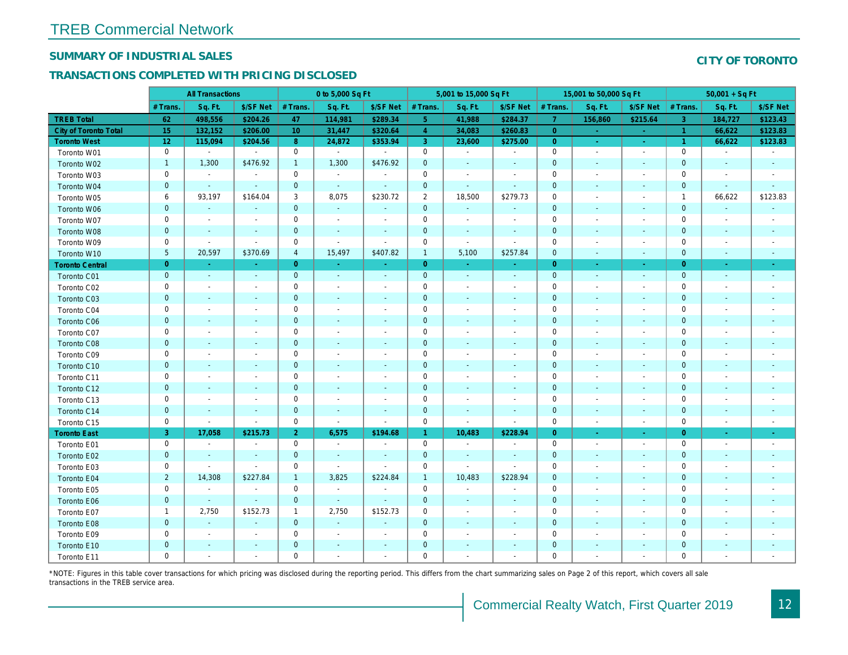#### **SUMMARY OF INDUSTRIAL SALES**

#### **TRANSACTIONS COMPLETED WITH PRICING DISCLOSED**

|                        |                | <b>All Transactions</b>  |                             |                     | 0 to 5,000 Sq Ft         |                          |                     | 5,001 to 15,000 Sq Ft    |                          |                     | 15,001 to 50,000 Sq Ft   |                          |                | $50,001 + SqF$           |                          |
|------------------------|----------------|--------------------------|-----------------------------|---------------------|--------------------------|--------------------------|---------------------|--------------------------|--------------------------|---------------------|--------------------------|--------------------------|----------------|--------------------------|--------------------------|
|                        | # Trans.       | Sq. Ft.                  | \$/SF Net                   | # Trans.            | Sq. Ft.                  | \$/SF Net                | # Trans.            | Sq. Ft.                  | \$/SF Net                | # Trans.            | Sq. Ft.                  | \$/SF Net                | # Trans.       | Sq. Ft.                  | \$/SF Net                |
| <b>TREB Total</b>      | 62             | 498,556                  | \$204.26                    | 47                  | 114,981                  | \$289.34                 | 5 <sup>5</sup>      | 41,988                   | \$284.37                 | $\overline{7}$      | 156,860                  | \$215.64                 | $\overline{3}$ | 184,727                  | \$123.43                 |
| City of Toronto Total  | 15             | 132,152                  | \$206.00                    | 10                  | 31,447                   | \$320.64                 | $\overline{4}$      | 34,083                   | \$260.83                 | $\overline{0}$      |                          |                          | $\overline{1}$ | 66,622                   | \$123.83                 |
| <b>Toronto West</b>    | 12             | 115,094                  | \$204.56                    | 8                   | 24,872                   | \$353.94                 | $\overline{3}$      | 23,600                   | \$275.00                 | $\overline{0}$      | $\Delta$                 | $\sim$                   | $\overline{1}$ | 66,622                   | \$123.83                 |
| Toronto W01            | $\mathbf 0$    | $\sim$                   | $\sim$                      | $\mathsf 0$         | $\sim$                   | $\mathcal{L}$            | $\mathbf 0$         | $\overline{a}$           | $\sim$                   | $\mathsf{O}\xspace$ | $\sim$                   | $\sim$                   | $\mathbf 0$    | $\sim$                   | $\sim$                   |
| Toronto W02            | $\overline{1}$ | 1,300                    | \$476.92                    | $\mathbf{1}$        | 1,300                    | \$476.92                 | $\mathbf{0}$        |                          | $\sim$                   | $\mathbf 0$         | $\sim$                   | $\sim$                   | $\mathbf 0$    | $\sim$                   | $\sim$                   |
| Toronto W03            | $\mathbf 0$    | $\sim$                   | $\blacksquare$              | $\mathbf 0$         | $\sim$                   | $\sim$                   | $\mathbf 0$         |                          | $\sim$                   | $\mathbf 0$         | $\sim$                   | $\sim$                   | $\mathbf 0$    | $\overline{\phantom{a}}$ | $\overline{\phantom{a}}$ |
| Toronto W04            | $\mathbf{0}$   | $\sim$                   | $\sim$                      | $\mathbf 0$         | $\sim$                   | $\sim$                   | $\mathbf{0}$        | $\sim$                   | $\sim$                   | $\mathbf 0$         | $\sim$                   |                          | $\mathbf 0$    | $\mathcal{L}$            | $\sim$                   |
| Toronto W05            | 6              | 93,197                   | \$164.04                    | 3                   | 8,075                    | \$230.72                 | 2                   | 18,500                   | \$279.73                 | $\mathbf 0$         | $\sim$                   | $\overline{\phantom{a}}$ | $\mathbf{1}$   | 66,622                   | \$123.83                 |
| Toronto W06            | $\mathbf{0}$   | $\sim$                   | $\mathcal{L}$               | $\mathsf{O}\xspace$ |                          | $\mathcal{L}$            | $\mathbf{0}$        |                          | $\sim$                   | $\mathbf{0}$        |                          |                          | $\mathbf 0$    |                          |                          |
| Toronto W07            | $\mathbf 0$    | $\sim$                   | $\sim$                      | 0                   | $\sim$                   | $\overline{\phantom{a}}$ | $\mathbf 0$         | $\sim$                   | $\sim$                   | $\mathbf 0$         | $\sim$                   | $\sim$                   | $\mathbf 0$    | $\overline{\phantom{a}}$ |                          |
| Toronto W08            | $\mathbf{0}$   | $\sim$                   | $\mathcal{L}$               | $\mathsf{O}\xspace$ | $\sim$                   | $\sim$                   | $\mathbf 0$         |                          | $\sim$                   | $\mathbf 0$         |                          | $\sim$                   | $\overline{0}$ |                          |                          |
| Toronto W09            | $\mathbf 0$    | $\sim$                   | $\sim$                      | 0                   | $\sim$                   | $\sim$                   | $\mathbf 0$         | $\overline{a}$           | $\sim$                   | $\mathbf 0$         | $\overline{\phantom{a}}$ | $\overline{\phantom{a}}$ | $\mathbf 0$    | ٠                        |                          |
| Toronto W10            | 5              | 20,597                   | \$370.69                    | $\overline{4}$      | 15,497                   | \$407.82                 | $\mathbf{1}$        | 5,100                    | \$257.84                 | $\mathbf 0$         | $\sim$                   | $\sim$                   | $\Omega$       | $\sim$                   |                          |
| <b>Toronto Central</b> | $\overline{0}$ | $\Delta$                 | $\sim$                      | $\overline{0}$      | in 19                    | п.                       | $\overline{0}$      | in 1                     | $\sim$                   | $\overline{0}$      | $\Delta$                 | $\sim$                   | $\overline{0}$ | $\omega$                 | $\sim$                   |
| Toronto C01            | $\mathbf{0}$   | $\blacksquare$           | $\sim$                      | $\mathbf{0}$        | $\sim$                   | $\omega$                 | $\mathbf{0}$        | $\sim$                   | $\sim$                   | $\mathbf 0$         | ÷.                       | $\mathcal{L}$            | $\overline{0}$ | $\blacksquare$           | $\sim$                   |
| Toronto C02            | $\mathbf 0$    | $\overline{\phantom{a}}$ | $\overline{\phantom{a}}$    | 0                   | $\overline{\phantom{a}}$ | $\sim$                   | $\mathbf 0$         |                          | $\overline{\phantom{a}}$ | $\mathbf 0$         | $\overline{a}$           |                          | $\mathbf 0$    |                          |                          |
| Toronto C03            | $\mathbf{0}$   |                          | $\blacksquare$              | $\mathbf 0$         | $\sim$                   | $\sim$                   | $\mathbf 0$         |                          | $\sim$                   | $\mathbf 0$         | $\sim$                   |                          | $\mathbf 0$    | ÷                        | $\sim$                   |
| Toronto C04            | $\mathbf 0$    | $\overline{\phantom{a}}$ | $\overline{\phantom{a}}$    | $\mathbf 0$         | $\overline{\phantom{a}}$ | $\sim$                   | $\mathbf 0$         |                          | $\overline{\phantom{a}}$ | $\mathbf 0$         | $\overline{a}$           |                          | $\mathbf 0$    |                          |                          |
| Toronto C06            | $\mathbf{0}$   | $\sim$                   | $\mathcal{L}$               | $\mathsf{O}\xspace$ |                          | $\sim$                   | $\mathbf 0$         |                          | $\sim$                   | $\mathbf 0$         |                          | $\sim$                   | $\mathbf 0$    |                          |                          |
| Toronto C07            | $\mathbf 0$    | $\overline{\phantom{a}}$ | $\overline{\phantom{a}}$    | $\mathbf 0$         | $\overline{\phantom{a}}$ | $\overline{\phantom{a}}$ | $\mathbf 0$         |                          | $\sim$                   | $\mathbf 0$         |                          |                          | $\mathbf 0$    |                          |                          |
| Toronto C08            | $\mathbf{0}$   | $\sim$                   | $\mathcal{L}$               | $\mathsf{O}\xspace$ | $\sim$                   | ÷.                       | $\overline{0}$      |                          | $\sim$                   | $\mathbf 0$         |                          |                          | $\Omega$       |                          |                          |
| Toronto C09            | $\mathbf 0$    | $\overline{\phantom{a}}$ | $\sim$                      | 0                   | $\overline{\phantom{a}}$ | $\sim$                   | $\mathbf 0$         |                          | $\overline{\phantom{a}}$ | $\mathsf{O}\xspace$ |                          |                          | $\mathbf 0$    |                          |                          |
| Toronto C10            | $\mathbf{0}$   | $\sim$                   | $\overline{a}$              | $\overline{0}$      | $\overline{a}$           | $\sim$                   | $\overline{0}$      |                          | $\overline{a}$           | $\overline{0}$      | $\sim$                   | $\sim$                   | $\Omega$       | $\overline{a}$           | $\overline{\phantom{a}}$ |
| Toronto C11            | $\mathbf 0$    | $\overline{\phantom{a}}$ | $\overline{\phantom{a}}$    | 0                   | $\sim$                   | $\sim$                   | $\mathsf{O}\xspace$ |                          | $\sim$                   | $\mathsf{O}\xspace$ | $\sim$                   | $\overline{\phantom{a}}$ | $\mathbf 0$    |                          |                          |
| Toronto C12            | $\mathbf{0}$   | $\sim$                   | $\sim$                      | $\mathsf{O}\xspace$ | $\sim$                   | $\sim$                   | $\mathbf 0$         |                          | $\sim$                   | $\mathbf 0$         | $\sim$                   | $\sim$                   | $\mathbf 0$    | ٠                        |                          |
| Toronto C13            | $\mathbf 0$    | $\sim$                   | $\overline{\phantom{a}}$    | $\mathbf 0$         | $\sim$                   | $\sim$                   | $\mathbf 0$         |                          | $\sim$                   | $\mathbf 0$         | $\sim$                   | $\overline{\phantom{a}}$ | $\mathbf 0$    | $\overline{\phantom{a}}$ |                          |
| Toronto C14            | $\mathbf{0}$   | $\sim$                   | $\sim$                      | $\mathbf{O}$        | $\sim$                   | $\sim$                   | $\mathbf{0}$        |                          | $\sim$                   | $\mathbf 0$         | $\sim$                   | $\sim$                   | $\mathbf 0$    | $\sim$                   | $\overline{\phantom{a}}$ |
| Toronto C15            | $\mathbf 0$    | $\sim$                   | $\sim$                      | $\mathbf 0$         | $\sim$                   | $\sim$                   | $\mathbf 0$         | $\sim$                   | $\sim$                   | $\mathbf 0$         | $\sim$                   | $\sim$                   | $\mathbf 0$    | $\overline{a}$           |                          |
| <b>Toronto East</b>    | $\overline{3}$ | 17,058                   | \$215.73                    | $\overline{2}$      | 6,575                    | \$194.68                 | $\mathbf{1}$        | 10,483                   | \$228.94                 | $\overline{0}$      | ÷.                       |                          | $\overline{0}$ |                          |                          |
| Toronto E01            | $\mathbf 0$    | $\sim$                   | $\sim$                      | $\mathsf{O}\xspace$ | $\overline{\phantom{a}}$ | $\sim$                   | $\mathbf 0$         | $\sim$                   | $\sim$                   | $\mathbf 0$         | $\overline{\phantom{a}}$ | $\overline{\phantom{a}}$ | $\mathbf 0$    | $\overline{a}$           | $\overline{\phantom{a}}$ |
| Toronto E02            | $\mathbf{0}$   | ÷.                       | $\sim$                      | $\mathsf{O}\xspace$ | $\sim$                   | $\sim$                   | $\mathbf 0$         |                          | $\sim$                   | $\mathbf 0$         |                          |                          | $\mathbf 0$    |                          |                          |
| Toronto E03            | $\mathbf 0$    | $\sim$                   | $\sim$                      | 0                   | $\sim$                   | $\sim$                   | $\mathsf{O}\xspace$ | $\sim$                   | $\sim$                   | $\mathsf{O}\xspace$ | $\overline{\phantom{a}}$ | $\overline{\phantom{a}}$ | $\mathbf 0$    | ٠                        |                          |
| Toronto E04            | $\overline{2}$ | 14,308                   | \$227.84                    | $\mathbf{1}$        | 3,825                    | \$224.84                 | $\mathbf{1}$        | 10,483                   | \$228.94                 | $\mathbf 0$         | $\sim$                   | $\sim$                   | $\mathbf{0}$   |                          |                          |
| Toronto E05            | $\mathbf 0$    | $\sim$                   | $\mathcal{L}_{\mathcal{A}}$ | $\mathbf 0$         | $\sim$                   | $\sim$                   | $\mathbf 0$         | $\overline{\phantom{a}}$ | $\overline{\phantom{a}}$ | $\mathbf 0$         | $\overline{\phantom{a}}$ | $\overline{a}$           | $\mathbf 0$    |                          |                          |
| Toronto E06            | $\mathbf{0}$   | $\sim$                   | $\sim$                      | $\mathbf 0$         | $\sim$                   | $\sim$                   | $\mathbf{0}$        |                          | $\sim$                   | $\mathbf 0$         |                          | $\sim$                   | $\mathbf 0$    |                          |                          |
| Toronto E07            | $\overline{1}$ | 2,750                    | \$152.73                    | $\mathbf{1}$        | 2,750                    | \$152.73                 | $\mathbf 0$         |                          | $\sim$                   | $\mathsf{O}\xspace$ | $\overline{a}$           |                          | $\mathbf 0$    |                          |                          |
| Toronto E08            | $\mathbf{0}$   | $\blacksquare$           | $\blacksquare$              | $\mathbf{0}$        | $\sim$                   | $\blacksquare$           | $\mathbf 0$         |                          | $\sim$                   | $\mathbf 0$         | $\mathbb{Z}^2$           | $\sim$                   | $\mathbf 0$    | $\overline{\phantom{0}}$ | $\sim$                   |
| Toronto E09            | $\mathbf 0$    | $\overline{\phantom{a}}$ | $\overline{\phantom{a}}$    | $\mathbf 0$         | $\overline{\phantom{a}}$ | $\overline{\phantom{a}}$ | $\mathbf 0$         |                          |                          | $\mathbf 0$         |                          |                          | $\mathbf 0$    |                          |                          |
| Toronto E10            | $\overline{0}$ |                          | $\blacksquare$              | $\mathsf{O}\xspace$ |                          | $\sim$                   | $\mathbf 0$         |                          | $\sim$                   | $\mathbf{0}$        |                          |                          | $\mathbf{0}$   |                          |                          |
| Toronto E11            | $\mathbf 0$    |                          |                             | $\mathbf 0$         |                          |                          | $\mathbf 0$         |                          |                          | $\mathbf 0$         |                          |                          | $\mathbf 0$    |                          |                          |

\*NOTE: Figures in this table cover transactions for which pricing was disclosed during the reporting period. This differs from the chart summarizing sales on Page 2 of this report, which covers all sale transactions in the TREB service area.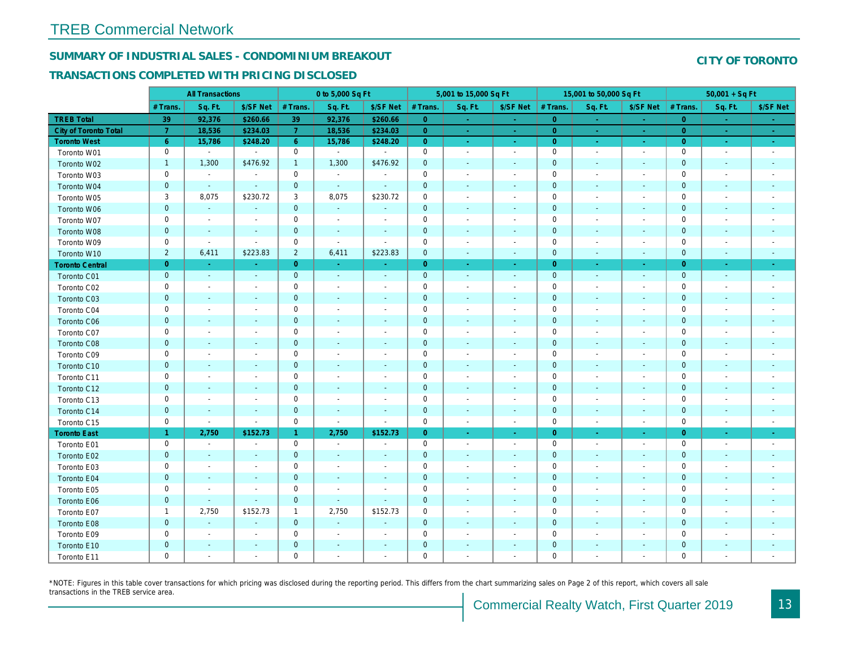#### **SUMMARY OF INDUSTRIAL SALES - CONDOMINIUM BREAKOUT**

#### **TRANSACTIONS COMPLETED WITH PRICING DISCLOSED**

|                        |                     | <b>All Transactions</b>     |                          |                     | 0 to 5,000 Sq Ft         |                          |                     | 5,001 to 15,000 Sq Ft    |                          |                     | 15,001 to 50,000 Sq Ft   |                             |                     | $50,001 + SqFt$          |                             |
|------------------------|---------------------|-----------------------------|--------------------------|---------------------|--------------------------|--------------------------|---------------------|--------------------------|--------------------------|---------------------|--------------------------|-----------------------------|---------------------|--------------------------|-----------------------------|
|                        | # Trans.            | Sq. Ft.                     | \$/SF Net                | # Trans.            | Sq. Ft.                  | \$/SF Net                | # Trans.            | Sq. Ft.                  | \$/SF Net                | # Trans.            | Sq. Ft.                  | \$/SF Net                   | # Trans.            | Sq. Ft.                  | \$/SF Net                   |
| <b>TREB Total</b>      | 39                  | 92,376                      | \$260.66                 | 39                  | 92,376                   | \$260.66                 | $\overline{0}$      | $\sim$                   |                          | $\overline{0}$      | $\sim$                   |                             | $\overline{0}$      | $\sim$                   |                             |
| City of Toronto Total  | 7                   | 18,536                      | \$234.03                 | $\overline{7}$      | 18,536                   | \$234.03                 | $\overline{0}$      | $\sim$                   | a.                       | $\overline{0}$      | a.                       | ÷.                          | $\overline{0}$      | $\sim$                   | $\sim$                      |
| <b>Toronto West</b>    | 6                   | 15,786                      | \$248.20                 | 6                   | 15,786                   | \$248.20                 | $\overline{0}$      | $\sim$                   | $\sim$                   | $\overline{0}$      | $\sim$                   | $\sim$                      | $\overline{0}$      | $\sim$                   | $\sim$                      |
| Toronto W01            | $\mathbf 0$         | $\mathcal{L}_{\mathcal{A}}$ |                          | $\mathsf 0$         | $\sim$                   | $\sim$                   | $\mathbf 0$         | $\sim$                   | $\overline{\phantom{a}}$ | $\mathsf{O}\xspace$ | $\sim$                   | $\overline{\phantom{a}}$    | $\mathsf{O}\xspace$ | $\overline{\phantom{a}}$ | $\sim$                      |
| Toronto W02            | $\mathbf{1}$        | 1,300                       | \$476.92                 | $\mathbf{1}$        | 1,300                    | \$476.92                 | $\mathbf 0$         |                          | $\sim$                   | $\mathbf 0$         | $\overline{a}$           | ÷.                          | $\mathbf 0$         | $\sim$                   | $\mathcal{L}_{\mathcal{A}}$ |
| Toronto W03            | $\mathsf{O}\xspace$ | $\sim$                      | $\sim$                   | $\mathbf 0$         | $\sim$                   | $\sim$                   | $\mathbf 0$         | $\overline{\phantom{a}}$ | $\sim$                   | 0                   | $\sim$                   | ÷,                          | 0                   | $\overline{\phantom{a}}$ | $\overline{\phantom{a}}$    |
| Toronto W04            | $\mathbf 0$         | $\sim$                      | $\sim$                   | $\mathsf{O}\xspace$ | $\sim$                   | $\sim$                   | $\mathbf 0$         |                          | $\sim$                   | $\mathbf 0$         | $\sim$                   | $\mathbb{Z}^2$              | $\mathbf 0$         | $\sim$                   | $\mathcal{L}_{\mathcal{A}}$ |
| Toronto W05            | 3                   | 8,075                       | \$230.72                 | 3                   | 8,075                    | \$230.72                 | $\mathbf 0$         |                          | $\overline{\phantom{a}}$ | $\mathbf 0$         | $\overline{a}$           | $\overline{\phantom{a}}$    | $\mathbf 0$         | $\overline{\phantom{a}}$ | $\overline{a}$              |
| Toronto W06            | $\mathbf 0$         | $\sim$                      | $\sim$                   | $\mathbf{0}$        | $\mathbb{Z}^2$           | $\sim$                   | $\mathbf 0$         |                          | $\blacksquare$           | $\mathbf{O}$        |                          | $\mathcal{L}_{\mathcal{A}}$ | $\mathbf 0$         |                          | $\blacksquare$              |
| Toronto W07            | $\mathbf 0$         | $\overline{\phantom{a}}$    | $\sim$                   | $\mathbf 0$         | $\sim$                   | $\overline{\phantom{a}}$ | $\mathbf 0$         |                          | $\overline{\phantom{a}}$ | 0                   | $\overline{\phantom{a}}$ | ÷                           | 0                   | $\overline{\phantom{a}}$ | $\overline{a}$              |
| Toronto W08            | $\mathbf{0}$        | $\sim$                      | $\sim$                   | $\mathbf{0}$        | $\sim$                   | $\sim$                   | $\mathbf{0}$        |                          | $\mathcal{L}$            | $\mathbf{O}$        | $\sim$                   | $\mathbb{Z}^2$              | $\mathbf{O}$        | $\sim$                   |                             |
| Toronto W09            | $\mathbf 0$         | $\sim$                      | $\overline{\phantom{a}}$ | $\mathsf 0$         | $\sim$                   | $\sim$                   | $\mathbf 0$         |                          | $\overline{\phantom{a}}$ | $\mathbf 0$         | $\overline{\phantom{a}}$ | ÷,                          | 0                   |                          | ÷                           |
| Toronto W10            | $\overline{2}$      | 6,411                       | \$223.83                 | $\overline{2}$      | 6,411                    | \$223.83                 | $\mathbf{0}$        | $\sim$                   | $\sim$                   | $\overline{0}$      | $\blacksquare$           | $\blacksquare$              | $\mathbf{O}$        | $\blacksquare$           | $\blacksquare$              |
| <b>Toronto Central</b> | $\mathbf{0}$        |                             |                          | $\overline{0}$      |                          |                          | $\overline{0}$      |                          | $\sim$                   | $\overline{O}$      |                          | $\blacksquare$              | $\overline{0}$      |                          | $\omega$                    |
| Toronto C01            | $\mathbf 0$         | $\sim$                      | $\sim$                   | $\mathbf 0$         | $\sim$                   | $\sim$                   | $\overline{0}$      | $\sim$                   | $\sim$                   | $\mathbf 0$         | $\sim$                   | $\mathbb{Z}^2$              | $\mathbf{0}$        | $\sim$                   | $\mathcal{L}$               |
| Toronto C02            | $\mathsf{O}\xspace$ |                             | $\sim$                   | $\mathsf{O}\xspace$ | $\overline{\phantom{a}}$ | $\overline{\phantom{a}}$ | $\mathbf 0$         |                          | $\overline{\phantom{a}}$ | $\mathbf 0$         | $\overline{\phantom{a}}$ | $\overline{\phantom{a}}$    | $\mathsf{O}\xspace$ |                          | $\overline{\phantom{a}}$    |
| Toronto C03            | $\mathbf 0$         |                             | $\sim$                   | $\mathbf{0}$        | $\sim$                   | $\sim$                   | $\mathbf 0$         | $\sim$                   | $\sim$                   | $\mathsf{O}\xspace$ | $\sim$                   | $\overline{\phantom{a}}$    | $\mathbf 0$         | $\overline{\phantom{a}}$ | $\mathbf{r}$                |
| Toronto C04            | $\mathsf{O}\xspace$ |                             | $\sim$                   | $\mathbf 0$         | $\overline{\phantom{a}}$ | $\sim$                   | $\mathbf 0$         | $\overline{\phantom{a}}$ | $\sim$                   | $\mathbf 0$         | $\sim$                   | $\overline{a}$              | $\mathsf{O}\xspace$ | $\overline{\phantom{a}}$ | ÷,                          |
| Toronto C06            | $\mathbf 0$         |                             | $\sim$                   | $\mathbf 0$         | $\sim$                   | $\sim$                   | $\overline{0}$      | $\sim$                   | $\sim$                   | $\mathbf 0$         | $\sim$                   | $\sim$                      | $\mathsf{O}\xspace$ | $\sim$                   | $\sim$                      |
| Toronto C07            | $\mathbf 0$         |                             | $\overline{\phantom{a}}$ | $\mathbf 0$         | $\sim$                   | $\sim$                   | $\mathbf 0$         | $\overline{\phantom{a}}$ | $\overline{\phantom{a}}$ | 0                   | $\sim$                   | $\overline{\phantom{a}}$    | 0                   | $\overline{\phantom{a}}$ | $\overline{\phantom{a}}$    |
| Toronto C08            | $\mathbf{0}$        |                             | $\sim$                   | $\mathbf{0}$        |                          | $\overline{a}$           | $\mathbf{0}$        | $\overline{\phantom{a}}$ | $\sim$                   | $\mathbf{O}$        | $\overline{a}$           | $\overline{\phantom{a}}$    | $\mathbf{O}$        | ÷.                       | $\sim$                      |
| Toronto C09            | $\mathbf 0$         |                             | $\overline{\phantom{a}}$ | $\mathbf 0$         | $\overline{\phantom{a}}$ | $\overline{\phantom{a}}$ | $\mathbf 0$         |                          | $\overline{\phantom{a}}$ | $\mathbf 0$         | $\overline{\phantom{a}}$ | $\overline{\phantom{a}}$    | $\mathbf 0$         | $\overline{\phantom{a}}$ | $\overline{\phantom{a}}$    |
| Toronto C10            | $\mathbf{0}$        |                             | $\sim$                   | $\mathbf{0}$        |                          | $\sim$                   | $\mathbf 0$         |                          | $\sim$                   | $\mathbf 0$         | $\sim$                   | $\sim$                      | $\mathbf 0$         | ÷,                       | $\overline{\phantom{a}}$    |
| Toronto C11            | $\mathbf 0$         |                             | $\sim$                   | $\mathbf 0$         | $\sim$                   | $\sim$                   | $\mathbf 0$         | $\overline{\phantom{a}}$ | $\sim$                   | $\mathbf 0$         | $\sim$                   | $\overline{\phantom{a}}$    | $\mathbf 0$         | $\overline{\phantom{a}}$ | $\overline{\phantom{a}}$    |
| Toronto C12            | $\mathbf{0}$        |                             | $\sim$                   | $\overline{0}$      |                          | $\sim$                   | $\overline{0}$      |                          | $\mathcal{L}$            | $\overline{0}$      |                          | $\overline{\phantom{a}}$    | $\overline{0}$      |                          |                             |
| Toronto C13            | $\mathbf 0$         |                             | $\overline{\phantom{a}}$ | $\mathbf 0$         | $\sim$                   | $\overline{\phantom{a}}$ | $\mathbf 0$         | $\overline{\phantom{a}}$ | $\overline{\phantom{a}}$ | 0                   | $\overline{\phantom{a}}$ | $\overline{\phantom{a}}$    | $\mathbf 0$         | $\overline{\phantom{a}}$ | $\overline{\phantom{a}}$    |
| Toronto C14            | $\mathbf{0}$        |                             | $\sim$                   | $\mathbf 0$         |                          | $\sim$                   | $\mathbf 0$         |                          | $\blacksquare$           | $\mathbf 0$         | $\sim$                   | $\overline{\phantom{a}}$    | $\mathbf 0$         | $\overline{\phantom{a}}$ | $\overline{\phantom{a}}$    |
| Toronto C15            | $\mathbf 0$         | $\sim$                      | $\sim$                   | $\mathbf 0$         | $\sim$                   | $\sim$                   | $\mathbf 0$         | $\sim$                   | $\sim$                   | 0                   | $\sim$                   | $\sim$                      | 0                   | $\sim$                   | $\overline{\phantom{a}}$    |
| <b>Toronto East</b>    | $\mathbf{1}$        | 2,750                       | \$152.73                 | $\mathbf{1}$        | 2,750                    | \$152.73                 | $\overline{0}$      | $\sim$                   | $\sim$                   | $\overline{O}$      | $\sim$                   | $\omega$                    | $\overline{0}$      | $\sim$                   | $\sim$                      |
| Toronto E01            | $\mathbf 0$         | $\sim$                      | $\sim$                   | $\mathbf 0$         | $\sim$                   | $\sim$                   | $\mathbf 0$         | $\overline{\phantom{a}}$ | $\sim$                   | $\mathbf 0$         | $\sim$                   | ÷                           | $\mathbf 0$         | $\overline{\phantom{a}}$ | $\sim$                      |
| Toronto E02            | $\mathbf 0$         |                             | $\sim$                   | $\mathbf{0}$        | $\sim$                   | $\sim$                   | $\mathbf 0$         | $\overline{\phantom{a}}$ | $\sim$                   | $\mathbf{O}$        | $\overline{a}$           | ÷.                          | $\mathbf 0$         | $\sim$                   | $\sim$                      |
| Toronto E03            | $\mathsf{O}\xspace$ | $\overline{\phantom{a}}$    | $\sim$                   | $\mathbf 0$         | $\overline{\phantom{a}}$ | $\sim$                   | $\mathsf{O}\xspace$ | $\overline{\phantom{a}}$ | $\sim$                   | 0                   | $\sim$                   | L,                          | 0                   | $\overline{\phantom{a}}$ | $\overline{\phantom{a}}$    |
| Toronto E04            | $\mathbf 0$         | $\sim$                      | $\sim$                   | $\mathbf{0}$        | $\sim$                   | $\sim$                   | $\mathbf 0$         | $\overline{a}$           | $\sim$                   | $\mathbf 0$         | $\sim$                   | $\mathbb{Z}^2$              | $\mathbf 0$         | $\sim$                   | $\sim$                      |
| Toronto E05            | $\mathbf 0$         |                             | $\overline{\phantom{a}}$ | $\mathbf 0$         | $\overline{\phantom{a}}$ | $\overline{\phantom{a}}$ | $\mathbf 0$         |                          | $\overline{\phantom{a}}$ | $\mathbf 0$         | $\overline{\phantom{a}}$ | $\overline{a}$              | $\mathbf 0$         |                          | $\overline{a}$              |
| Toronto E06            | $\mathbf{0}$        | $\sim$                      | $\sim$                   | $\mathbf{0}$        | $\sim$                   | $\sim$                   | $\mathbf{0}$        |                          | $\blacksquare$           | $\mathbf{O}$        |                          | $\mathbb{Z}^2$              | $\mathbf 0$         |                          | $\mathbf{r}$                |
| Toronto E07            | $\mathbf{1}$        | 2,750                       | \$152.73                 | $\mathbf{1}$        | 2,750                    | \$152.73                 | $\mathbf 0$         | $\overline{\phantom{a}}$ | $\overline{\phantom{a}}$ | 0                   | $\overline{\phantom{a}}$ | ÷                           | 0                   | $\overline{\phantom{a}}$ | $\overline{a}$              |
| Toronto E08            | $\mathbf{0}$        |                             | $\sim$                   | $\mathbf{0}$        | $\sim$                   | $\sim$                   | $\mathbf{0}$        |                          | $\sim$                   | $\mathbf{O}$        |                          | $\mathbb{Z}^2$              | $\mathbf{O}$        | $\sim$                   | $\overline{\phantom{a}}$    |
| Toronto E09            | $\mathbf 0$         |                             | $\overline{\phantom{a}}$ | $\mathbf 0$         |                          | $\overline{\phantom{a}}$ | $\mathbf 0$         |                          | $\overline{\phantom{a}}$ | $\mathbf 0$         |                          | ÷                           | 0                   |                          |                             |
| Toronto E10            | $\mathbf{0}$        |                             | $\sim$                   | $\mathbf{0}$        |                          | $\sim$                   | $\mathbf 0$         |                          | $\blacksquare$           | $\mathsf{O}\xspace$ |                          | $\overline{\phantom{a}}$    | $\mathbf 0$         |                          | $\mathbf{r}$                |
| Toronto E11            | $\mathbf 0$         |                             | $\overline{\phantom{a}}$ | $\mathbf 0$         |                          |                          | $\mathbf 0$         |                          | $\overline{\phantom{a}}$ | $\mathbf 0$         |                          | ÷,                          | $\mathbf 0$         |                          |                             |

\*NOTE: Figures in this table cover transactions for which pricing was disclosed during the reporting period. This differs from the chart summarizing sales on Page 2 of this report, which covers all sale transactions in the TREB service area.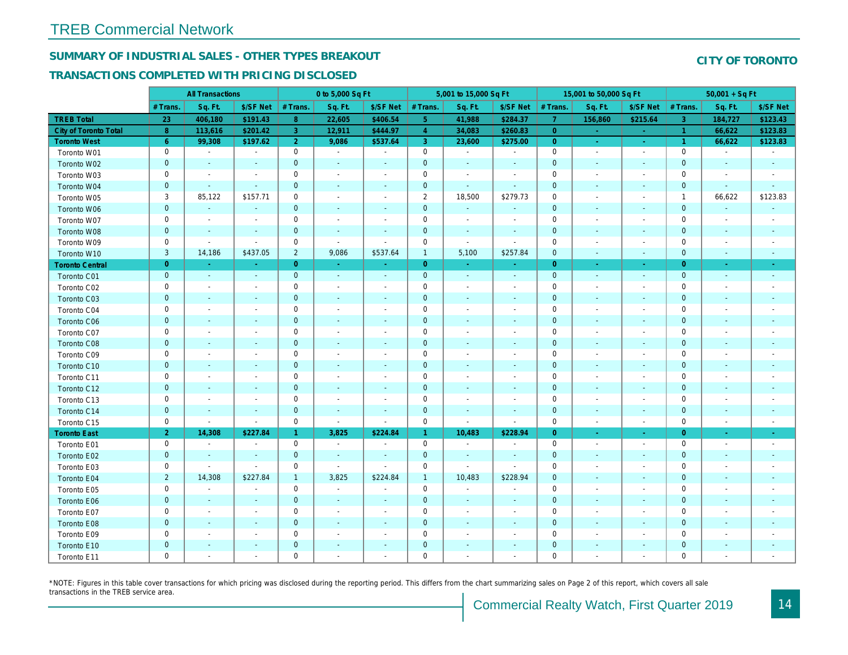## **SUMMARY OF INDUSTRIAL SALES - OTHER TYPES BREAKOUT**

#### **TRANSACTIONS COMPLETED WITH PRICING DISCLOSED**

|                        |                | <b>All Transactions</b>  |                          |                     | 0 to 5,000 Sq Ft         |                          |                | 5,001 to 15,000 Sq Ft    |                          |                     | 15,001 to 50,000 Sq Ft   |                          |                     | $50,001 + SqF$           |                             |
|------------------------|----------------|--------------------------|--------------------------|---------------------|--------------------------|--------------------------|----------------|--------------------------|--------------------------|---------------------|--------------------------|--------------------------|---------------------|--------------------------|-----------------------------|
|                        | # Trans.       | Sq. Ft.                  | \$/SF Net                | # Trans.            | Sq. Ft.                  | \$/SF Net                | # Trans.       | Sq. Ft.                  | \$/SF Net                | # Trans.            | Sq. Ft.                  | \$/SF Net                | # Trans.            | Sq. Ft.                  | \$/SF Net                   |
| <b>TREB Total</b>      | 23             | 406,180                  | \$191.43                 | 8                   | 22,605                   | \$406.54                 | 5              | 41,988                   | \$284.37                 | -7                  | 156,860                  | \$215.64                 | -3                  | 184,727                  | \$123.43                    |
| City of Toronto Total  | 8              | 113,616                  | \$201.42                 | $\overline{3}$      | 12,911                   | \$444.97                 | $\overline{4}$ | 34,083                   | \$260.83                 | $\overline{0}$      | na l                     | $\sim$                   | $\overline{1}$      | 66,622                   | \$123.83                    |
| <b>Toronto West</b>    | 6              | 99,308                   | \$197.62                 | $\overline{2}$      | 9,086                    | \$537.64                 | $\overline{3}$ | 23,600                   | \$275.00                 | $\overline{0}$      | $\sim$                   | $\sim$                   | $\overline{1}$      | 66,622                   | \$123.83                    |
| Toronto W01            | $\mathbf 0$    | $\sim$                   | $\sim$                   | $\mathsf{O}\xspace$ | $\sim$                   | $\sim$                   | $\mathsf 0$    | $\sim$                   | $\sim$                   | $\mathbf 0$         | $\sim$                   | $\overline{\phantom{a}}$ | $\mathsf{O}\xspace$ | $\sim$                   | $\sim$                      |
| Toronto W02            | $\mathbf 0$    |                          | $\sim$                   | $\mathbf 0$         |                          | $\sim$                   | $\mathbf{0}$   |                          | $\sim$                   | $\mathbf{0}$        | $\overline{\phantom{a}}$ | $\sim$                   | $\mathbf 0$         | $\sim$                   | $\mathbb{Z}^2$              |
| Toronto W03            | $\mathbf 0$    | $\overline{\phantom{a}}$ | $\sim$                   | $\mathsf{O}\xspace$ | $\overline{a}$           | $\overline{\phantom{a}}$ | $\mathbf 0$    | $\overline{\phantom{a}}$ | $\sim$                   | $\mathbf 0$         | $\sim$                   | $\overline{a}$           | 0                   | $\overline{\phantom{a}}$ | ÷,                          |
| Toronto W04            | $\mathbf 0$    | $\sim$                   | $\sim$                   | $\boldsymbol{0}$    |                          | $\sim$                   | $\mathbf{0}$   | $\sim$                   | $\sim$                   | $\mathbf{0}$        | $\sim$                   | $\mathcal{L}$            | $\mathbf 0$         | $\sim$                   | ÷.                          |
| Toronto W05            | 3              | 85,122                   | \$157.71                 | $\mathbf 0$         |                          | $\overline{a}$           | 2              | 18,500                   | \$279.73                 | $\mathbf 0$         | $\overline{a}$           | $\overline{\phantom{a}}$ | $\overline{1}$      | 66,622                   | \$123.83                    |
| Toronto W06            | $\mathbf 0$    | $\mathbb{Z}^2$           | $\sim$                   | $\mathbf 0$         |                          |                          | $\mathbf{0}$   | $\sim$                   | $\sim$                   | $\mathbf{0}$        |                          | $\sim$                   | $\mathbf 0$         | $\sim$                   | $\mathcal{L}_{\mathcal{A}}$ |
| Toronto W07            | $\mathbf 0$    | $\overline{\phantom{a}}$ | $\overline{\phantom{a}}$ | $\mathsf{O}\xspace$ |                          | $\overline{\phantom{a}}$ | $\mathbf 0$    |                          | $\overline{\phantom{a}}$ | $\mathbf 0$         | $\overline{\phantom{a}}$ | $\overline{\phantom{a}}$ | 0                   | $\overline{\phantom{a}}$ | $\overline{\phantom{a}}$    |
| Toronto W08            | $\mathbf{0}$   | $\mathbf{r}$             | $\sim$                   | $\mathbf{0}$        | $\sim$                   | $\sim$                   | $\mathbf{0}$   |                          | $\sim$                   | $\mathbf{0}$        |                          | $\mathcal{L}$            | $\mathbf{O}$        | $\sim$                   | $\mathbf{r}$                |
| Toronto W09            | $\mathbf 0$    | $\sim$                   |                          | $\mathsf{O}\xspace$ | $\sim$                   | $\sim$                   | $\mathbf 0$    | $\sim$                   | $\overline{\phantom{a}}$ | $\mathbf 0$         |                          | $\overline{\phantom{a}}$ | 0                   |                          | ÷                           |
| Toronto W10            | 3              | 14,186                   | \$437.05                 | $\overline{2}$      | 9,086                    | \$537.64                 | $\mathbf{1}$   | 5,100                    | \$257.84                 | $\mathbf{0}$        | $\sim$                   | $\blacksquare$           | $\overline{0}$      | $\sim$                   | $\mathcal{L}_{\mathcal{A}}$ |
| <b>Toronto Central</b> | $\overline{0}$ |                          |                          | $\overline{0}$      |                          |                          | $\overline{0}$ |                          | $\sim$                   | $\overline{0}$      |                          | $\omega$                 | $\overline{0}$      |                          | $\omega$                    |
| Toronto C01            | $\overline{0}$ | $\sim$                   | $\sim$                   | $\mathbf 0$         | $\sim$                   | $\sim$                   | $\overline{0}$ | $\sim$                   | $\sim$                   | $\mathbf{0}$        | $\sim$                   | $\mathcal{L}$            | $\overline{0}$      | $\sim$                   | $\mathcal{L}$               |
| Toronto C02            | $\mathbf 0$    | $\overline{\phantom{a}}$ | $\sim$                   | $\mathsf{O}\xspace$ |                          | $\sim$                   | $\mathbf 0$    | $\sim$                   | $\overline{\phantom{a}}$ | $\mathbf 0$         | $\overline{\phantom{a}}$ | $\overline{\phantom{a}}$ | 0                   |                          | $\overline{\phantom{a}}$    |
| Toronto C03            | $\mathbf 0$    | $\sim$                   | $\sim$                   | $\mathbf 0$         |                          | $\sim$                   | $\mathbf 0$    | $\overline{a}$           | $\sim$                   | $\mathbf 0$         | $\sim$                   | $\overline{\phantom{a}}$ | $\overline{0}$      | $\sim$                   | $\mathbf{r}$                |
| Toronto C04            | $\mathbf 0$    | $\sim$                   | $\overline{\phantom{a}}$ | $\mathsf{O}\xspace$ | $\overline{\phantom{a}}$ | $\sim$                   | $\mathbf 0$    | $\overline{a}$           | $\sim$                   | $\mathsf{O}\xspace$ | $\sim$                   | $\overline{a}$           | 0                   | $\overline{\phantom{a}}$ | $\overline{\phantom{a}}$    |
| Toronto C06            | $\mathbf{0}$   | $\sim$                   | $\sim$                   | $\mathbf 0$         | $\overline{a}$           | $\sim$                   | $\overline{0}$ | $\overline{a}$           | $\sim$                   | $\mathsf{O}\xspace$ | $\sim$                   | $\sim$                   | $\mathbf{0}$        | $\overline{\phantom{a}}$ | $\sim$                      |
| Toronto C07            | $\mathbf 0$    | $\overline{\phantom{a}}$ | $\overline{\phantom{a}}$ | $\mathbf 0$         | $\overline{\phantom{a}}$ | $\overline{\phantom{a}}$ | $\mathbf 0$    | $\sim$                   | $\overline{\phantom{a}}$ | $\mathbf 0$         | $\sim$                   | $\overline{\phantom{a}}$ | 0                   | $\overline{\phantom{a}}$ | $\overline{\phantom{a}}$    |
| Toronto C08            | $\mathbf{0}$   | $\overline{a}$           | $\sim$                   | $\mathbf{0}$        |                          | $\overline{\phantom{a}}$ | $\mathbf{0}$   |                          | $\sim$                   | $\mathbf{0}$        | $\overline{\phantom{a}}$ | $\overline{\phantom{a}}$ | $\mathbf{O}$        | ÷.                       | $\sim$                      |
| Toronto C09            | $\mathbf 0$    | $\overline{\phantom{a}}$ | $\sim$                   | $\mathbf 0$         |                          | $\sim$                   | $\mathbf 0$    |                          | $\sim$                   | $\mathbf 0$         | $\sim$                   | $\overline{\phantom{a}}$ | 0                   | $\overline{\phantom{a}}$ | $\overline{\phantom{a}}$    |
| Toronto C10            | $\mathbf 0$    |                          | $\sim$                   | $\mathbf 0$         |                          | $\sim$                   | $\mathbf{0}$   |                          | $\sim$                   | $\mathbf{0}$        | $\sim$                   | $\sim$                   | $\mathbf 0$         | $\overline{\phantom{a}}$ | $\sim$                      |
| Toronto C11            | $\mathbf 0$    | $\sim$                   | $\sim$                   | $\mathbf 0$         | $\overline{\phantom{a}}$ | $\sim$                   | $\mathbf 0$    | $\sim$                   | $\sim$                   | $\mathbf{0}$        | $\sim$                   | $\overline{\phantom{a}}$ | $\mathbf{O}$        | $\overline{\phantom{a}}$ | $\overline{\phantom{a}}$    |
| Toronto C12            | $\mathbf{0}$   |                          | $\sim$                   | $\mathbf 0$         |                          | $\sim$                   | $\mathbf{0}$   |                          | $\sim$                   | $\mathbf{0}$        | $\sim$                   | ÷.                       | $\mathbf{0}$        |                          |                             |
| Toronto C13            | $\mathbf 0$    |                          | $\sim$                   | $\mathbf 0$         | $\overline{\phantom{a}}$ | $\overline{\phantom{a}}$ | $\mathbf 0$    |                          | $\overline{\phantom{a}}$ | $\mathbf 0$         | $\overline{\phantom{a}}$ | $\overline{\phantom{a}}$ | 0                   | $\overline{\phantom{a}}$ | $\overline{\phantom{a}}$    |
| Toronto C14            | $\mathbf 0$    |                          | $\sim$                   | $\mathbf 0$         |                          |                          | $\mathbf{0}$   |                          | $\sim$                   | $\mathbf{0}$        |                          |                          | $\mathbf 0$         |                          | $\overline{\phantom{a}}$    |
| Toronto C15            | $\mathbf 0$    | $\sim$                   | $\sim$                   | $\mathbf 0$         | $\sim$                   | $\sim$                   | $\mathbf 0$    | $\sim$                   | $\sim$                   | $\mathbf 0$         | $\sim$                   | $\sim$                   | 0                   | $\sim$                   | $\overline{\phantom{a}}$    |
| <b>Toronto East</b>    | $\overline{2}$ | 14,308                   | \$227.84                 | $\mathbf{1}$        | 3,825                    | \$224.84                 | $\mathbf{1}$   | 10,483                   | \$228.94                 | $\overline{O}$      | $\sim$                   | $\mathcal{L}$            | $\overline{0}$      | $\sim$                   | $\sim$                      |
| Toronto E01            | $\mathbf 0$    | $\sim$                   | $\sim$                   | $\mathsf{O}\xspace$ | $\sim$                   | $\sim$                   | $\mathsf 0$    | $\sim$                   | $\sim$                   | $\mathbf 0$         | $\sim$                   | $\overline{\phantom{a}}$ | $\mathsf{O}\xspace$ | $\overline{\phantom{a}}$ | $\sim$                      |
| Toronto E02            | $\mathbf{0}$   | $\sim$                   | $\sim$                   | $\mathbf 0$         | $\sim$                   | $\sim$                   | $\mathbf{0}$   | $\sim$                   | $\sim$                   | $\mathbf{0}$        |                          | $\sim$                   | $\mathbf 0$         | $\sim$                   | $\mathcal{L}_{\mathcal{A}}$ |
| Toronto E03            | $\mathbf 0$    | $\sim$                   | $\overline{\phantom{a}}$ | $\mathsf{O}\xspace$ | $\sim$                   | $\sim$                   | $\mathbf 0$    | $\sim$                   | $\overline{\phantom{a}}$ | $\mathsf{O}\xspace$ | $\overline{\phantom{a}}$ | $\overline{\phantom{a}}$ | 0                   | $\overline{\phantom{a}}$ | ÷,                          |
| Toronto E04            | $\overline{2}$ | 14,308                   | \$227.84                 | $\mathbf{1}$        | 3,825                    | \$224.84                 | $\mathbf{1}$   | 10,483                   | \$228.94                 | $\mathbf 0$         | $\sim$                   | $\mathcal{L}$            | $\mathbf 0$         | $\sim$                   | $\mathcal{L}_{\mathcal{A}}$ |
| Toronto E05            | $\mathbf 0$    | $\overline{\phantom{a}}$ | $\overline{\phantom{a}}$ | $\mathbf 0$         |                          | $\overline{\phantom{a}}$ | $\mathbf 0$    |                          | $\sim$                   | $\mathbf 0$         | $\overline{\phantom{a}}$ | $\overline{\phantom{a}}$ | $\mathbf{O}$        |                          | $\overline{\phantom{a}}$    |
| Toronto E06            | $\mathbf{0}$   | $\sim$                   | $\sim$                   | $\mathbf 0$         |                          | $\sim$                   | $\mathbf{0}$   | $\sim$                   | $\blacksquare$           | $\mathbf{0}$        |                          | $\mathcal{L}$            | $\mathbf 0$         |                          | $\mathcal{L}_{\mathcal{A}}$ |
| Toronto E07            | $\mathbf 0$    | $\sim$                   | $\sim$                   | $\mathsf{O}\xspace$ |                          | $\overline{\phantom{a}}$ | $\mathbf 0$    |                          | $\overline{\phantom{a}}$ | $\mathbf 0$         | $\overline{\phantom{a}}$ | $\overline{\phantom{a}}$ | 0                   | $\overline{\phantom{a}}$ | $\overline{a}$              |
| Toronto E08            | $\mathbf{0}$   | $\blacksquare$           | $\sim$                   | $\mathbf{0}$        |                          | $\sim$                   | $\mathbf{0}$   |                          | $\sim$                   | $\mathbf{0}$        |                          | $\mathcal{L}$            | $\mathbf{O}$        |                          |                             |
| Toronto E09            | $\mathbf 0$    |                          |                          | $\mathbf 0$         |                          | $\overline{\phantom{a}}$ | $\mathbf 0$    |                          | $\overline{\phantom{a}}$ | $\mathbf 0$         |                          | $\overline{\phantom{a}}$ | 0                   |                          |                             |
| Toronto E10            | $\mathbf{0}$   |                          | $\sim$                   | $\mathbf 0$         |                          |                          | $\mathbf 0$    |                          | $\sim$                   | $\mathbf 0$         |                          | $\sim$                   | $\mathsf{O}\xspace$ |                          | $\overline{\phantom{a}}$    |
| Toronto E11            | $\mathbf 0$    |                          |                          | $\mathbf 0$         |                          |                          | $\mathbf 0$    |                          |                          | $\mathbf{0}$        |                          |                          | $\mathbf 0$         |                          |                             |

\*NOTE: Figures in this table cover transactions for which pricing was disclosed during the reporting period. This differs from the chart summarizing sales on Page 2 of this report, which covers all sale transactions in the TREB service area.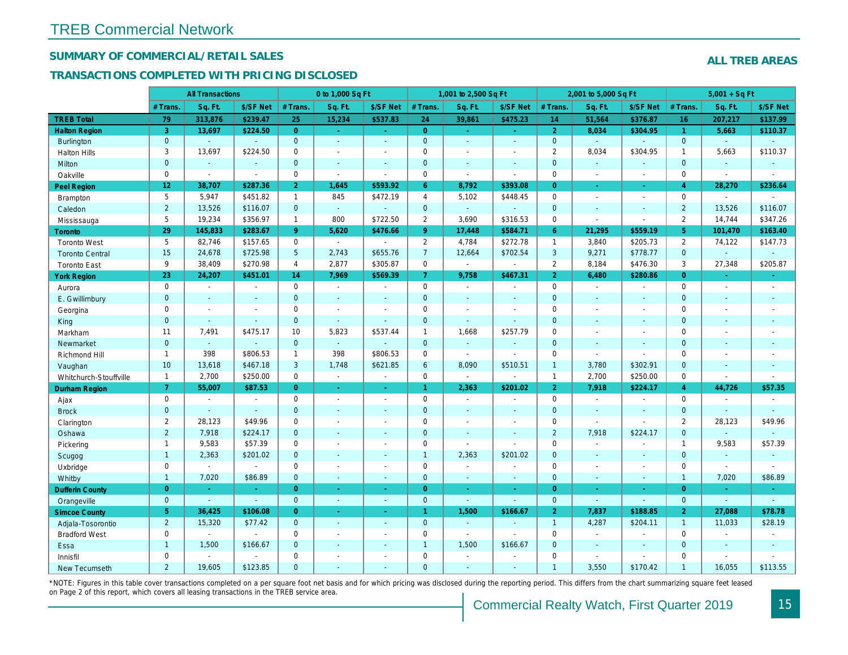#### **SUMMARY OF COMMERCIAL/RETAIL SALES**

#### **TRANSACTIONS COMPLETED WITH PRICING DISCLOSED**

|                        |                     | <b>All Transactions</b>  |               |                | 0 to 1,000 Sq Ft            |                          |                     | 1,001 to 2,500 Sq Ft        |                             |                     | 2,001 to 5,000 Sq Ft        |                          |                | $5,001 + SqFt$              |                          |
|------------------------|---------------------|--------------------------|---------------|----------------|-----------------------------|--------------------------|---------------------|-----------------------------|-----------------------------|---------------------|-----------------------------|--------------------------|----------------|-----------------------------|--------------------------|
|                        | # Trans.            | Sq. Ft.                  | \$/SF Net     | # Trans.       | Sq. Ft.                     | \$/SF Net                | # Trans.            | Sq. Ft.                     | \$/SF Net                   | # Trans.            | Sq. Ft.                     | \$/SF Net                | # Trans.       | Sq. Ft.                     | \$/SF Net                |
| <b>TREB Total</b>      | 79                  | 313,876                  | \$239.47      | 25             | 15,234                      | \$537.83                 | 24                  | 39,861                      | \$475.23                    | 14                  | 51,564                      | \$376.87                 | 16             | 207,217                     | \$137.99                 |
| <b>Halton Region</b>   | 3                   | 13,697                   | \$224.50      | $\overline{0}$ | $\sim$                      | $\sim$                   | $\overline{0}$      | $\omega$                    | $\sim$                      | $\overline{2}$      | 8,034                       | \$304.95                 | $\overline{1}$ | 5,663                       | \$110.37                 |
| Burlington             | $\mathbf{0}$        | $\mathbf{r}$             |               | $\overline{0}$ | ÷.                          |                          | $\overline{0}$      |                             | ÷.                          | $\mathbf 0$         | $\sim$                      | $\sim$                   | $\mathbf{0}$   | ÷.                          |                          |
| Halton Hills           | $\mathbf{3}$        | 13,697                   | \$224.50      | $\mathbf 0$    | $\sim$                      | $\sim$                   | $\mathsf{O}\xspace$ | $\overline{a}$              | $\sim$                      | $\overline{2}$      | 8,034                       | \$304.95                 | $\mathbf{1}$   | 5,663                       | \$110.37                 |
| Milton                 | $\mathbf{0}$        | $\mathcal{L}$            |               | $\mathbf{0}$   | $\mathbb{Z}^2$              | $\mathcal{L}$            | $\overline{0}$      |                             | $\sim$                      | $\mathbf 0$         | $\mathbb{Z}^2$              |                          | $\overline{0}$ | $\mathbb{Z}^2$              |                          |
| Oakville               | $\Omega$            | $\sim$                   | $\sim$        | $\mathbf 0$    | $\sim$                      | $\sim$                   | $\mathbf 0$         | $\sim$                      | $\sim$                      | $\mathbf 0$         | $\overline{\phantom{a}}$    | $\overline{\phantom{a}}$ | $\mathbf 0$    | $\mathcal{L}_{\mathcal{A}}$ | $\sim$                   |
| Peel Region            | 12                  | 38,707                   | \$287.36      | $\overline{2}$ | 1,645                       | \$593.92                 | 6                   | 8,792                       | \$393.08                    | $\overline{0}$      | ¥.                          | $\omega$                 | $\overline{4}$ | 28,270                      | \$236.64                 |
| Brampton               | 5                   | 5,947                    | \$451.82      | $\mathbf{1}$   | 845                         | \$472.19                 | $\overline{4}$      | 5,102                       | \$448.45                    | $\mathbf 0$         | $\mathcal{L}_{\mathcal{A}}$ | $\overline{\phantom{a}}$ | $\mathbf 0$    | $\sim$                      |                          |
| Caledon                | $\overline{2}$      | 13,526                   | \$116.07      | $\mathbf{0}$   | $\sim$                      |                          | $\overline{0}$      | i.                          | $\mathbb{Z}^2$              | $\overline{0}$      | ÷                           |                          | $\overline{2}$ | 13,526                      | \$116.07                 |
| Mississauga            | 5                   | 19,234                   | \$356.97      | $\mathbf{1}$   | 800                         | \$722.50                 | $\overline{2}$      | 3,690                       | \$316.53                    | $\mathsf{O}\xspace$ | $\sim$                      | $\overline{\phantom{a}}$ | $\overline{2}$ | 14,744                      | \$347.26                 |
| Toronto                | 29                  | 145,833                  | \$283.67      | 9              | 5,620                       | \$476.66                 | 9                   | 17,448                      | \$584.71                    | 6                   | 21,295                      | \$559.19                 | 5 <sub>5</sub> | 101,470                     | \$163.40                 |
| <b>Toronto West</b>    | 5                   | 82,746                   | \$157.65      | $\mathbf 0$    | $\sim$                      |                          | $\overline{2}$      | 4,784                       | \$272.78                    | $\mathbf{1}$        | 3,840                       | \$205.73                 | $\overline{2}$ | 74,122                      | \$147.73                 |
| <b>Toronto Central</b> | 15                  | 24,678                   | \$725.98      | 5              | 2,743                       | \$655.76                 | $\overline{7}$      | 12,664                      | \$702.54                    | $\mathfrak{Z}$      | 9,271                       | \$778.77                 | $\mathbf 0$    | ÷,                          | $\sim$                   |
| <b>Toronto East</b>    | 9                   | 38,409                   | \$270.98      | $\overline{4}$ | 2,877                       | \$305.87                 | $\mathbf 0$         | $\mathcal{L}_{\mathcal{A}}$ | $\sim$                      | $\overline{2}$      | 8,184                       | \$476.30                 | 3              | 27,348                      | \$205.87                 |
| <b>York Region</b>     | 23                  | 24,207                   | \$451.01      | 14             | 7,969                       | \$569.39                 | $\overline{7}$      | 9,758                       | \$467.31                    | $\overline{2}$      | 6,480                       | \$280.86                 | $\overline{0}$ | ÷.                          | $\omega$                 |
| Aurora                 | $\mathsf{O}\xspace$ | $\sim$                   | $\sim$        | $\mathbf 0$    | $\overline{\phantom{a}}$    | $\overline{\phantom{a}}$ | $\mathbf 0$         | $\overline{\phantom{a}}$    | $\overline{\phantom{a}}$    | $\mathbf 0$         | $\sim$                      | $\overline{\phantom{a}}$ | $\mathbf 0$    | $\overline{\phantom{a}}$    | $\overline{\phantom{a}}$ |
| E. Gwillimbury         | $\mathbf{0}$        |                          | $\mathcal{L}$ | $\mathbf{0}$   | $\mathbf{u}$                |                          | $\overline{0}$      |                             | $\Box$                      | $\overline{0}$      | ÷,                          |                          | $\overline{0}$ |                             |                          |
| Georgina               | $\mathbf 0$         | $\overline{\phantom{a}}$ | $\sim$        | $\mathbf 0$    | $\overline{a}$              | $\overline{a}$           | $\mathbf 0$         | $\overline{a}$              | $\overline{\phantom{a}}$    | $\mathbf 0$         | $\overline{\phantom{a}}$    | $\overline{a}$           | $\mathbf 0$    | $\overline{a}$              | $\overline{a}$           |
| King                   | $\mathbf{0}$        | $\sim$                   | $\sim$        | $\mathbf{0}$   | $\mathcal{L}_{\mathcal{A}}$ | $\sim$                   | $\overline{0}$      | $\mathbb{L}^2$              | $\mathbb{Z}^2$              | $\mathbf 0$         | $\mathbb{Z}^2$              | $\mathcal{L}$            | $\mathbf 0$    | $\overline{\phantom{0}}$    | $\mathcal{L}$            |
| Markham                | 11                  | 7,491                    | \$475.17      | 10             | 5,823                       | \$537.44                 | $\mathbf{1}$        | 1,668                       | \$257.79                    | $\mathbf 0$         | $\overline{a}$              | $\overline{a}$           | $\mathbf 0$    |                             | $\overline{a}$           |
| Newmarket              | $\mathbf{0}$        | $\sim$                   |               | $\overline{0}$ | u.                          | $\sim$                   | $\overline{0}$      | $\sim$                      | $\sim$                      | $\overline{0}$      | $\sim$                      | $\overline{a}$           | $\overline{0}$ | $\overline{a}$              | $\sim$                   |
| Richmond Hill          | $\mathbf{1}$        | 398                      | \$806.53      | $\mathbf{1}$   | 398                         | \$806.53                 | $\mathsf{O}\xspace$ | $\mathcal{L}_{\mathcal{A}}$ | $\overline{\phantom{a}}$    | $\mathsf{O}\xspace$ | $\sim$                      | $\overline{a}$           | $\mathbf 0$    | $\overline{a}$              | $\overline{\phantom{a}}$ |
| Vaughan                | 10                  | 13,618                   | \$467.18      | $\overline{3}$ | 1,748                       | \$621.85                 | 6                   | 8,090                       | \$510.51                    | $\mathbf{1}$        | 3,780                       | \$302.91                 | $\mathbf 0$    | ÷.                          | ÷                        |
| Whitchurch-Stouffville | $\mathbf{1}$        | 2,700                    | \$250.00      | $\Omega$       | $\sim$                      | $\sim$                   | $\Omega$            | $\mathcal{A}$               | $\omega$                    | $\mathbf{1}$        | 2,700                       | \$250.00                 | $\Omega$       | $\sim$                      | $\sim$                   |
| Durham Region          | $\overline{7}$      | 55,007                   | \$87.53       | $\overline{0}$ | $\omega_{\rm c}$            | $\sim$                   | $\mathbf{1}$        | 2,363                       | \$201.02                    | $\overline{2}$      | 7,918                       | \$224.17                 | $\overline{4}$ | 44,726                      | \$57.35                  |
| Ajax                   | $\mathbf 0$         | $\sim$                   | $\sim$        | $\mathbf 0$    | $\overline{\phantom{a}}$    | $\sim$                   | $\mathbf 0$         | $\overline{a}$              | $\sim$                      | $\mathbf 0$         | $\mathbf{r}$                | $\overline{a}$           | $\mathbf 0$    | $\overline{a}$              | $\sim$                   |
| <b>Brock</b>           | $\mathbf 0$         | $\mathcal{L}$            | $\sim$        | $\mathbf 0$    |                             |                          | $\mathbf 0$         |                             | $\sim$                      | $\mathbf 0$         | $\mathbb{Z}$                |                          | $\mathbf 0$    |                             |                          |
| Clarington             | 2                   | 28,123                   | \$49.96       | $\mathbf 0$    | $\overline{\phantom{a}}$    | $\overline{\phantom{a}}$ | $\mathbf 0$         | $\overline{\phantom{a}}$    | $\overline{\phantom{a}}$    | $\mathbf 0$         | $\sim$                      | $\overline{\phantom{a}}$ | 2              | 28,123                      | \$49.96                  |
| Oshawa                 | $\overline{2}$      | 7,918                    | \$224.17      | $\mathbf{0}$   |                             |                          | $\overline{0}$      |                             | ÷                           | $\overline{2}$      | 7,918                       | \$224.17                 | $\mathbf 0$    | ÷.                          | $\overline{a}$           |
| Pickering              | $\mathbf{1}$        | 9,583                    | \$57.39       | $\mathbf 0$    | $\sim$                      | $\sim$                   | $\mathsf{O}\xspace$ | $\overline{\phantom{a}}$    | $\sim$                      | $\mathsf{O}\xspace$ | $\overline{\phantom{a}}$    | $\overline{\phantom{a}}$ | $\mathbf{1}$   | 9,583                       | \$57.39                  |
| Scugog                 | $\mathbf{1}$        | 2,363                    | \$201.02      | $\mathbf{0}$   |                             |                          | $\overline{1}$      | 2,363                       | \$201.02                    | $\overline{0}$      | ÷                           |                          | $\mathbf 0$    | $\mathbb{Z}^2$              | $\sim$                   |
| Uxbridge               | $\mathbf 0$         | $\sim$                   | $\sim$        | $\mathbf 0$    | $\overline{\phantom{a}}$    | $\sim$                   | $\mathbf 0$         | $\overline{\phantom{a}}$    | $\overline{\phantom{a}}$    | $\mathbf 0$         | $\sim$                      | $\overline{\phantom{a}}$ | $\mathbf 0$    | $\sim$                      | $\sim$                   |
| Whitby                 | $\mathbf{1}$        | 7,020                    | \$86.89       | $\overline{0}$ | $\sim$                      | ÷                        | $\overline{0}$      | $\mathcal{L}$               | $\sim$                      | $\overline{0}$      | $\mathbb{Z}^2$              | $\mathcal{L}$            | $\overline{1}$ | 7,020                       | \$86.89                  |
| <b>Dufferin County</b> | $\overline{0}$      | ÷.                       | $\sim$        | $\overline{0}$ | u.                          | $\sim$                   | $\overline{0}$      | ÷.                          | $\sim$                      | $\overline{0}$      | ÷.                          | ÷                        | $\overline{0}$ |                             | $\sim$                   |
| Orangeville            | $\mathbf{0}$        | $\sim$                   | $\mathcal{L}$ | $\overline{0}$ | $\sim$                      | $\sim$                   | $\Omega$            | ÷.                          | ÷.                          | $\overline{0}$      | $\omega$ .                  | ÷,                       | $\overline{0}$ | ÷.                          | $\sim$                   |
| <b>Simcoe County</b>   | 5 <sup>5</sup>      | 36,425                   | \$106.08      | $\overline{0}$ | ÷.                          | ÷.                       | $\overline{1}$      | 1,500                       | \$166.67                    | $\overline{2}$      | 7,837                       | \$188.85                 | $\overline{2}$ | 27,088                      | \$78.78                  |
| Adjala-Tosorontio      | $\overline{2}$      | 15,320                   | \$77.42       | $\overline{0}$ | ÷.                          | ÷.                       | $\overline{0}$      | ÷                           | ÷.                          | $\overline{1}$      | 4,287                       | \$204.11                 | $\overline{1}$ | 11,033                      | \$28.19                  |
| <b>Bradford West</b>   | $\mathbf 0$         | $\sim$                   |               | $\mathbf 0$    | $\overline{a}$              | $\sim$                   | $\mathbf 0$         | $\sim$                      | $\overline{\phantom{a}}$    | $\mathbf 0$         | $\sim$                      |                          | $\mathbf 0$    |                             | $\sim$                   |
| Essa                   | $\mathbf{1}$        | 1,500                    | \$166.67      | $\overline{0}$ |                             |                          | $\overline{1}$      | 1,500                       | \$166.67                    | $\mathbf 0$         | ÷,                          |                          | $\mathbf 0$    | ÷,                          |                          |
| Innisfil               | $\mathbf 0$         | $\sim$                   |               | $\mathbf 0$    |                             |                          | $\mathbf 0$         |                             |                             | $\mathbf 0$         | $\sim$                      | $\overline{a}$           | $\mathbf 0$    | $\overline{\phantom{a}}$    |                          |
| New Tecumseth          | $\overline{2}$      | 19,605                   | \$123.85      | $\Omega$       |                             |                          | $\Omega$            | ÷.                          | $\mathcal{L}_{\mathcal{A}}$ | $\mathbf{1}$        | 3,550                       | \$170.42                 | $\overline{1}$ | 16,055                      | \$113.55                 |

\*NOTE: Figures in this table cover transactions completed on a per square foot net basis and for which pricing was disclosed during the reporting period. This differs from the chart summarizing square feet leased on Page 2 of this report, which covers all leasing transactions in the TREB service area.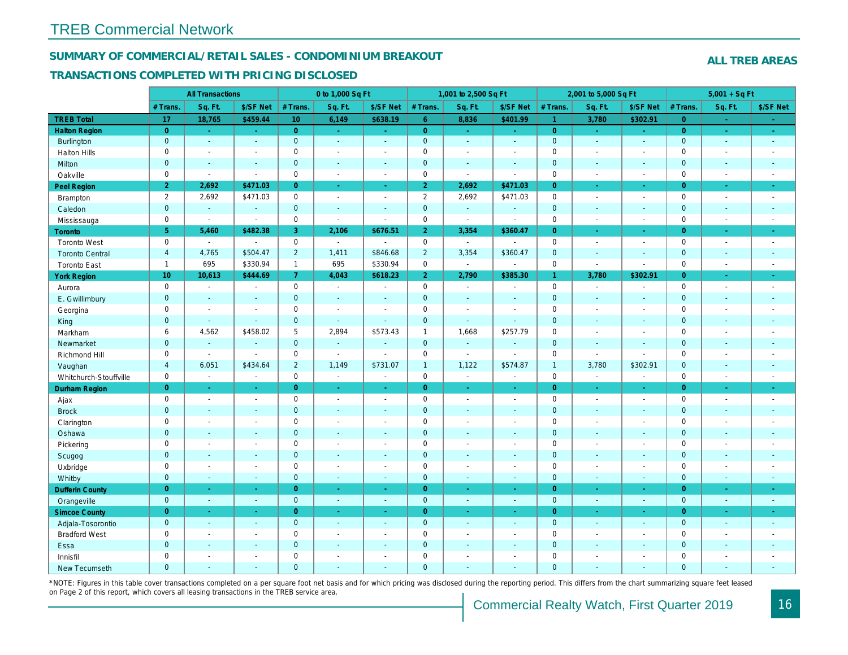#### **SUMMARY OF COMMERCIAL/RETAIL SALES - CONDOMINIUM BREAKOUT**

#### **TRANSACTIONS COMPLETED WITH PRICING DISCLOSED**

|                        |                     | <b>All Transactions</b>     |                          |                               | 0 to 1,000 Sq Ft            |                          |                                     | 1,001 to 2,500 Sq Ft     |                             |                               | 2,001 to 5,000 Sq Ft        |                             |                | $5,001 + SqF$            |                             |
|------------------------|---------------------|-----------------------------|--------------------------|-------------------------------|-----------------------------|--------------------------|-------------------------------------|--------------------------|-----------------------------|-------------------------------|-----------------------------|-----------------------------|----------------|--------------------------|-----------------------------|
|                        | # Trans             | Sq. Ft.                     | \$/SF Net                | # Trans.                      | Sq. Ft.                     | \$/SF Net                | # Trans.                            | Sq. Ft.                  | \$/SF Net                   | # Trans.                      | Sq. Ft.                     | \$/SF Net                   | # Trans.       | Sq. Ft.                  | \$/SF Net                   |
| <b>TREB Total</b>      | 17                  | 18,765                      | \$459.44                 | 10                            | 6,149                       | \$638.19                 | 6                                   | 8,836                    | \$401.99                    | $\mathbf{1}$                  | 3,780                       | \$302.91                    | $\overline{0}$ | $\sim$                   |                             |
| <b>Halton Region</b>   | $\overline{0}$      | ÷.                          | $\omega$                 | $\overline{0}$                | $\omega$ .                  | $\sim$                   | $\overline{0}$                      | $\omega$                 | $\omega$                    | $\overline{0}$                | $\omega$                    | $\omega$                    | $\overline{0}$ | $\blacksquare$           | $\omega$                    |
| <b>Burlington</b>      | $\overline{0}$      | $\mathcal{L}$               | $\mathcal{L}$            | $\overline{0}$                | $\mathcal{L}$               | $\sim$                   | $\mathbf 0$                         | $\sim$                   | $\sim$                      | $\mathbf{0}$                  | $\sim$                      | $\mathbb{Z}$                | $\mathbf{0}$   | $\sim$                   | $\mathbb{Z}^2$              |
| Halton Hills           | $\mathsf{O}$        | $\sim$                      | $\sim$                   | $\mathsf 0$                   | $\sim$                      |                          | $\mathbf 0$                         |                          | $\sim$                      | $\mathbf 0$                   | $\sim$                      | $\overline{a}$              | $\mathbf 0$    | Ĭ.                       | $\overline{\phantom{a}}$    |
| Milton                 | $\overline{0}$      | ÷,                          | $\overline{\phantom{a}}$ | $\overline{0}$                | $\mathcal{L}$               | $\sim$                   | $\mathbf{0}$                        | $\sim$                   | $\sim$                      | $\mathsf{O}\xspace$           | $\mathcal{L}$               | $\mathbb{Z}$                | $\mathbf{0}$   | $\sim$                   | $\mathbb{Z}^2$              |
| Oakville               | $\mathbf 0$         | $\mathcal{L}_{\mathcal{A}}$ | $\sim$                   | $\mathbf 0$                   | $\mathcal{L}_{\mathcal{A}}$ | $\sim$                   | $\mathbf 0$                         | $\sim$                   | $\sim$                      | $\mathbf 0$                   | $\sim$                      | $\sim$                      | $\mathbf 0$    | $\overline{\phantom{a}}$ | $\sim$                      |
| Peel Region            | $\overline{2}$      | 2,692                       | \$471.03                 | $\overline{0}$                | $\Delta \phi$               | ÷.                       | $\overline{2}$                      | 2,692                    | \$471.03                    | $\overline{0}$                | $\Delta \phi$               | $\omega_{\rm c}$            | $\overline{0}$ | $\omega$                 | $\omega$                    |
| Brampton               | $\overline{2}$      | 2,692                       | \$471.03                 | $\mathbf 0$                   | $\sim$                      | $\overline{\phantom{a}}$ | $\overline{2}$                      | 2,692                    | \$471.03                    | $\mathbf 0$                   | $\sim$                      | $\sim$                      | $\mathbf 0$    | $\overline{\phantom{a}}$ | $\sim$                      |
| Caledon                | $\mathbf 0$         | $\mathcal{L}$               | $\sim$                   | $\mathbf{0}$                  | $\sim$                      | $\sim$                   | $\mathbf 0$                         | $\sim$                   | $\sim$                      | $\mathbf 0$                   | $\sim$                      | $\mathcal{L}$               | $\mathbf{0}$   | $\overline{\phantom{a}}$ | $\sim$                      |
| Mississauga            | $\mathbf 0$         | $\sim$                      | $\sim$                   | $\mathbf 0$                   | $\sim$                      | $\sim$                   | $\mathbf 0$                         | $\sim$                   | $\sim$                      | $\mathbf 0$                   | $\sim$                      | $\sim$                      | $\mathbf 0$    | $\sim$                   | $\mathbb{Z}^{\mathbb{Z}}$   |
| Toronto                | 5 <sup>5</sup>      | 5,460                       | \$482.38                 | 3                             | 2,106                       | \$676.51                 | $\overline{2}$                      | 3,354                    | \$360.47                    | $\overline{O}$                | $\Delta \phi$               | $\omega$                    | $\overline{0}$ | $\sim$                   | $\omega$                    |
| <b>Toronto West</b>    | $\mathbf 0$         | $\sim$                      | $\overline{a}$           | $\mathbf 0$                   | $\mathcal{L}_{\mathcal{A}}$ | $\mathbf{r}$             | $\mathbf 0$                         | $\sim$                   | $\sim$                      | $\mathbf 0$                   | $\sim$                      | $\overline{a}$              | $\mathbf 0$    | $\overline{a}$           | $\sim$                      |
| <b>Toronto Central</b> | $\overline{4}$      | 4,765                       | \$504.47                 | $\overline{2}$                | 1,411                       | \$846.68                 | $\overline{2}$                      | 3,354                    | \$360.47                    | $\mathbf 0$                   | $\mathcal{L}$               | $\mathcal{L}_{\mathcal{A}}$ | $\mathbf{0}$   | ÷,                       | $\overline{\phantom{a}}$    |
| <b>Toronto East</b>    | $\overline{1}$      | 695                         | \$330.94                 | $\mathbf{1}$                  | 695                         | \$330.94                 | $\mathbf 0$                         | $\sim$                   | $\sim$                      | $\mathbf 0$                   | $\sim$                      | $\sim$                      | $\mathbf 0$    | $\overline{\phantom{a}}$ | $\overline{\phantom{a}}$    |
| <b>York Region</b>     | 10 <sup>°</sup>     | 10,613                      | \$444.69                 | 7                             | 4,043                       | \$618.23                 | $\overline{2}$                      | 2,790                    | \$385.30                    | $\mathbf{1}$                  | 3,780                       | \$302.91                    | $\overline{0}$ | ÷                        | $\omega$                    |
| Aurora                 | $\mathsf{O}\xspace$ | $\mathcal{L}_{\mathcal{A}}$ | $\sim$                   | $\mathbf 0$                   | $\sim$                      | $\sim$                   | $\mathbf 0$                         | $\sim$                   | $\sim$                      | $\mathbf 0$                   | $\sim$                      | $\sim$                      | $\mathbf 0$    | $\overline{\phantom{a}}$ | $\sim$                      |
| E. Gwillimbury         | $\overline{0}$      | $\sim$                      | $\sim$                   | $\mathbf 0$                   | $\sim$                      |                          | $\mathbf 0$                         |                          | $\sim$                      | $\overline{0}$                | $\sim$                      | $\sim$                      | $\mathbf{0}$   | ÷,                       | $\overline{\phantom{a}}$    |
| Georgina               | $\mathbf 0$         | $\sim$                      | $\sim$                   | $\mathbf 0$                   | $\sim$                      | $\sim$                   | $\mathbf 0$                         | $\overline{\phantom{a}}$ | $\sim$                      | $\mathbf 0$                   | $\sim$                      | $\sim$                      | $\mathbf 0$    | Ĩ.                       | $\overline{\phantom{a}}$    |
| King                   | $\mathsf{O}\xspace$ | ÷.                          | $\blacksquare$           | $\mathbf 0$                   | ÷.                          | $\sim$                   | $\mathbf 0$                         | $\sim$                   | $\sim$                      | $\mathbf 0$                   | $\sim$                      | $\mathcal{L}_{\mathcal{A}}$ | $\mathbf{0}$   | ÷,                       | $\mathcal{L}_{\mathcal{A}}$ |
| Markham                | 6                   | 4,562                       | \$458.02                 | 5                             | 2,894                       | \$573.43                 | $\mathbf{1}$                        | 1,668                    | \$257.79                    | $\mathbf 0$                   | $\overline{\phantom{a}}$    | $\overline{\phantom{a}}$    | $\mathbf 0$    |                          | $\sim$                      |
| Newmarket              | $\overline{0}$      | $\mathbb{Z}^2$              | $\omega$                 | $\overline{0}$                | $\mathbb{Z}^2$              | $\sim$                   | $\mathbf 0$                         | $\omega$                 | $\blacksquare$              | $\overline{0}$                | $\blacksquare$              | ÷,                          | $\mathbf{0}$   |                          | ÷,                          |
| Richmond Hill          | $\mathbf 0$         | $\sim$                      | $\sim$                   | $\mathbf 0$                   | $\sim$                      | $\overline{a}$           | $\mathbf 0$                         | $\sim$                   | $\sim$                      | $\mathbf 0$                   | $\sim$                      | $\overline{\phantom{a}}$    | $\mathbf 0$    | Ĭ.                       | $\overline{\phantom{a}}$    |
| Vaughan                | $\overline{4}$      | 6,051                       | \$434.64                 | $\overline{2}$                | 1,149                       | \$731.07                 | $\mathbf{1}$                        | 1,122                    | \$574.87                    | $\overline{1}$                | 3,780                       | \$302.91                    | $\mathbf{0}$   | $\overline{\phantom{a}}$ | $\mathbb{Z}^2$              |
| Whitchurch-Stouffville | $\mathbf 0$         | $\mathcal{L}_{\mathcal{A}}$ | $\sim$                   | $\mathbf 0$                   | $\sim$                      | $\sim$                   | $\mathbf 0$                         | $\sim$                   | $\sim$                      | $\mathbf 0$                   | $\mathcal{L}_{\mathcal{A}}$ | $\mathbb{L}$                | $\mathbf 0$    | $\overline{\phantom{a}}$ | $\overline{\phantom{a}}$    |
| Durham Region          | $\overline{0}$      | $\omega_{\rm c}$            | $\sim$                   | $\overline{0}$                | $\sim$ .                    | $\sim$                   | $\overline{0}$                      | $\sim$                   | $\sim$                      | $\overline{O}$                | $\sim$                      | $\omega$                    | $\overline{0}$ | $\omega$                 | $\omega$                    |
| Ajax                   | $\mathbf 0$         | $\overline{a}$              | $\overline{\phantom{a}}$ | $\mathbf 0$                   | $\sim$                      | $\sim$                   | $\mathbf 0$                         | $\overline{\phantom{a}}$ | $\sim$                      | $\mathbf 0$                   | $\sim$                      | $\sim$                      | $\mathbf 0$    | $\overline{\phantom{a}}$ | $\sim$                      |
| <b>Brock</b>           | $\mathbf 0$         | $\mathbb{Z}^2$              | $\mathcal{L}$            | $\mathbf 0$                   | $\mathbb{Z}^2$              | $\sim$                   | $\mathbf 0$                         | $\sim$                   | $\sim$                      | $\overline{0}$                | $\sim$                      | $\mathcal{L}$               | $\mathbf 0$    | $\overline{\phantom{a}}$ | $\mathbb{Z}^2$              |
| Clarington             | $\mathbf 0$         | $\overline{\phantom{a}}$    | $\sim$                   | $\mathbf 0$                   | $\sim$                      | $\overline{\phantom{a}}$ | $\mathbf 0$                         | $\overline{\phantom{a}}$ | $\sim$                      | 0                             | $\sim$                      | $\overline{\phantom{a}}$    | $\mathbf 0$    | $\overline{\phantom{a}}$ | $\sim$                      |
| Oshawa                 | $\mathbf 0$         |                             | $\sim$                   | $\mathbf 0$                   |                             |                          | $\mathbf 0$                         |                          | $\sim$                      | $\mathbf 0$                   | ÷.                          | $\sim$                      | $\mathbf{0}$   |                          | ÷                           |
| Pickering              | $\mathbf 0$         | $\overline{\phantom{a}}$    | $\overline{\phantom{a}}$ | $\mathbf 0$                   | $\sim$                      | $\sim$                   | $\mathsf{O}\xspace$                 | $\sim$                   | $\overline{\phantom{a}}$    | 0                             | $\sim$                      | $\sim$                      | $\mathbf 0$    | $\overline{\phantom{a}}$ | $\overline{\phantom{a}}$    |
| Scugog                 | $\mathbf 0$         | ÷,                          | $\mathbf{u}$             | $\overline{0}$                | $\overline{a}$              | ÷.                       | $\mathbf{0}$                        |                          | $\sim$                      | $\overline{0}$                | $\sim$                      | $\mathbf{r}$                | $\mathbf{0}$   |                          | ÷                           |
| Uxbridge               | $\mathbf 0$         | $\overline{\phantom{a}}$    | $\overline{\phantom{a}}$ | $\mathbf 0$                   | $\sim$                      | $\sim$                   | $\mathbf 0$                         | $\sim$                   | $\sim$                      | $\mathbf 0$                   | $\sim$                      | $\overline{\phantom{a}}$    | $\mathbf 0$    | $\overline{\phantom{a}}$ | $\overline{\phantom{a}}$    |
| Whitby                 | $\overline{0}$      | $\sim$                      | $\mathcal{L}$            | $\overline{0}$                | $\sim$                      | $\overline{\phantom{a}}$ | $\mathbf{0}$                        | $\sim$                   | $\sim$                      | $\overline{0}$                | $\sim$                      | ÷                           | $\overline{0}$ | $\sim$                   | $\mathbb{Z}^2$              |
| <b>Dufferin County</b> | $\overline{0}$      | $\sim$                      | $\sim$                   | $\overline{0}$                | $\mathcal{L}$               | $\sim$                   | $\overline{0}$                      | a.                       | $\sim$                      | $\overline{O}$                | $\sim$                      | $\mathcal{L}$               | $\overline{0}$ | $\blacksquare$           | $\omega$                    |
| Orangeville            | $\overline{0}$      | $\omega$ .                  | $\sim$                   | $\overline{0}$                | $\sim$                      | $\sim$                   | $\mathbf{0}$                        | $\sim$                   | $\sim$                      | $\mathbf{0}$                  | $\sim$                      | $\mathcal{L}$               | $\overline{0}$ | $\sim$                   | $\omega$                    |
| <b>Simcoe County</b>   | $\overline{0}$      | ÷.                          | $\omega$                 | $\overline{0}$                | ÷.                          | ÷.                       | $\overline{0}$                      | $\sim$                   | $\mathcal{L}_{\mathcal{A}}$ | $\overline{O}$                | $\Delta$                    | ÷.                          | $\overline{0}$ | $\blacksquare$           | $\omega$                    |
| Adjala-Tosorontio      | $\mathbf 0$         | $\mathcal{L}$               | $\sim$                   | $\overline{0}$                | $\mathcal{L}$               | $\sim$                   | $\mathbf{0}$                        | $\sim$                   | $\sim$                      | $\mathbf{0}$                  | $\sim$                      | $\sim$                      | $\mathbf{0}$   | $\sim$                   | $\mathcal{L}$               |
| <b>Bradford West</b>   | $\mathsf{O}$        | ÷                           | $\overline{\phantom{a}}$ | $\mathbf 0$<br>$\overline{0}$ | $\overline{\phantom{a}}$    | $\sim$                   | $\mathsf{O}\xspace$<br>$\mathbf{0}$ |                          | $\overline{\phantom{a}}$    | $\mathbf 0$<br>$\overline{0}$ | $\overline{\phantom{a}}$    | $\overline{\phantom{a}}$    | $\mathbf 0$    |                          | $\overline{\phantom{a}}$    |
| Essa                   | $\overline{0}$      | ÷,                          | $\mathbf{u}$             |                               | ÷                           | ÷.                       |                                     |                          | $\sim$                      |                               | $\mathcal{L}$               | $\overline{\phantom{a}}$    | $\mathbf{0}$   |                          | ÷,                          |
| Innisfil               | $\mathbf 0$         | $\overline{\phantom{a}}$    | $\overline{a}$           | $\mathbf 0$                   | $\overline{a}$              |                          | $\mathbf 0$<br>$\Omega$             |                          | $\overline{\phantom{a}}$    | 0                             | $\overline{\phantom{a}}$    | $\overline{\phantom{a}}$    | $\mathbf 0$    | ÷,                       | $\overline{\phantom{a}}$    |
| New Tecumseth          | $\overline{0}$      | $\sim$                      | $\sim$                   | $\overline{0}$                | $\sim$                      | $\sim$                   |                                     | $\sim$                   | $\sim$                      | $\overline{0}$                | $\sim$                      | ÷                           | $\overline{0}$ | ÷.                       | ÷.                          |

\*NOTE: Figures in this table cover transactions completed on a per square foot net basis and for which pricing was disclosed during the reporting period. This differs from the chart summarizing square feet leased on Page 2 of this report, which covers all leasing transactions in the TREB service area.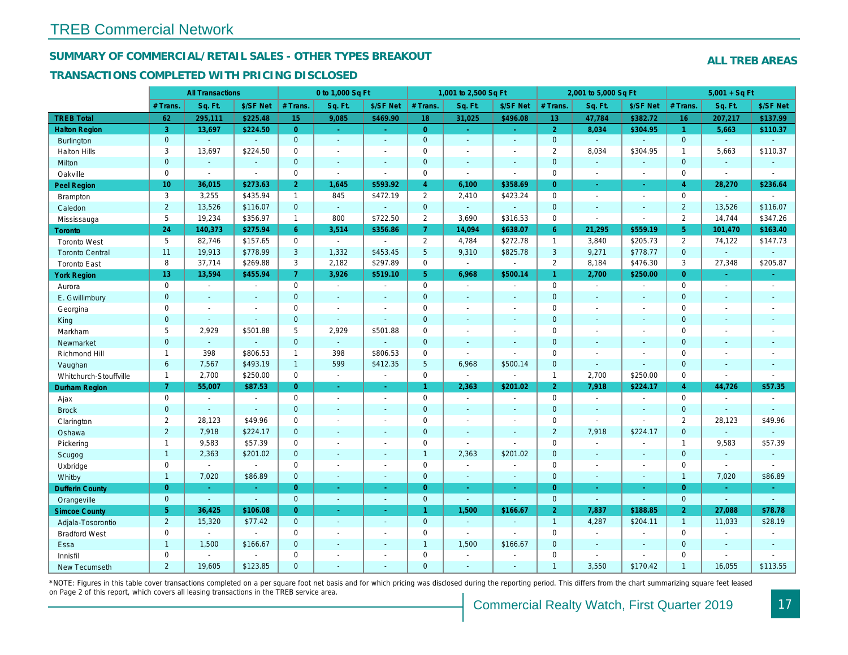#### **SUMMARY OF COMMERCIAL/RETAIL SALES - OTHER TYPES BREAKOUT**

#### **TRANSACTIONS COMPLETED WITH PRICING DISCLOSED**

|                        |                     | <b>All Transactions</b>     |                          |                     | 0 to 1,000 Sq Ft            |                          |                | 1,001 to 2,500 Sq Ft        |                          |                 | 2,001 to 5,000 Sq Ft        |                          |                | $5,001 + SqF$            |               |
|------------------------|---------------------|-----------------------------|--------------------------|---------------------|-----------------------------|--------------------------|----------------|-----------------------------|--------------------------|-----------------|-----------------------------|--------------------------|----------------|--------------------------|---------------|
|                        | # Trans             | Sq. Ft.                     | \$/SF Net                | # Trans.            | Sq. Ft.                     | \$/SF Net                | # Trans        | Sq. Ft.                     | \$/SF Net                | # Trans         | Sq. Ft.                     | \$/SF Net                | # Trans.       | Sq. Ft.                  | \$/SF Net     |
| <b>TREB Total</b>      | 62                  | 295,111                     | \$225.48                 | 15                  | 9,085                       | \$469.90                 | 18             | 31,025                      | \$496.08                 | 13 <sup>°</sup> | 47,784                      | \$382.72                 | 16             | 207,217                  | \$137.99      |
| <b>Halton Region</b>   | $\overline{3}$      | 13,697                      | \$224.50                 | $\overline{0}$      | $\omega_{\rm c}$            | ÷.                       | $\overline{0}$ | ¥.                          | ÷.                       | $\overline{2}$  | 8,034                       | \$304.95                 | $\mathbf{1}$   | 5,663                    | \$110.37      |
| Burlington             | $\mathbf 0$         | ÷.                          |                          | $\mathbf{0}$        | ÷.                          | $\mathbf{u}$             | $\mathbf{0}$   | $\Box$                      | $\mathbb{Z}^2$           | $\overline{0}$  | ÷.                          |                          | $\mathbf{0}$   |                          |               |
| <b>Halton Hills</b>    | $\mathbf{3}$        | 13,697                      | \$224.50                 | $\mathbf 0$         | $\overline{a}$              | $\overline{a}$           | $\mathbf 0$    |                             | $\overline{\phantom{a}}$ | 2               | 8,034                       | \$304.95                 | $\mathbf{1}$   | 5,663                    | \$110.37      |
| Milton                 | $\overline{0}$      | $\mathcal{L}$               | $\blacksquare$           | $\mathbf{0}$        | $\mathcal{L}_{\mathcal{A}}$ | $\mathcal{L}$            | $\mathbf{0}$   | $\Box$                      | $\sim$                   | $\overline{0}$  | ÷.                          |                          | $\mathbf{0}$   |                          | $\sim$        |
| Oakville               | $\Omega$            | $\sim$                      | $\sim$                   | $\mathbf{0}$        | $\mathbb{Z}^{\mathbb{Z}}$   | $\sim$                   | $\Omega$       | $\overline{\phantom{a}}$    | $\sim$                   | $\Omega$        | $\sim$                      | $\sim$                   | $\Omega$       | $\sim$                   | $\sim$        |
| Peel Region            | 10                  | 36,015                      | \$273.63                 | $\overline{2}$      | 1,645                       | \$593.92                 | $\overline{4}$ | 6,100                       | \$358.69                 | $\overline{0}$  | $\sim$                      | $\sim$                   | $\overline{4}$ | 28,270                   | \$236.64      |
| Brampton               | $\mathbf{3}$        | 3,255                       | \$435.94                 | $\mathbf{1}$        | 845                         | \$472.19                 | $\overline{2}$ | 2,410                       | \$423.24                 | $\mathbf 0$     | $\overline{\phantom{a}}$    | $\overline{\phantom{a}}$ | $\mathbf 0$    | $\sim$                   |               |
| Caledon                | $\overline{2}$      | 13,526                      | \$116.07                 | $\mathbf{0}$        | ÷.                          | $\mathcal{L}$            | $\mathbf{0}$   | $\sim$                      | $\mathbb{Z}^2$           | $\mathbf 0$     | $\mathcal{L}_{\mathcal{A}}$ | $\sim$                   | $\overline{2}$ | 13,526                   | \$116.07      |
| Mississauga            | 5                   | 19,234                      | \$356.97                 | $\mathbf{1}$        | 800                         | \$722.50                 | 2              | 3,690                       | \$316.53                 | $\Omega$        | $\mathcal{L}_{\mathcal{A}}$ | $\sim$                   | $\overline{2}$ | 14,744                   | \$347.26      |
| <b>Toronto</b>         | 24                  | 140,373                     | \$275.94                 | 6                   | 3,514                       | \$356.86                 | $\overline{7}$ | 14,094                      | \$638.07                 | 6               | 21,295                      | \$559.19                 | 5              | 101,470                  | \$163.40      |
| <b>Toronto West</b>    | 5                   | 82,746                      | \$157.65                 | $\mathbf 0$         | $\mathbb{Z}^{\mathbb{Z}}$   | $\sim$                   | $\overline{2}$ | 4,784                       | \$272.78                 | $\mathbf{1}$    | 3,840                       | \$205.73                 | 2              | 74,122                   | \$147.73      |
| <b>Toronto Central</b> | 11                  | 19,913                      | \$778.99                 | $\mathbf{3}$        | 1,332                       | \$453.45                 | 5              | 9,310                       | \$825.78                 | 3               | 9,271                       | \$778.77                 | $\mathbf 0$    |                          |               |
| <b>Toronto East</b>    | 8                   | 37,714                      | \$269.88                 | 3                   | 2,182                       | \$297.89                 | $\mathbf 0$    | $\sim$                      |                          | $\overline{2}$  | 8,184                       | \$476.30                 | 3              | 27,348                   | \$205.87      |
| <b>York Region</b>     | 13                  | 13,594                      | \$455.94                 | $\overline{7}$      | 3,926                       | \$519.10                 | 5 <sup>5</sup> | 6,968                       | \$500.14                 | $\mathbf{1}$    | 2,700                       | \$250.00                 | $\overline{0}$ | $\sim$                   | $\sim$        |
| Aurora                 | $\mathsf{O}$        | $\mathcal{L}_{\mathcal{A}}$ | $\sim$                   | $\mathsf{O}\xspace$ | $\sim$                      | $\sim$                   | $\mathbf 0$    | $\overline{\phantom{a}}$    | $\sim$                   | $\mathbf 0$     | $\sim$                      | $\sim$                   | $\mathbf 0$    | $\sim$                   | $\sim$        |
| E. Gwillimbury         | $\mathbf 0$         | ÷,                          | $\overline{\phantom{a}}$ | $\mathbf 0$         | ä,                          | $\overline{\phantom{a}}$ | $\mathbf 0$    |                             | $\mathbf{r}$             | $\overline{0}$  | ÷                           |                          | $\Omega$       |                          | $\sim$        |
| Georgina               | $\mathbf 0$         | $\overline{a}$              | $\overline{\phantom{a}}$ | $\mathbf 0$         | $\overline{\phantom{a}}$    | $\sim$                   | $\mathbf 0$    |                             |                          | $\mathbf 0$     |                             |                          | $\mathbf 0$    |                          |               |
| King                   | $\mathbf 0$         | ÷.                          | $\mathbb{Z}$             | $\mathbf 0$         | L,                          |                          | $\mathbf 0$    |                             | $\sim$                   | $\overline{0}$  |                             |                          | $\overline{0}$ |                          |               |
| Markham                | 5                   | 2,929                       | \$501.88                 | 5                   | 2,929                       | \$501.88                 | $\mathbf 0$    |                             | $\overline{\phantom{a}}$ | $\mathbf 0$     | $\overline{a}$              |                          | $\mathbf 0$    |                          |               |
| Newmarket              | $\overline{0}$      | $\omega$                    | $\mathbb{Z}$             | $\mathbf 0$         | ÷.                          | ÷.                       | $\mathbf{0}$   | ÷,                          | $\Box$                   | $\mathbf 0$     | ÷.                          |                          | $\mathbf 0$    |                          |               |
| Richmond Hill          | $\overline{1}$      | 398                         | \$806.53                 | $\mathbf{1}$        | 398                         | \$806.53                 | $\mathbf 0$    | $\sim$                      |                          | $\mathbf 0$     | $\overline{a}$              |                          | $\mathbf 0$    |                          |               |
| Vaughan                | $\ddot{\mathbf{6}}$ | 7,567                       | \$493.19                 | $\mathbf{1}$        | 599                         | \$412.35                 | 5              | 6,968                       | \$500.14                 | $\mathbf 0$     | $\sim$                      | ÷.                       | $\overline{0}$ |                          | $\sim$        |
| Whitchurch-Stouffville | $\overline{1}$      | 2,700                       | \$250.00                 | $\mathbf 0$         | $\sim$                      | $\sim$                   | $\mathbf 0$    | $\mathcal{L}_{\mathcal{A}}$ | $\sim$                   | $\mathbf{1}$    | 2,700                       | \$250.00                 | $\Omega$       | $\overline{\phantom{a}}$ | $\sim$        |
| Durham Region          | 7                   | 55,007                      | \$87.53                  | $\overline{0}$      | ц.                          | ÷.                       | $\mathbf{1}$   | 2,363                       | \$201.02                 | $\overline{2}$  | 7,918                       | \$224.17                 | $\overline{4}$ | 44,726                   | \$57.35       |
| Ajax                   | $\mathbf 0$         | $\sim$                      | $\sim$                   | $\mathbf 0$         | $\overline{\phantom{a}}$    | $\sim$                   | $\mathbf 0$    | $\overline{a}$              | $\sim$                   | $\mathbf 0$     | $\sim$                      |                          | $\mathbf 0$    |                          | $\sim$        |
| <b>Brock</b>           | $\mathbf 0$         | $\mathcal{L}$               | $\mathbb{Z}$             | $\mathbf 0$         |                             | ÷,                       | $\mathbf 0$    |                             | $\sim$                   | $\mathbf 0$     | $\mathbb{Z}^2$              |                          | $\mathbf 0$    |                          |               |
| Clarington             | 2                   | 28,123                      | \$49.96                  | $\mathbf 0$         | $\overline{a}$              | $\overline{\phantom{a}}$ | $\mathbf 0$    | $\overline{\phantom{a}}$    | $\overline{\phantom{a}}$ | $\mathbf 0$     | $\sim$                      | $\overline{\phantom{a}}$ | 2              | 28,123                   | \$49.96       |
| Oshawa                 | 2                   | 7,918                       | \$224.17                 | $\mathbf{0}$        | $\overline{a}$              | ÷,                       | $\mathbf{0}$   |                             |                          | $\overline{2}$  | 7,918                       | \$224.17                 | $\mathbf 0$    |                          | $\sim$        |
| Pickering              | $\mathbf{1}$        | 9,583                       | \$57.39                  | $\mathbf 0$         | $\overline{\phantom{a}}$    | $\overline{\phantom{a}}$ | $\mathbf 0$    | $\overline{\phantom{a}}$    | $\overline{\phantom{a}}$ | $\mathbf 0$     | $\sim$                      | $\overline{\phantom{a}}$ | $\mathbf{1}$   | 9,583                    | \$57.39       |
| Scugog                 | $\overline{1}$      | 2,363                       | \$201.02                 | $\mathbf{0}$        | $\overline{a}$              | $\overline{a}$           | $\overline{1}$ | 2,363                       | \$201.02                 | $\overline{0}$  | $\sim$                      |                          | $\mathbf{0}$   |                          | $\sim$        |
| Uxbridge               | $\mathbf 0$         | $\mathcal{L}_{\mathcal{A}}$ | $\sim$                   | $\mathbf 0$         | $\overline{\phantom{a}}$    | $\overline{\phantom{a}}$ | $\mathbf 0$    | $\overline{\phantom{a}}$    | $\overline{\phantom{a}}$ | $\mathbf 0$     | $\sim$                      | $\overline{\phantom{a}}$ | $\mathbf 0$    | $\sim$                   | $\sim$        |
| Whitby                 | $\overline{1}$      | 7,020                       | \$86.89                  | $\mathbf{0}$        | ÷.                          | ÷                        | $\mathbf{0}$   | ÷                           | $\sim$                   | $\overline{0}$  | ۰                           | $\overline{a}$           | $\mathbf{1}$   | 7,020                    | \$86.89       |
| <b>Dufferin County</b> | $\overline{0}$      | $\omega$ .                  | ÷.                       | $\overline{0}$      | ÷.                          | $\omega$                 | $\overline{0}$ | ÷.                          | $\omega$                 | $\overline{0}$  | $\omega_{\rm c}$            |                          | $\overline{0}$ |                          |               |
| Orangeville            | $\overline{0}$      | $\mathcal{L}$               | $\mathbb{Z}^2$           | $\mathbf{0}$        | ÷.                          | $\sim$                   | $\overline{0}$ | ÷.                          |                          | $\overline{0}$  | ÷.                          |                          | $\mathbf{0}$   | $\sim$                   | $\mathcal{L}$ |
| <b>Simcoe County</b>   | $5\phantom{.0}$     | 36,425                      | \$106.08                 | $\overline{0}$      | ä,                          |                          | $\mathbf{1}$   | 1,500                       | \$166.67                 | $\overline{2}$  | 7,837                       | \$188.85                 | $\overline{2}$ | 27,088                   | \$78.78       |
| Adjala-Tosorontio      | 2                   | 15,320                      | \$77.42                  | $\mathbf{0}$        | ÷.                          | $\mathcal{L}$            | $\overline{0}$ | ÷.                          | $\mathbb{Z}^2$           | $\overline{1}$  | 4,287                       | \$204.11                 | $\mathbf{1}$   | 11,033                   | \$28.19       |
| <b>Bradford West</b>   | $\mathbf 0$         | $\mathcal{L}$               | $\sim$                   | $\mathbf 0$         | $\overline{\phantom{a}}$    | ÷                        | $\mathbf 0$    | $\sim$                      | $\overline{a}$           | $\mathsf 0$     | $\sim$                      |                          | $\mathbf 0$    |                          | $\sim$        |
| Essa                   | $\overline{1}$      | 1,500                       | \$166.67                 | $\mathbf{0}$        | $\overline{a}$              | ÷                        | $\overline{1}$ | 1,500                       | \$166.67                 | $\mathbf{0}$    | $\sim$                      |                          | $\mathbf{0}$   |                          | $\sim$        |
| Innisfil               | $\mathbf 0$         | $\overline{a}$              | $\overline{a}$           | $\mathbf 0$         | $\overline{a}$              | $\overline{\phantom{a}}$ | $\mathbf 0$    | $\overline{\phantom{a}}$    |                          | $\mathbf 0$     | $\sim$                      |                          | $\mathbf 0$    |                          |               |
| New Tecumseth          | $\overline{2}$      | 19,605                      | \$123.85                 | $\mathbf{0}$        | ÷.                          | ÷.                       | $\mathbf{0}$   | ÷.                          | $\sim$                   | $\mathbf{1}$    | 3,550                       | \$170.42                 | $\mathbf{1}$   | 16,055                   | \$113.55      |

\*NOTE: Figures in this table cover transactions completed on a per square foot net basis and for which pricing was disclosed during the reporting period. This differs from the chart summarizing square feet leased on Page 2 of this report, which covers all leasing transactions in the TREB service area.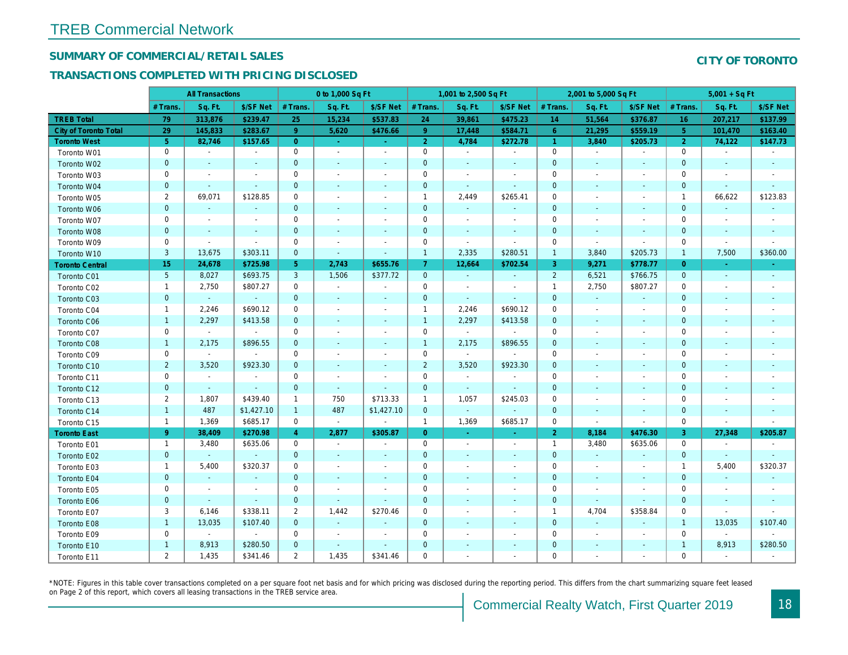#### **SUMMARY OF COMMERCIAL/RETAIL SALES**

#### **TRANSACTIONS COMPLETED WITH PRICING DISCLOSED**

|                        |                 | <b>All Transactions</b>  |                             |                | 0 to 1,000 Sq Ft         |                          |                     | 1,001 to 2,500 Sq Ft     |                          |                     | 2,001 to 5,000 Sq Ft |                          |                     | $5,001 + SqFt$           |           |
|------------------------|-----------------|--------------------------|-----------------------------|----------------|--------------------------|--------------------------|---------------------|--------------------------|--------------------------|---------------------|----------------------|--------------------------|---------------------|--------------------------|-----------|
|                        | # Trans.        | Sq. Ft.                  | \$/SF Net                   | # Trans.       | Sq. Ft.                  | \$/SF Net                | # Trans.            | Sq. Ft.                  | \$/SF Net                | # Trans.            | Sq. Ft.              | \$/SF Net                | # Trans.            | Sq. Ft.                  | \$/SF Net |
| <b>TREB Total</b>      | 79              | 313,876                  | \$239.47                    | 25             | 15,234                   | \$537.83                 | 24                  | 39,861                   | \$475.23                 | 14                  | 51,564               | \$376.87                 | 16                  | 207,217                  | \$137.99  |
| City of Toronto Total  | 29              | 145,833                  | \$283.67                    | -9             | 5,620                    | \$476.66                 | 9                   | 17,448                   | \$584.71                 | 6                   | 21,295               | \$559.19                 | $5\phantom{.}$      | 101,470                  | \$163.40  |
| <b>Toronto West</b>    | 5 <sup>°</sup>  | 82,746                   | \$157.65                    | $\overline{0}$ | ч.                       | $\Delta$                 | 2                   | 4,784                    | \$272.78                 | $\mathbf{1}$        | 3,840                | \$205.73                 | 2                   | 74,122                   | \$147.73  |
| Toronto W01            | $\mathbf 0$     | $\sim$                   | $\sim$                      | $\mathbf 0$    | $\sim$                   | $\sim$                   | $\mathbf 0$         | $\sim$                   | $\sim$                   | $\mathsf{O}$        |                      | $\sim$                   | $\mathsf{O}\xspace$ |                          |           |
| Toronto W02            | $\mathbf{0}$    | $\sim$                   | $\sim$                      | $\mathbf{0}$   | $\sim$                   | $\sim$                   | $\mathbf 0$         | $\sim$                   | $\sim$                   | $\mathbf 0$         | $\sim$               | $\sim$                   | $\mathbf 0$         |                          | $\sim$    |
| Toronto W03            | $\mathbf 0$     | $\overline{\phantom{a}}$ | $\overline{\phantom{a}}$    | $\mathbf 0$    | $\sim$                   | $\sim$                   | $\mathbf 0$         | $\overline{\phantom{a}}$ | $\overline{\phantom{a}}$ | $\mathbf 0$         |                      | $\sim$                   | $\mathbf 0$         |                          |           |
| Toronto W04            | $\mathbf{0}$    | $\mathcal{L}$            | $\overline{\phantom{a}}$    | $\mathbf{0}$   | $\sim$                   | $\sim$                   | $\overline{0}$      | $\sim$                   | $\sim$                   | $\mathbf 0$         |                      |                          | $\mathbf 0$         |                          |           |
| Toronto W05            | 2               | 69,071                   | \$128.85                    | $\mathbf 0$    | $\sim$                   | $\overline{\phantom{a}}$ | $\mathbf{1}$        | 2,449                    | \$265.41                 | $\mathbf 0$         |                      | $\sim$                   | $\mathbf{1}$        | 66,622                   | \$123.83  |
| Toronto W06            | $\overline{0}$  | $\sim$                   | $\overline{\phantom{a}}$    | $\mathbf{0}$   |                          |                          | $\overline{0}$      |                          | $\sim$                   | $\overline{0}$      |                      |                          | $\mathbf{0}$        |                          |           |
| Toronto W07            | $\mathbf 0$     | $\overline{\phantom{a}}$ | $\overline{\phantom{a}}$    | $\mathbf 0$    | $\sim$                   | $\overline{\phantom{a}}$ | 0                   | $\overline{\phantom{a}}$ | $\overline{\phantom{a}}$ | $\mathbf 0$         | $\sim$               | $\sim$                   | $\mathbf 0$         | $\overline{\phantom{a}}$ |           |
| Toronto W08            | $\mathbf{0}$    |                          | $\mathcal{L}_{\mathcal{A}}$ | $\mathbf{0}$   |                          |                          | $\overline{0}$      |                          | $\sim$                   | $\mathbf{0}$        |                      |                          | $\mathbf 0$         |                          |           |
| Toronto W09            | $\mathbf 0$     | $\sim$                   | $\overline{a}$              | $\mathbf 0$    | $\overline{\phantom{a}}$ | ÷,                       | 0                   | $\sim$                   | $\sim$                   | $\mathsf{O}\xspace$ | $\sim$               |                          | $\mathbf 0$         | $\sim$                   |           |
| Toronto W10            | $\mathbf{3}$    | 13,675                   | \$303.11                    | $\mathbf{0}$   | $\sim$                   | ÷.                       | $\mathbf{1}$        | 2,335                    | \$280.51                 | $\mathbf{1}$        | 3,840                | \$205.73                 | $\mathbf 1$         | 7,500                    | \$360.00  |
| <b>Toronto Central</b> | 15              | 24,678                   | \$725.98                    | 5 <sub>5</sub> | 2,743                    | \$655.76                 | 7                   | 12,664                   | \$702.54                 | 3                   | 9,271                | \$778.77                 | $\overline{O}$      | ÷.                       | $\sim$    |
| Toronto C01            | $5\phantom{.0}$ | 8,027                    | \$693.75                    | $\mathbf{3}$   | 1,506                    | \$377.72                 | $\mathbf 0$         | $\sim$                   | $\omega$                 | $\overline{2}$      | 6,521                | \$766.75                 | $\mathbf 0$         | $\mathbb{Z}^2$           | $\sim$    |
| Toronto C02            | $\mathbf{1}$    | 2,750                    | \$807.27                    | $\mathbf 0$    | $\sim$                   | ÷,                       | $\mathbf 0$         | $\overline{\phantom{a}}$ | $\sim$                   | $\mathbf{1}$        | 2,750                | \$807.27                 | $\mathbf 0$         |                          |           |
| Toronto C03            | $\mathbf{0}$    | $\sim$                   |                             | $\mathbf{0}$   | $\sim$                   | $\mathbb{Z}^2$           | $\mathbf 0$         | $\sim$                   | $\sim$                   | $\mathbf{0}$        | $\sim$               | $\sim$                   | $\mathbf 0$         |                          |           |
| Toronto C04            | $\mathbf{1}$    | 2,246                    | \$690.12                    | $\mathbf 0$    | $\sim$                   | $\overline{\phantom{a}}$ | $\mathbf{1}$        | 2,246                    | \$690.12                 | $\mathbf 0$         |                      | $\overline{\phantom{a}}$ | $\mathbf 0$         |                          |           |
| Toronto C06            | $\mathbf{1}$    | 2,297                    | \$413.58                    | $\mathbf{0}$   |                          | $\overline{\phantom{a}}$ | $\overline{1}$      | 2,297                    | \$413.58                 | $\mathbf{0}$        |                      | $\sim$                   | $\mathbf 0$         |                          |           |
| Toronto C07            | $\mathbf 0$     | $\sim$                   | $\sim$                      | $\overline{0}$ |                          | ÷                        | 0                   | $\mathcal{A}$            | $\sim$                   | $\mathbf 0$         |                      |                          | $\mathbf 0$         |                          |           |
| Toronto C08            | $\mathbf{1}$    | 2,175                    | \$896.55                    | $\mathbf{0}$   |                          |                          | $\mathbf{1}$        | 2,175                    | \$896.55                 | $\mathbf 0$         |                      |                          | $\overline{0}$      |                          |           |
| Toronto C09            | $\mathbf 0$     | $\sim$                   |                             | $\mathbf 0$    | $\overline{\phantom{a}}$ | ÷,                       | 0                   | $\blacksquare$           | $\sim$                   | $\mathsf{O}\xspace$ |                      |                          | $\mathbf 0$         |                          |           |
| Toronto C10            | 2               | 3,520                    | \$923.30                    | $\mathbf{0}$   | $\sim$                   | $\sim$                   | $\overline{2}$      | 3,520                    | \$923.30                 | $\overline{0}$      |                      | $\sim$                   | $\Omega$            |                          |           |
| Toronto C11            | $\mathbf 0$     | $\overline{\phantom{a}}$ | $\overline{\phantom{a}}$    | $\mathbf 0$    | $\sim$                   | ÷,                       | 0                   | $\sim$                   | $\overline{\phantom{a}}$ | $\mathsf{O}\xspace$ |                      | $\sim$                   | $\mathbf 0$         |                          |           |
| Toronto C12            | $\mathbf{0}$    | $\sim$                   | $\sim$                      | $\mathbf{0}$   | $\sim$                   | $\sim$                   | $\mathsf{O}\xspace$ | $\sim$                   | $\sim$                   | $\mathbf 0$         |                      |                          | $\mathbf 0$         |                          |           |
| Toronto C13            | 2               | 1,807                    | \$439.40                    | $\mathbf{1}$   | 750                      | \$713.33                 | $\mathbf{1}$        | 1,057                    | \$245.03                 | $\mathbf 0$         |                      | $\overline{\phantom{a}}$ | $\mathbf 0$         |                          |           |
| Toronto C14            | $\mathbf{1}$    | 487                      | \$1,427.10                  | $\overline{1}$ | 487                      | \$1,427.10               | $\mathbf 0$         | $\sim$                   | $\sim$                   | $\mathbf{0}$        |                      | $\sim$                   | $\mathbf 0$         |                          |           |
| Toronto C15            | $\overline{1}$  | 1,369                    | \$685.17                    | $\mathbf 0$    | $\sim$                   | $\sim$                   | $\overline{1}$      | 1,369                    | \$685.17                 | $\mathbf 0$         | $\sim$               | $\sim$                   | $\mathbf 0$         | $\sim$                   |           |
| <b>Toronto East</b>    | 9               | 38,409                   | \$270.98                    | $\overline{4}$ | 2,877                    | \$305.87                 | $\overline{0}$      |                          |                          | $\overline{2}$      | 8,184                | \$476.30                 | 3                   | 27,348                   | \$205.87  |
| Toronto E01            | $\mathbf{1}$    | 3,480                    | \$635.06                    | $\mathbf 0$    | $\overline{\phantom{a}}$ | $\sim$                   | $\mathsf{O}\xspace$ | $\overline{\phantom{a}}$ | $\overline{\phantom{a}}$ | $\mathbf{1}$        | 3,480                | \$635.06                 | $\mathsf{O}\xspace$ |                          |           |
| Toronto E02            | $\mathbf{0}$    | $\sim$                   | $\sim$                      | $\mathbf{0}$   |                          | $\sim$                   | $\overline{0}$      |                          | $\sim$                   | $\mathbf{0}$        |                      |                          | $\overline{0}$      |                          |           |
| Toronto E03            | $\mathbf{1}$    | 5,400                    | \$320.37                    | $\mathbf 0$    | $\sim$                   | $\overline{\phantom{a}}$ | 0                   | $\sim$                   | $\sim$                   | $\mathsf{O}\xspace$ | $\sim$               | $\overline{a}$           | $\mathbf{1}$        | 5,400                    | \$320.37  |
| Toronto E04            | $\mathbf{0}$    | $\sim$                   | $\mathcal{L}_{\mathcal{A}}$ | $\mathbf{0}$   | $\sim$                   | ÷.                       | $\mathbf{O}$        |                          | $\sim$                   | $\mathbf 0$         |                      | $\overline{a}$           | $\mathbf 0$         |                          |           |
| Toronto E05            | $\mathbf 0$     | $\overline{\phantom{a}}$ | $\overline{\phantom{a}}$    | $\mathbf 0$    | $\overline{\phantom{a}}$ | ÷,                       | 0                   |                          | $\overline{\phantom{a}}$ | $\mathbf 0$         |                      |                          | $\mathbf 0$         |                          |           |
| Toronto E06            | $\mathbf 0$     | $\sim$                   | $\sim$                      | $\mathbf 0$    | $\sim$                   | $\sim$                   | $\mathbf 0$         |                          | $\sim$                   | $\boldsymbol{0}$    | $\sim$               |                          | $\mathbf 0$         |                          |           |
| Toronto E07            | 3               | 6,146                    | \$338.11                    | $\overline{2}$ | 1,442                    | \$270.46                 | $\mathbf 0$         | $\overline{\phantom{a}}$ | $\sim$                   | $\mathbf{1}$        | 4,704                | \$358.84                 | $\mathbf 0$         |                          |           |
| Toronto E08            | $\mathbf{1}$    | 13,035                   | \$107.40                    | $\mathbf{0}$   | $\blacksquare$           | $\blacksquare$           | $\mathbf 0$         |                          | $\blacksquare$           | $\mathbf{0}$        |                      |                          | $\mathbf{1}$        | 13,035                   | \$107.40  |
| Toronto E09            | $\mathbf 0$     | $\sim$                   | $\sim$                      | $\mathbf 0$    | $\sim$                   | $\overline{a}$           | $\mathbf 0$         |                          | $\overline{\phantom{a}}$ | $\mathbf 0$         |                      |                          | $\mathbf 0$         | $\sim$                   |           |
| Toronto E10            | $\mathbf{1}$    | 8,913                    | \$280.50                    | $\mathbf{0}$   |                          |                          | $\overline{0}$      |                          | $\sim$                   | $\mathbf 0$         |                      |                          | $\mathbf{1}$        | 8,913                    | \$280.50  |
| Toronto E11            | $\overline{2}$  | 1,435                    | \$341.46                    | $\overline{2}$ | 1,435                    | \$341.46                 | $\mathbf 0$         |                          |                          | $\mathbf 0$         |                      |                          | $\mathbf 0$         |                          |           |

\*NOTE: Figures in this table cover transactions completed on a per square foot net basis and for which pricing was disclosed during the reporting period. This differs from the chart summarizing square feet leased on Page 2 of this report, which covers all leasing transactions in the TREB service area.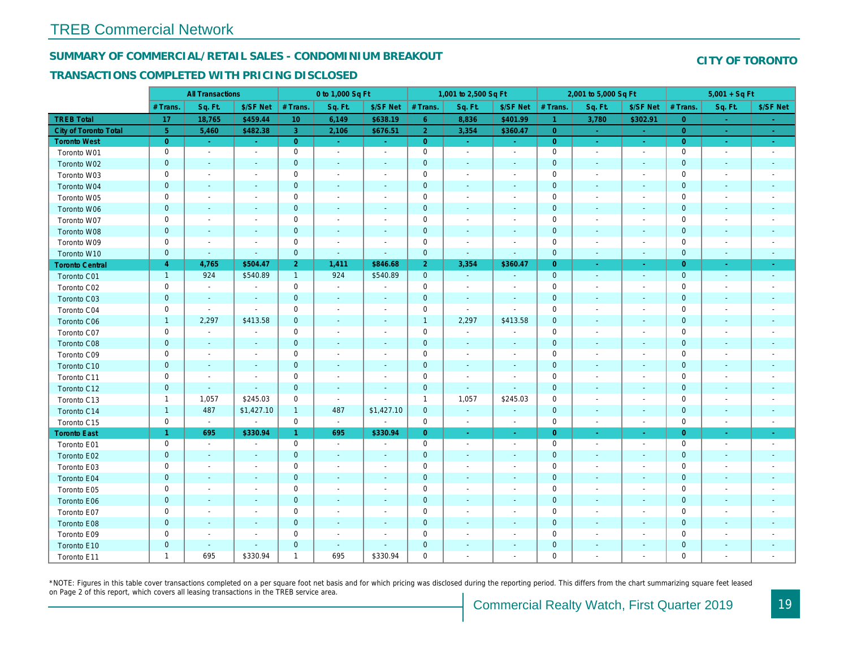## **SUMMARY OF COMMERCIAL/RETAIL SALES - CONDOMINIUM BREAKOUT**

#### **TRANSACTIONS COMPLETED WITH PRICING DISCLOSED**

|                        |                | <b>All Transactions</b>  |                          |                | 0 to 1,000 Sq Ft         |                             |                     | 1,001 to 2,500 Sq Ft     |                          |                     | 2,001 to 5,000 Sq Ft     |                             |                     | $5,001 + SqF$            |                             |
|------------------------|----------------|--------------------------|--------------------------|----------------|--------------------------|-----------------------------|---------------------|--------------------------|--------------------------|---------------------|--------------------------|-----------------------------|---------------------|--------------------------|-----------------------------|
|                        | # Trans.       | Sq. Ft.                  | \$/SF Net                | # Trans.       | Sq. Ft.                  | \$/SF Net                   | # Trans.            | Sq. Ft.                  | \$/SF Net                | # Trans.            | Sq. Ft.                  | \$/SF Net                   | # Trans.            | Sq. Ft.                  | \$/SF Net                   |
| <b>TREB Total</b>      | 17             | 18,765                   | \$459.44                 | 10             | 6,149                    | \$638.19                    | 6                   | 8,836                    | \$401.99                 | $\mathbf{1}$        | 3,780                    | \$302.91                    | $\overline{0}$      |                          |                             |
| City of Toronto Total  | $\overline{5}$ | 5,460                    | \$482.38                 | $\overline{3}$ | 2,106                    | \$676.51                    | $\overline{2}$      | 3,354                    | \$360.47                 | $\overline{0}$      |                          |                             | $\Omega$            | $\sim$                   | $\sim$                      |
| <b>Toronto West</b>    | $\overline{0}$ | ÷.                       | $\sim$                   | $\overline{0}$ | $\sim$                   | ч.                          | $\overline{0}$      | $\sim$                   | $\sim$                   | $\overline{0}$      | a.                       | $\sim$                      | $\overline{0}$      | $\sim$                   | $\sim$                      |
| Toronto W01            | $\mathbf 0$    | $\overline{\phantom{a}}$ | $\sim$                   | $\mathbf 0$    | $\sim$                   | $\sim$                      | $\mathbf 0$         | $\overline{\phantom{a}}$ | $\overline{\phantom{a}}$ | $\mathbf 0$         | $\sim$                   | $\sim$                      | $\mathbf 0$         | $\overline{\phantom{a}}$ | $\overline{\phantom{a}}$    |
| Toronto W02            | $\mathbf 0$    | $\blacksquare$           | $\sim$                   | $\mathbf 0$    | $\mathbb{Z}^2$           | $\sim$                      | $\mathbf 0$         |                          | $\overline{\phantom{a}}$ | $\mathbf{0}$        | $\sim$                   | $\mathcal{L}$               | $\mathbf 0$         |                          | $\blacksquare$              |
| Toronto W03            | $\mathbf 0$    | $\overline{a}$           | $\overline{\phantom{a}}$ | $\mathbf 0$    | $\sim$                   |                             | $\mathbf 0$         |                          | $\overline{\phantom{a}}$ | $\mathbf 0$         | $\overline{\phantom{a}}$ | $\overline{a}$              | 0                   |                          | $\overline{a}$              |
| Toronto W04            | $\mathbf{0}$   | $\Box$                   | $\sim$                   | $\mathbf{0}$   | ÷.                       | $\sim$                      | $\overline{0}$      |                          | $\sim$                   | $\mathbf{0}$        |                          | $\mathcal{L}$               | $\overline{0}$      |                          | $\mathbb{Z}^2$              |
| Toronto W05            | $\mathbf 0$    | ÷                        | $\overline{\phantom{a}}$ | $\mathbf 0$    | $\overline{\phantom{a}}$ |                             | $\mathbf 0$         |                          | $\overline{\phantom{a}}$ | $\mathbf 0$         |                          | $\overline{\phantom{a}}$    | 0                   |                          | ÷                           |
| Toronto W06            | $\mathbf 0$    | $\overline{\phantom{a}}$ | $\sim$                   | $\mathbf{0}$   |                          |                             | $\mathbf{0}$        |                          | $\sim$                   | $\mathbf{0}$        | $\sim$                   | $\sim$                      | $\mathbf{O}$        | $\sim$                   | $\blacksquare$              |
| Toronto W07            | $\mathbf 0$    | ÷                        | $\overline{\phantom{a}}$ | $\mathbf 0$    |                          |                             | $\mathbf 0$         |                          | $\overline{\phantom{a}}$ | $\mathbf 0$         | $\overline{\phantom{a}}$ | $\overline{\phantom{a}}$    | 0                   | $\overline{\phantom{a}}$ | ÷                           |
| Toronto W08            | $\mathbf 0$    | ÷                        | $\sim$                   | $\mathbf{0}$   | $\sim$                   | $\sim$                      | $\overline{0}$      |                          | $\sim$                   | $\mathbf{0}$        | $\sim$                   | $\mathcal{L}$               | $\mathbf{O}$        | $\overline{\phantom{a}}$ | $\mathbf{r}$                |
| Toronto W09            | $\mathbf 0$    | $\overline{\phantom{a}}$ | $\sim$                   | $\mathbf 0$    | $\sim$                   | $\overline{\phantom{a}}$    | $\mathbf 0$         |                          | $\sim$                   | $\mathbf 0$         | $\sim$                   | $\sim$                      | 0                   | $\overline{\phantom{a}}$ | $\overline{\phantom{a}}$    |
| Toronto W10            | $\mathbf 0$    | $\sim$                   | $\sim$                   | $\mathbf{0}$   | $\sim$                   | $\sim$                      | $\overline{0}$      | $\sim$                   | $\sim$                   | $\mathbf{0}$        | $\sim$                   | $\sim$                      | $\overline{0}$      | $\sim$                   | $\sim$                      |
| <b>Toronto Central</b> | $\overline{4}$ | 4,765                    | \$504.47                 | $\overline{2}$ | 1,411                    | \$846.68                    | $\overline{2}$      | 3,354                    | \$360.47                 | $\overline{0}$      | a.                       | $\sim$                      | $\overline{0}$      | $\sim$                   | $\omega$                    |
| Toronto C01            | $\overline{1}$ | 924                      | \$540.89                 | $\mathbf{1}$   | 924                      | \$540.89                    | $\mathbf{0}$        | $\sim$                   | $\sim$                   | $\mathbf{0}$        | $\sim$                   | $\sim$                      | $\mathbf{0}$        | $\sim$                   | $\sim$                      |
| Toronto C02            | $\mathbf 0$    | $\sim$                   | $\sim$                   | $\mathbf 0$    | $\sim$                   |                             | $\mathsf{O}\xspace$ | $\overline{\phantom{a}}$ | $\sim$                   | $\mathbf 0$         | $\overline{\phantom{a}}$ | $\sim$                      | 0                   | ч.                       | $\overline{\phantom{a}}$    |
| Toronto C03            | $\mathbf 0$    | $\sim$                   | $\sim$                   | $\mathbf 0$    | $\sim$                   | $\sim$                      | $\mathbf 0$         | $\sim$                   | $\sim$                   | $\mathbf{0}$        | $\sim$                   | $\sim$                      | $\overline{0}$      | $\overline{\phantom{a}}$ | $\sim$                      |
| Toronto C04            | 0              | $\sim$                   | $\overline{\phantom{a}}$ | 0              | $\overline{\phantom{a}}$ | $\overline{a}$              | 0                   | $\sim$                   | $\sim$                   | 0                   | $\overline{\phantom{a}}$ | $\overline{\phantom{a}}$    | 0                   | $\overline{\phantom{a}}$ | $\overline{\phantom{a}}$    |
| Toronto C06            | $\mathbf{1}$   | 2,297                    | \$413.58                 | $\mathbf{0}$   | $\sim$                   | $\sim$                      | $\mathbf{1}$        | 2,297                    | \$413.58                 | $\mathbf{0}$        | $\sim$                   | $\sim$                      | $\mathbf{0}$        | ÷.                       | $\sim$                      |
| Toronto C07            | $\mathbf 0$    | $\sim$                   | $\sim$                   | $\mathbf 0$    | $\sim$                   | $\sim$                      | $\mathbf 0$         | $\overline{\phantom{a}}$ | $\overline{\phantom{a}}$ | $\mathbf 0$         | $\sim$                   | $\sim$                      | 0                   | $\overline{\phantom{a}}$ | $\overline{\phantom{a}}$    |
| Toronto C08            | $\mathbf 0$    | ÷.                       | $\sim$                   | $\mathbf{0}$   | $\sim$                   | $\sim$                      | $\mathbf 0$         |                          | $\sim$                   | $\mathbf{0}$        | $\sim$                   | ÷.                          | $\overline{0}$      | $\overline{\phantom{a}}$ | $\sim$                      |
| Toronto C09            | $\mathbf 0$    | $\overline{\phantom{a}}$ | $\sim$                   | $\mathbf 0$    | $\overline{\phantom{a}}$ | $\overline{\phantom{a}}$    | $\mathbf 0$         |                          | $\overline{\phantom{a}}$ | $\mathbf 0$         | $\sim$                   | $\overline{\phantom{a}}$    | 0                   |                          | $\overline{\phantom{a}}$    |
| Toronto C10            | $\mathbf 0$    | $\overline{\phantom{a}}$ | $\sim$                   | $\mathbf 0$    | $\sim$                   |                             | $\mathbf 0$         |                          | $\sim$                   | $\mathbf{0}$        | $\sim$                   | $\sim$                      | $\mathbf 0$         |                          | $\overline{\phantom{a}}$    |
| Toronto C11            | $\mathbf 0$    | $\overline{\phantom{a}}$ | $\sim$                   | $\mathbf 0$    | $\sim$                   | $\sim$                      | $\mathbf 0$         | $\sim$                   | $\sim$                   | $\mathbf 0$         | $\sim$                   | $\overline{\phantom{a}}$    | 0                   | $\overline{\phantom{a}}$ | $\overline{\phantom{a}}$    |
| Toronto C12            | $\mathbf{0}$   | $\sim$                   | $\sim$                   | $\mathbf{0}$   | $\mathbb{Z}^2$           |                             | $\mathbf{0}$        |                          | $\sim$                   | $\mathbf{0}$        |                          | $\sim$                      | $\overline{0}$      |                          |                             |
| Toronto C13            | $\mathbf{1}$   | 1,057                    | \$245.03                 | $\mathbf 0$    | $\sim$                   |                             | $\mathbf{1}$        | 1,057                    | \$245.03                 | $\mathbf 0$         | $\sim$                   | $\overline{\phantom{a}}$    | $\mathbf 0$         | $\overline{\phantom{a}}$ | $\overline{\phantom{a}}$    |
| Toronto C14            | $\overline{1}$ | 487                      | \$1,427.10               | $\mathbf{1}$   | 487                      | \$1,427.10                  | $\mathbf 0$         |                          | $\sim$                   | $\mathbf{0}$        |                          | $\sim$                      | $\mathbf 0$         |                          | $\overline{\phantom{a}}$    |
| Toronto C15            | $\mathbf 0$    | $\sim$                   | $\sim$                   | $\mathbf 0$    | $\sim$                   | $\mathcal{L}_{\mathcal{A}}$ | $\mathbf 0$         | $\sim$                   | $\sim$                   | $\mathbf 0$         | $\sim$                   | $\sim$                      | $\mathbf 0$         | $\sim$                   | $\overline{\phantom{a}}$    |
| <b>Toronto East</b>    | $\overline{1}$ | 695                      | \$330.94                 | $\mathbf{1}$   | 695                      | \$330.94                    | $\overline{0}$      | $\sim$                   | $\sim$                   | $\overline{O}$      | $\sim$                   | $\mathcal{L}_{\mathcal{A}}$ | $\overline{0}$      | $\sim$                   | $\sim$                      |
| Toronto E01            | $\mathbf 0$    | $\overline{\phantom{a}}$ | $\sim$                   | $\mathbf 0$    | $\sim$                   | $\sim$                      | $\mathbf 0$         | $\overline{\phantom{a}}$ | $\sim$                   | $\mathbf 0$         | $\sim$                   | $\overline{\phantom{a}}$    | 0                   | $\overline{\phantom{a}}$ | $\sim$                      |
| Toronto E02            | $\mathbf 0$    | $\overline{\phantom{a}}$ | $\sim$                   | $\mathbf 0$    | $\sim$                   | $\sim$                      | $\mathbf 0$         |                          | $\sim$                   | $\mathsf{O}\xspace$ | $\sim$                   | $\sim$                      | $\mathbf 0$         | $\sim$                   | $\mathcal{L}_{\mathcal{A}}$ |
| Toronto E03            | $\mathbf 0$    | $\overline{\phantom{a}}$ | $\overline{a}$           | $\mathbf 0$    | $\overline{\phantom{a}}$ | $\overline{a}$              | $\mathbf 0$         | $\overline{\phantom{a}}$ | $\overline{\phantom{a}}$ | $\mathbf 0$         | $\overline{\phantom{a}}$ | $\overline{\phantom{a}}$    | $\mathbf 0$         | $\overline{\phantom{a}}$ | $\overline{\phantom{a}}$    |
| Toronto E04            | $\mathbf{0}$   | ÷                        | $\sim$                   | $\mathbf{0}$   | $\sim$                   | $\sim$                      | $\mathbf 0$         |                          | $\sim$                   | $\mathbf{0}$        | $\sim$                   | $\sim$                      | $\mathsf{O}\xspace$ | $\sim$                   | $\sim$                      |
| Toronto E05            | $\mathbf 0$    | $\overline{\phantom{a}}$ | $\overline{\phantom{a}}$ | $\mathbf 0$    | $\sim$                   |                             | $\mathbf 0$         |                          | $\overline{\phantom{a}}$ | $\mathbf 0$         | $\overline{\phantom{a}}$ | $\overline{\phantom{a}}$    | 0                   | ۰.                       | $\sim$                      |
| Toronto E06            | $\mathbf 0$    | ÷                        | $\sim$                   | $\mathbf 0$    | $\sim$                   | $\sim$                      | $\mathbf 0$         |                          | $\sim$                   | $\mathbf{0}$        | $\sim$                   | $\sim$                      | $\mathbf 0$         | $\sim$                   | $\mathcal{L}_{\mathcal{A}}$ |
| Toronto E07            | $\mathbf 0$    | $\overline{\phantom{a}}$ | $\overline{\phantom{a}}$ | $\mathbf 0$    | $\overline{\phantom{a}}$ |                             | $\mathbf 0$         |                          | $\sim$                   | $\mathbf 0$         | $\overline{\phantom{a}}$ | $\overline{\phantom{a}}$    | $\mathbf 0$         | $\overline{\phantom{a}}$ | $\overline{\phantom{a}}$    |
| Toronto E08            | $\mathbf{0}$   | $\sim$                   | $\sim$                   | $\mathbf{0}$   | $\sim$                   | $\sim$                      | $\mathbf 0$         |                          | $\overline{\phantom{a}}$ | $\mathbf{0}$        | $\sim$                   | $\mathcal{L}$               | $\mathsf{O}\xspace$ | $\sim$                   | $\mathbb{Z}^2$              |
| Toronto E09            | $\mathbf 0$    | $\overline{a}$           | $\overline{\phantom{a}}$ | $\mathbf 0$    | $\overline{a}$           |                             | $\mathbf 0$         |                          | $\sim$                   | $\mathbf 0$         | $\overline{\phantom{a}}$ | $\overline{\phantom{a}}$    | $\mathbf 0$         |                          | $\overline{a}$              |
| Toronto E10            | $\mathbf 0$    | $\mathbb{L}^2$           | $\sim$                   | $\mathbf 0$    | $\sim$                   | $\sim$                      | $\mathbf 0$         |                          | $\sim$                   | $\mathbf{0}$        |                          | $\mathcal{L}$               | $\mathbf 0$         |                          | $\blacksquare$              |
| Toronto E11            | $\mathbf{1}$   | 695                      | \$330.94                 | $\mathbf{1}$   | 695                      | \$330.94                    | $\mathbf 0$         |                          | $\sim$                   | $\mathbf 0$         |                          | $\overline{\phantom{a}}$    | $\mathbf 0$         |                          |                             |

\*NOTE: Figures in this table cover transactions completed on a per square foot net basis and for which pricing was disclosed during the reporting period. This differs from the chart summarizing square feet leased on Page 2 of this report, which covers all leasing transactions in the TREB service area.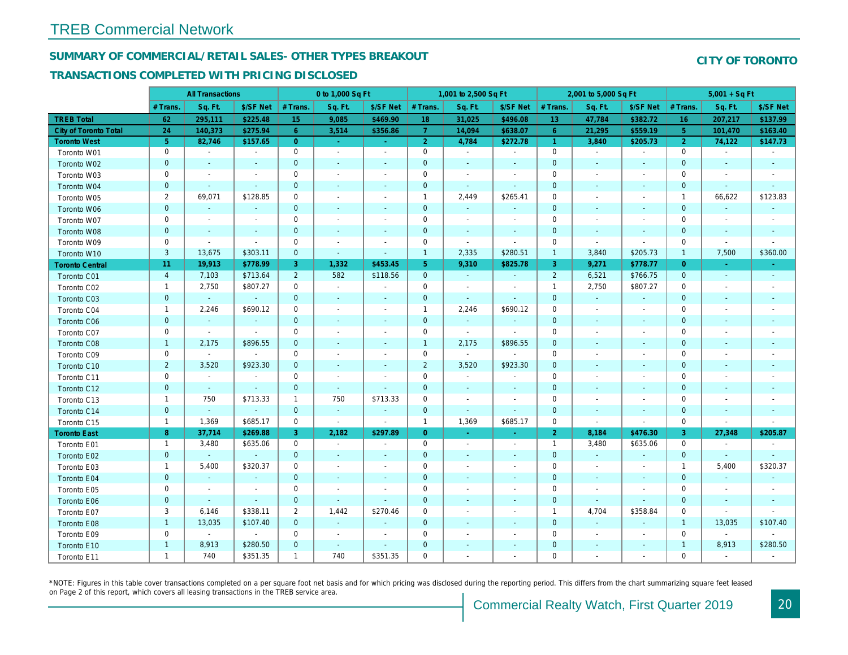#### **SUMMARY OF COMMERCIAL/RETAIL SALES- OTHER TYPES BREAKOUT**

#### **TRANSACTIONS COMPLETED WITH PRICING DISCLOSED**

|                        |                | <b>All Transactions</b>  |                          |                | 0 to 1,000 Sq Ft            |                          |                | 1,001 to 2,500 Sq Ft     |                          |                     | 2,001 to 5,000 Sq Ft |                          |                | $5,001 + SqFt$           |                          |
|------------------------|----------------|--------------------------|--------------------------|----------------|-----------------------------|--------------------------|----------------|--------------------------|--------------------------|---------------------|----------------------|--------------------------|----------------|--------------------------|--------------------------|
|                        | # Trans        | Sq. Ft.                  | \$/SF Net                | # Trans.       | Sq. Ft.                     | \$/SF Net                | # Trans.       | Sq. Ft.                  | \$/SF Net                | # Trans.            | Sq. Ft.              | \$/SF Net                | # Trans.       | Sq. Ft.                  | \$/SF Net                |
| <b>TREB Total</b>      | 62             | 295,111                  | \$225.48                 | 15             | 9,085                       | \$469.90                 | 18             | 31,025                   | \$496.08                 | 13                  | 47,784               | \$382.72                 | 16             | 207,217                  | \$137.99                 |
| City of Toronto Total  | 24             | 140,373                  | \$275.94                 | 6              | 3,514                       | \$356.86                 | $\overline{7}$ | 14,094                   | \$638.07                 | 6                   | 21,295               | \$559.19                 | 5              | 101,470                  | \$163.40                 |
| <b>Toronto West</b>    | 5 <sup>5</sup> | 82,746                   | \$157.65                 | $\overline{0}$ | ÷.                          |                          | $\overline{2}$ | 4,784                    | \$272.78                 | $\overline{1}$      | 3,840                | \$205.73                 | $\overline{2}$ | 74,122                   | \$147.73                 |
| Toronto W01            | $\mathbf 0$    | $\sim$                   | $\sim$                   | $\mathbf 0$    | $\sim$                      | $\overline{\phantom{a}}$ | $\mathbf 0$    | $\overline{\phantom{a}}$ | $\sim$                   | $\mathsf{O}\xspace$ | $\sim$               | $\overline{\phantom{a}}$ | $\mathbf 0$    | $\overline{\phantom{a}}$ | $\overline{\phantom{a}}$ |
| Toronto W02            | $\mathbf 0$    | $\sim$                   | $\sim$                   | $\mathbf 0$    | $\sim$                      | $\sim$                   | $\mathbf 0$    |                          | $\sim$                   | $\mathbf 0$         |                      |                          | $\mathbf 0$    |                          | $\sim$                   |
| Toronto W03            | $\mathbf 0$    | $\overline{\phantom{a}}$ | $\overline{\phantom{a}}$ | $\mathbf 0$    | $\sim$                      |                          | $\mathbf 0$    |                          | $\overline{\phantom{a}}$ | $\mathbf 0$         |                      |                          | $\mathbf 0$    |                          |                          |
| Toronto W04            | $\overline{0}$ | $\sim$                   | $\sim$                   | $\mathbf{0}$   | $\sim$                      | $\sim$                   | $\mathbf{0}$   | $\sim$                   | $\sim$                   | $\mathbf{0}$        |                      | $\sim$                   | $\overline{0}$ | $\sim$                   | $\sim$                   |
| Toronto W05            | $\overline{2}$ | 69,071                   | \$128.85                 | $\mathbf 0$    | $\overline{a}$              |                          | $\mathbf{1}$   | 2,449                    | \$265.41                 | $\mathbf 0$         |                      |                          | $\mathbf{1}$   | 66,622                   | \$123.83                 |
| Toronto W06            | $\mathbf 0$    | $\sim$                   | $\sim$                   | $\mathbf 0$    |                             |                          | $\mathbf 0$    | $\mathbb{Z}^2$           | $\sim$                   | $\mathbf 0$         |                      |                          | $\mathbf 0$    |                          | $\sim$                   |
| Toronto W07            | $\mathbf 0$    | $\overline{\phantom{a}}$ | $\overline{\phantom{a}}$ | $\mathbf 0$    | $\sim$                      |                          | $\mathbf 0$    | $\sim$                   | $\overline{\phantom{a}}$ | $\mathbf 0$         |                      |                          | $\mathbf 0$    |                          | $\overline{\phantom{a}}$ |
| Toronto W08            | $\mathbf{0}$   |                          | $\sim$                   | $\mathbf{0}$   | ÷                           |                          | $\mathbf{0}$   |                          | $\sim$                   | $\mathbf{0}$        | $\sim$               |                          | $\overline{0}$ |                          | $\sim$                   |
| Toronto W09            | $\mathbf 0$    | $\sim$                   | $\overline{\phantom{a}}$ | $\mathbf 0$    | $\overline{\phantom{a}}$    |                          | $\mathbf 0$    | $\sim$                   | $\sim$                   | $\mathbf 0$         | $\sim$               |                          | $\mathbf 0$    |                          |                          |
| Toronto W10            | $\overline{3}$ | 13,675                   | \$303.11                 | $\mathbf{0}$   | $\mathcal{L}_{\mathcal{A}}$ |                          | $\mathbf{1}$   | 2,335                    | \$280.51                 | $\mathbf{1}$        | 3,840                | \$205.73                 | $\mathbf{1}$   | 7,500                    | \$360.00                 |
| <b>Toronto Central</b> | 11             | 19,913                   | \$778.99                 | 3              | 1,332                       | \$453.45                 | 5              | 9,310                    | \$825.78                 | $\overline{3}$      | 9,271                | \$778.77                 | $\overline{0}$ |                          |                          |
| Toronto C01            | $\overline{4}$ | 7,103                    | \$713.64                 | 2              | 582                         | \$118.56                 | $\mathbf{0}$   | $\sim$                   | $\sim$                   | 2                   | 6,521                | \$766.75                 | $\mathbf{0}$   | $\sim$                   | $\sim$                   |
| Toronto C02            | $\mathbf{1}$   | 2,750                    | \$807.27                 | $\mathbf 0$    | $\sim$                      |                          | $\mathbf 0$    |                          | $\overline{\phantom{a}}$ | $\mathbf{1}$        | 2,750                | \$807.27                 | $\mathbf 0$    |                          | $\overline{\phantom{a}}$ |
| Toronto C03            | $\overline{0}$ | $\sim$                   | $\sim$                   | $\mathbf{0}$   | $\sim$                      |                          | $\Omega$       | $\overline{\phantom{a}}$ |                          | $\mathbf 0$         | $\mathcal{L}$        | $\sim$                   | $\overline{0}$ |                          | $\sim$                   |
| Toronto C04            | $\mathbf{1}$   | 2,246                    | \$690.12                 | $\mathbf 0$    | $\sim$                      |                          | $\mathbf{1}$   | 2,246                    | \$690.12                 | $\mathbf 0$         |                      | $\overline{\phantom{a}}$ | $\mathbf 0$    |                          |                          |
| Toronto C06            | $\mathbf 0$    | $\sim$                   | $\sim$                   | $\mathbf 0$    | $\sim$                      | $\sim$                   | $\overline{0}$ | $\sim$                   | $\sim$                   | $\mathbf 0$         |                      | $\sim$                   | $\mathbf 0$    |                          | $\sim$                   |
| Toronto C07            | $\mathbf 0$    | $\sim$                   | $\sim$                   | $\mathbf 0$    | $\sim$                      | $\overline{\phantom{a}}$ | $\mathbf 0$    | $\sim$                   | $\overline{a}$           | $\mathbf 0$         |                      | $\overline{\phantom{a}}$ | $\mathbf 0$    |                          |                          |
| Toronto C08            | $\mathbf{1}$   | 2,175                    | \$896.55                 | $\mathbf 0$    |                             |                          | $\mathbf{1}$   | 2,175                    | \$896.55                 | $\mathbf 0$         |                      |                          | $\overline{0}$ |                          |                          |
| Toronto C09            | $\mathbf 0$    | $\sim$                   |                          | $\mathbf 0$    | $\sim$                      |                          | $\mathbf 0$    | $\mathbb{Z}^2$           |                          | $\mathbf 0$         |                      |                          | $\mathbf 0$    |                          |                          |
| Toronto C10            | $\overline{2}$ | 3,520                    | \$923.30                 | $\mathbf 0$    | $\sim$                      |                          | $\overline{2}$ | 3,520                    | \$923.30                 | $\mathbf 0$         |                      |                          | $\mathbf 0$    |                          |                          |
| Toronto C11            | $\mathbf 0$    | $\sim$                   | $\sim$                   | $\mathbf 0$    | $\sim$                      | $\overline{\phantom{a}}$ | $\mathbf 0$    |                          | $\overline{\phantom{a}}$ | $\mathbf 0$         |                      |                          | $\mathbf 0$    |                          |                          |
| Toronto C12            | $\overline{0}$ | $\sim$                   | $\sim$                   | $\mathbf{0}$   | $\sim$                      |                          | $\mathbf{0}$   | $\overline{a}$           | $\sim$                   | $\mathbf{0}$        |                      |                          | $\overline{0}$ |                          |                          |
| Toronto C13            | $\mathbf{1}$   | 750                      | \$713.33                 | $\mathbf{1}$   | 750                         | \$713.33                 | $\mathbf 0$    | $\overline{\phantom{a}}$ | $\overline{\phantom{a}}$ | $\mathbf 0$         | $\sim$               |                          | $\mathbf 0$    |                          |                          |
| Toronto C14            | $\mathbf 0$    | $\sim$                   | $\sim$                   | $\mathbf{0}$   | $\mathbf{r}$                | $\sim$                   | $\mathbf 0$    | $\sim$                   | $\sim$                   | $\mathbf 0$         |                      |                          | $\mathbf 0$    |                          | $\sim$                   |
| Toronto C15            | $\mathbf{1}$   | 1,369                    | \$685.17                 | $\mathbf 0$    | $\sim$                      | $\overline{\phantom{a}}$ | $\mathbf{1}$   | 1,369                    | \$685.17                 | $\mathbf 0$         | $\sim$               | $\sim$                   | $\mathbf 0$    | $\sim$                   |                          |
| <b>Toronto East</b>    | 8              | 37,714                   | \$269.88                 | $\overline{3}$ | 2,182                       | \$297.89                 | $\overline{0}$ |                          |                          | $\overline{2}$      | 8,184                | \$476.30                 | 3              | 27,348                   | \$205.87                 |
| Toronto E01            | $\mathbf{1}$   | 3,480                    | \$635.06                 | $\mathbf 0$    | $\sim$                      | $\sim$                   | $\mathbf 0$    |                          | $\overline{\phantom{a}}$ | $\mathbf{1}$        | 3,480                | \$635.06                 | $\mathbf 0$    |                          | $\sim$                   |
| Toronto E02            | $\mathbf 0$    | $\sim$                   |                          | $\mathbf 0$    |                             |                          | $\mathbf 0$    |                          |                          | $\mathbf 0$         |                      |                          | $\mathbf 0$    |                          |                          |
| Toronto E03            | $\mathbf{1}$   | 5,400                    | \$320.37                 | $\mathbf 0$    | $\sim$                      | $\overline{\phantom{a}}$ | $\mathbf 0$    |                          | $\overline{\phantom{a}}$ | $\mathbf 0$         | $\sim$               | $\overline{\phantom{a}}$ | $\mathbf{1}$   | 5,400                    | \$320.37                 |
| Toronto E04            | $\overline{0}$ | ÷.                       | $\sim$                   | $\mathbf{0}$   |                             |                          | $\mathbf{0}$   |                          | $\sim$                   | $\mathbf{0}$        |                      |                          | $\mathbf 0$    |                          |                          |
| Toronto E05            | $\mathbf 0$    | $\sim$                   | $\sim$                   | $\mathbf 0$    | $\overline{\phantom{a}}$    |                          | $\mathbf 0$    |                          | $\overline{\phantom{a}}$ | $\mathsf{O}\xspace$ |                      |                          | $\mathbf 0$    |                          |                          |
| Toronto E06            | $\mathbf 0$    | $\sim$                   | $\sim$                   | $\mathbf 0$    | $\sim$                      |                          | $\mathbf 0$    |                          |                          | $\mathbf 0$         | $\sim$               |                          | $\mathbf 0$    |                          |                          |
| Toronto E07            | 3              | 6,146                    | \$338.11                 | $\overline{2}$ | 1,442                       | \$270.46                 | $\mathbf 0$    | $\sim$                   | $\overline{\phantom{a}}$ | $\mathbf{1}$        | 4,704                | \$358.84                 | $\mathbf 0$    |                          |                          |
| Toronto E08            | $\overline{1}$ | 13,035                   | \$107.40                 | $\mathbf{0}$   | $\sim$                      |                          | $\mathbf{0}$   |                          | $\sim$                   | $\mathbf 0$         |                      |                          | $\overline{1}$ | 13,035                   | \$107.40                 |
| Toronto E09            | $\mathbf 0$    | $\sim$                   | $\sim$                   | $\mathbf 0$    | $\overline{\phantom{a}}$    | $\sim$                   | $\mathbf 0$    |                          |                          | $\mathsf{O}\xspace$ |                      |                          | $\mathbf 0$    | $\sim$                   |                          |
| Toronto E10            | $\mathbf{1}$   | 8,913                    | \$280.50                 | $\mathbf 0$    |                             |                          | $\overline{0}$ |                          |                          | $\mathbf 0$         |                      |                          | $\mathbf{1}$   | 8,913                    | \$280.50                 |
| Toronto E11            | $\mathbf{1}$   | 740                      | \$351.35                 | $\mathbf{1}$   | 740                         | \$351.35                 | $\mathbf 0$    |                          |                          | $\mathbf 0$         |                      |                          | $\Omega$       |                          |                          |

\*NOTE: Figures in this table cover transactions completed on a per square foot net basis and for which pricing was disclosed during the reporting period. This differs from the chart summarizing square feet leased on Page 2 of this report, which covers all leasing transactions in the TREB service area.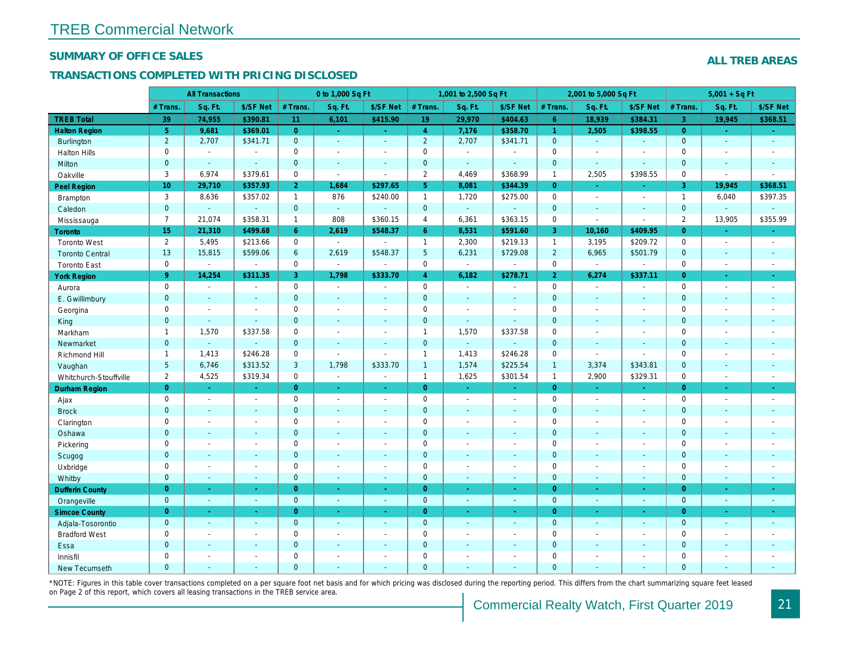#### **SUMMARY OF OFFICE SALES**

#### **TRANSACTIONS COMPLETED WITH PRICING DISCLOSED**

|                        |                     | <b>All Transactions</b>  |                             |                     | 0 to 1,000 Sq Ft         |                             |                     | 1,001 to 2,500 Sq Ft     |                             |                     | 2,001 to 5,000 Sq Ft        |                          |                     | $5,001 + SqF$            |                          |
|------------------------|---------------------|--------------------------|-----------------------------|---------------------|--------------------------|-----------------------------|---------------------|--------------------------|-----------------------------|---------------------|-----------------------------|--------------------------|---------------------|--------------------------|--------------------------|
|                        | # Trans.            | Sq. Ft.                  | \$/SF Net                   | # Trans.            | Sq. Ft.                  | \$/SF Net                   | # Trans.            | Sq. Ft.                  | \$/SF Net                   | # Trans.            | Sq. Ft.                     | \$/SF Net                | # Trans.            | Sq. Ft.                  | \$/SF Net                |
| <b>TREB Total</b>      | 39                  | 74,955                   | \$390.81                    | 11                  | 6,101                    | \$415.90                    | 19                  | 29,970                   | \$404.63                    | 6                   | 18,939                      | \$384.31                 | $\overline{3}$      | 19,945                   | \$368.51                 |
| <b>Halton Region</b>   | 5                   | 9,681                    | \$369.01                    | $\overline{0}$      | п.                       | $\sim$                      | $\overline{4}$      | 7,176                    | \$358.70                    | $\overline{1}$      | 2,505                       | \$398.55                 | $\overline{0}$      | in 1                     | $\sim$                   |
| <b>Burlington</b>      | 2                   | 2,707                    | \$341.71                    | $\mathbf 0$         | $\mathcal{L}$            | $\mathcal{L}$               | $\overline{2}$      | 2,707                    | \$341.71                    | $\mathbf 0$         | $\mathcal{L}$               | $\mathcal{L}$            | $\mathbf{0}$        |                          | $\overline{\phantom{a}}$ |
| <b>Halton Hills</b>    | $\mathbf 0$         | $\sim$                   |                             | $\mathsf{O}\xspace$ |                          |                             | $\mathbf 0$         |                          | $\sim$                      | $\mathsf{O}\xspace$ |                             |                          | $\mathbf 0$         |                          |                          |
| Milton                 | $\mathbf{0}$        | $\sim$                   | $\sim$                      | $\mathbf 0$         | $\mathbb{Z}^2$           | $\sim$                      | $\mathbf 0$         | $\mathbb{Z}^2$           | ÷.                          | $\mathbf 0$         | $\sim$                      |                          | $\overline{0}$      |                          | $\sim$                   |
| Oakville               | 3                   | 6,974                    | \$379.61                    | $\mathbf 0$         | $\sim$                   | $\sim$                      | 2                   | 4,469                    | \$368.99                    | $\mathbf{1}$        | 2,505                       | \$398.55                 | $\mathbf 0$         | $\sim$                   | $\overline{a}$           |
| Peel Region            | 10                  | 29,710                   | \$357.93                    | $\overline{2}$      | 1,684                    | \$297.65                    | 5                   | 8,081                    | \$344.39                    | $\overline{0}$      | $\sim$                      | $\sim$                   | 3                   | 19,945                   | \$368.51                 |
| Brampton               | 3                   | 8,636                    | \$357.02                    | $\mathbf{1}$        | 876                      | \$240.00                    | $\overline{1}$      | 1,720                    | \$275.00                    | $\mathsf{O}\xspace$ | $\sim$                      | $\sim$                   | $\mathbf{1}$        | 6,040                    | \$397.35                 |
| Caledon                | $\mathbf 0$         | $\sim$                   | $\sim$                      | $\mathbf 0$         | $\sim$                   | i.                          | $\mathbf 0$         | $\sim$                   | $\sim$                      | $\mathbf 0$         | $\sim$                      | $\sim$                   | $\mathbf 0$         |                          |                          |
| Mississauga            | $\overline{7}$      | 21,074                   | \$358.31                    | $\mathbf{1}$        | 808                      | \$360.15                    | $\overline{4}$      | 6,361                    | \$363.15                    | $\mathsf{O}\xspace$ | $\sim$                      | $\sim$                   | $\overline{2}$      | 13,905                   | \$355.99                 |
| Toronto                | 15                  | 21,310                   | \$499.68                    | 6                   | 2,619                    | \$548.37                    | 6                   | 8,531                    | \$591.60                    | 3                   | 10,160                      | \$409.95                 | $\mathbf{0}$        |                          |                          |
| <b>Toronto West</b>    | $\overline{2}$      | 5,495                    | \$213.66                    | $\mathsf{O}\xspace$ | $\sim$                   |                             | $\overline{1}$      | 2,300                    | \$219.13                    | $\mathbf{1}$        | 3,195                       | \$209.72                 | $\mathsf{O}\xspace$ |                          | $\sim$                   |
| <b>Toronto Central</b> | 13                  | 15,815                   | \$599.06                    | 6                   | 2,619                    | \$548.37                    | 5                   | 6,231                    | \$729.08                    | 2                   | 6,965                       | \$501.79                 | $\mathbf 0$         |                          | $\sim$                   |
| <b>Toronto East</b>    | $\mathsf{O}\xspace$ | $\mathcal{L}$            | $\mathcal{L}_{\mathcal{A}}$ | $\mathsf{O}\xspace$ | $\sim$                   | $\mathcal{L}$               | $\mathbf 0$         | $\mathcal{L}$            | $\mathcal{L}_{\mathcal{A}}$ | $\mathsf{O}\xspace$ | $\sim$                      | $\sim$                   | $\mathsf{O}\xspace$ | $\sim$                   | $\sim$                   |
| <b>York Region</b>     | 9                   | 14,254                   | \$311.35                    | $\overline{3}$      | 1,798                    | \$333.70                    | $\overline{4}$      | 6,182                    | \$278.71                    | $\overline{2}$      | 6,274                       | \$337.11                 | $\mathbf{0}$        |                          | $\sim$                   |
| Aurora                 | $\mathbf 0$         | $\sim$                   | $\sim$                      | $\mathsf{O}\xspace$ | $\sim$                   | $\sim$                      | $\mathbf 0$         | $\sim$                   | $\sim$                      | $\mathsf{O}\xspace$ | $\sim$                      | $\sim$                   | $\mathbf 0$         |                          | $\sim$                   |
| E. Gwillimbury         | $\mathbf 0$         |                          | $\sim$                      | $\mathbf 0$         |                          |                             | $\mathbf{0}$        |                          | $\sim$                      | $\mathbf 0$         |                             |                          | $\mathbf{0}$        |                          |                          |
| Georgina               | $\mathsf{O}\xspace$ | $\sim$                   | $\sim$                      | $\mathsf{O}\xspace$ | $\sim$                   | $\sim$                      | $\mathsf{O}\xspace$ | $\overline{\phantom{a}}$ | $\sim$                      | $\mathsf{O}\xspace$ |                             | $\sim$                   | $\mathsf{O}\xspace$ |                          |                          |
| King                   | $\mathbf 0$         | $\sim$                   |                             | $\mathbf 0$         |                          |                             | $\mathbf 0$         |                          |                             | $\mathbf 0$         |                             |                          | $\mathbf 0$         |                          |                          |
| Markham                | $\mathbf{1}$        | 1,570                    | \$337.58                    | $\mathsf{O}\xspace$ | $\sim$                   | $\sim$                      | $\mathbf{1}$        | 1,570                    | \$337.58                    | $\mathbf 0$         | $\sim$                      | $\sim$                   | $\mathbf 0$         |                          | $\sim$                   |
| Newmarket              | $\mathbf{0}$        | $\sim$                   | $\sim$                      | $\mathbf{0}$        |                          |                             | $\mathbf{0}$        | $\sim$                   | $\sim$                      | $\mathbf{0}$        |                             |                          | $\mathbf{0}$        |                          |                          |
| Richmond Hill          | $\mathbf{1}$        | 1,413                    | \$246.28                    | $\mathsf{O}\xspace$ | $\blacksquare$           | $\sim$                      | $\mathbf{1}$        | 1,413                    | \$246.28                    | $\mathsf{O}\xspace$ | $\mathcal{L}_{\mathcal{A}}$ | $\sim$                   | $\mathsf{O}\xspace$ |                          | $\sim$                   |
| Vaughan                | 5                   | 6,746                    | \$313.52                    | $\mathbf{3}$        | 1,798                    | \$333.70                    | $\mathbf{1}$        | 1,574                    | \$225.54                    | $\mathbf{1}$        | 3,374                       | \$343.81                 | $\mathbf 0$         |                          |                          |
| Whitchurch-Stouffville | $\overline{2}$      | 4,525                    | \$319.34                    | $\mathbf 0$         | $\sim$                   | $\sim$                      | $\mathbf{1}$        | 1,625                    | \$301.54                    | $\mathbf{1}$        | 2,900                       | \$329.31                 | $\mathbf 0$         | $\overline{\phantom{a}}$ | $\overline{\phantom{a}}$ |
| Durham Region          | $\overline{0}$      | ш.                       | ч.                          | $\overline{0}$      | u.                       | ч.                          | $\overline{0}$      |                          | ч.                          | $\overline{0}$      | ш.                          | in 19                    | $\overline{0}$      |                          | ч.                       |
| Ajax                   | $\mathsf{O}\xspace$ | $\mathbb{Z}^2$           | $\blacksquare$              | $\mathbf 0$         | $\mathbb{Z}^2$           | $\mathcal{L}_{\mathcal{A}}$ | $\mathsf{O}\xspace$ | $\sim$                   | $\sim$                      | $\mathsf{O}\xspace$ | $\mathcal{L}$               | $\sim$                   | $\mathbf 0$         | $\overline{\phantom{a}}$ | $\sim$                   |
| <b>Brock</b>           | $\mathbf{0}$        |                          | $\sim$                      | $\mathbf 0$         |                          |                             | $\overline{0}$      |                          | $\sim$                      | $\mathbf 0$         |                             |                          | $\overline{0}$      |                          | $\sim$                   |
| Clarington             | $\mathsf{O}\xspace$ | $\overline{\phantom{a}}$ | $\overline{\phantom{a}}$    | $\mathsf{O}\xspace$ | $\overline{\phantom{a}}$ | $\overline{\phantom{a}}$    | $\mathsf{O}\xspace$ |                          | $\overline{\phantom{a}}$    | $\mathsf{O}\xspace$ | $\overline{a}$              | $\overline{\phantom{a}}$ | $\mathsf{O}\xspace$ |                          | $\overline{\phantom{a}}$ |
| Oshawa                 | $\overline{0}$      |                          | $\sim$                      | $\overline{0}$      | $\overline{a}$           | $\sim$                      | $\overline{0}$      |                          | $\sim$                      | $\overline{0}$      |                             | $\sim$                   | $\overline{0}$      |                          | $\sim$                   |
| Pickering              | $\mathsf{O}\xspace$ |                          | $\sim$                      | $\mathsf{O}\xspace$ |                          | $\sim$                      | $\mathsf{O}\xspace$ |                          | $\sim$                      | $\mathsf{O}\xspace$ |                             | $\sim$                   | $\mathsf{O}\xspace$ |                          | $\overline{\phantom{a}}$ |
| Scugog                 | $\mathbf 0$         |                          |                             | $\mathbf 0$         |                          |                             | $\overline{0}$      |                          |                             | $\mathbf 0$         |                             |                          | $\overline{0}$      |                          |                          |
| Uxbridge               | $\mathsf{O}\xspace$ |                          | $\sim$                      | $\mathsf{O}\xspace$ |                          |                             | $\mathsf{O}\xspace$ |                          | $\overline{\phantom{a}}$    | $\mathsf{O}\xspace$ |                             |                          | $\mathsf{O}\xspace$ |                          |                          |
| Whitby                 | $\mathbf{0}$        | $\sim$                   | $\sim$                      | $\mathbf{0}$        | ÷.                       | $\sim$                      | $\overline{0}$      | $\sim$                   | $\sim$                      | $\mathbf{0}$        | $\sim$                      | $\sim$                   | $\overline{0}$      |                          | $\sim$                   |
| <b>Dufferin County</b> | $\overline{0}$      |                          | $\sim$                      | $\overline{0}$      |                          | $\sim$                      | $\overline{0}$      |                          | $\sim$                      | $\overline{0}$      |                             |                          | $\overline{0}$      |                          | $\sim$                   |
| Orangeville            | $\mathbf{0}$        | $\sim$                   | $\sim$                      | $\mathbf{0}$        | $\sim$                   | $\sim$                      | $\mathbf{0}$        | $\blacksquare$           | $\sim$                      | $\mathbf{0}$        | $\sim$                      | $\sim$                   | $\mathbf{0}$        | $\sim$                   | $\sim$                   |
| <b>Simcoe County</b>   | $\overline{0}$      |                          |                             | $\overline{0}$      |                          |                             | $\overline{0}$      |                          |                             | $\overline{0}$      |                             |                          | $\overline{0}$      |                          | $\sim$                   |
| Adjala-Tosorontio      | $\mathbf{0}$        | $\mathbb{Z}^2$           | $\sim$                      | $\mathbf{0}$        | $\mathcal{L}$            | $\mathcal{L}$               | $\mathbf{0}$        | ÷                        | $\mathcal{L}$               | $\mathbf{0}$        | $\mathcal{L}$               | $\mathcal{L}$            | $\overline{0}$      |                          | $\mathcal{L}$            |
| <b>Bradford West</b>   | $\mathsf{O}\xspace$ |                          |                             | $\mathsf{O}\xspace$ |                          |                             | $\mathsf{O}\xspace$ |                          |                             | $\mathsf{O}\xspace$ |                             |                          | $\mathsf{O}\xspace$ |                          |                          |
| Essa                   | $\mathbf 0$         |                          | $\sim$                      | $\mathbf 0$         |                          |                             | $\mathbf 0$         |                          | $\sim$                      | $\mathbf 0$         |                             |                          | $\mathbf 0$         |                          |                          |
| Innisfil               | $\mathbf 0$         |                          |                             | $\mathbf 0$         |                          |                             | $\mathbf 0$         |                          |                             | $\mathbf 0$         |                             |                          | $\mathbf 0$         |                          |                          |
| New Tecumseth          | $\Omega$            | $\sim$                   | $\sim$                      | $\Omega$            |                          |                             | $\Omega$            |                          | $\sim$                      | $\Omega$            |                             |                          | $\Omega$            |                          |                          |

\*NOTE: Figures in this table cover transactions completed on a per square foot net basis and for which pricing was disclosed during the reporting period. This differs from the chart summarizing square feet leased on Page 2 of this report, which covers all leasing transactions in the TREB service area.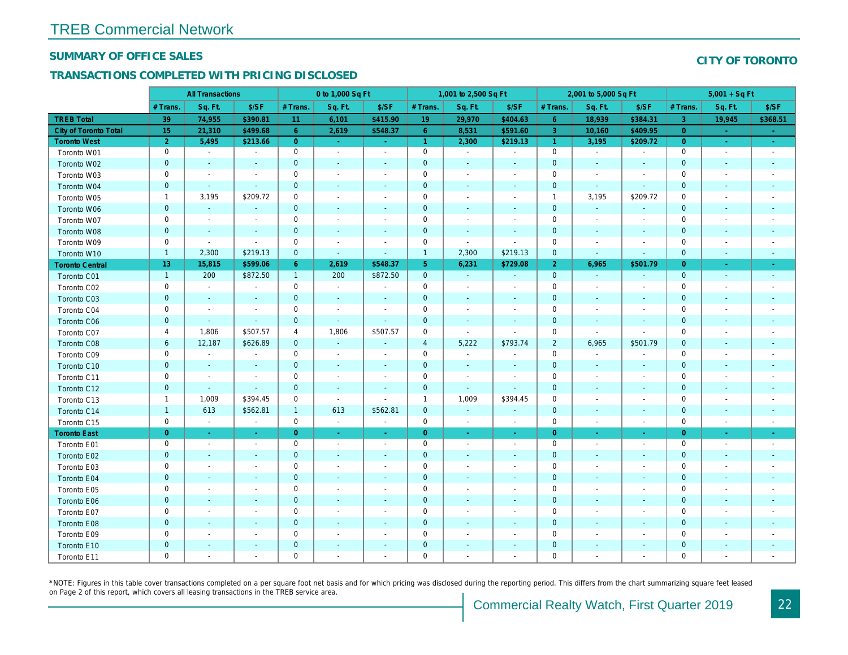#### **SUMMARY OF OFFICE SALES**

#### **TRANSACTIONS COMPLETED WITH PRICING DISCLOSED**

|                        |                     | <b>All Transactions</b>  |                          |                     | 0 to 1,000 Sq Ft         |                          |                     | 1,001 to 2,500 Sq Ft     |                          |                     | 2,001 to 5,000 Sq Ft     |                          |                     | $5,001 + SqFt$              |                          |
|------------------------|---------------------|--------------------------|--------------------------|---------------------|--------------------------|--------------------------|---------------------|--------------------------|--------------------------|---------------------|--------------------------|--------------------------|---------------------|-----------------------------|--------------------------|
|                        | # Trans.            | Sq. Ft.                  | \$/SF                    | # Trans.            | Sq. Ft.                  | \$/SF                    | # Trans.            | Sq. Ft.                  | \$/SF                    | # Trans.            | Sq. Ft.                  | \$/SF                    | # Trans.            | Sq. Ft.                     | \$/SF                    |
| <b>TREB Total</b>      | 39                  | 74,955                   | \$390.81                 | 11                  | 6,101                    | \$415.90                 | 19                  | 29,970                   | \$404.63                 | 6                   | 18,939                   | \$384.31                 | -3                  | 19,945                      | \$368.51                 |
| City of Toronto Total  | 15                  | 21,310                   | \$499.68                 | 6                   | 2,619                    | \$548.37                 | 6                   | 8,531                    | \$591.60                 | $\overline{3}$      | 10,160                   | \$409.95                 | $\overline{0}$      | <b>College</b>              |                          |
| <b>Toronto West</b>    | $\overline{2}$      | 5,495                    | \$213.66                 | $\overline{0}$      | $\sim$                   | $\sim$                   | $\overline{1}$      | 2,300                    | \$219.13                 | $\overline{1}$      | 3,195                    | \$209.72                 | $\overline{0}$      | $\mathcal{L}_{\mathcal{A}}$ | $\sim$                   |
| Toronto W01            | $\mathbf 0$         | $\overline{\phantom{a}}$ | $\sim$                   | $\mathsf{O}\xspace$ | $\sim$                   | $\overline{\phantom{a}}$ | $\mathsf{O}\xspace$ | $\overline{\phantom{a}}$ | $\sim$                   | $\mathsf{O}\xspace$ | $\sim$                   | $\sim$                   | $\mathsf{O}\xspace$ |                             | $\sim$                   |
| Toronto W02            | $\mathbf 0$         |                          | $\sim$                   | $\mathbf 0$         |                          |                          | $\mathbf 0$         |                          | $\sim$                   | $\mathbf 0$         |                          | $\sim$                   | $\mathbf 0$         |                             |                          |
| Toronto W03            | $\mathsf{O}\xspace$ | $\overline{\phantom{a}}$ | $\sim$                   | $\mathsf{O}\xspace$ |                          | $\overline{\phantom{a}}$ | $\mathbf 0$         |                          | $\sim$                   | $\mathsf{O}\xspace$ | $\overline{\phantom{a}}$ | $\overline{\phantom{a}}$ | $\mathbf 0$         |                             |                          |
| Toronto W04            | $\mathbf 0$         | $\sim$                   | $\sim$                   | $\boldsymbol{0}$    |                          | $\sim$                   | $\mathbf 0$         |                          | $\sim$                   | $\boldsymbol{0}$    | $\sim$                   | $\sim$                   | $\mathbf 0$         |                             | $\sim$                   |
| Toronto W05            | $\mathbf{1}$        | 3,195                    | \$209.72                 | $\mathbf 0$         |                          | $\overline{a}$           | $\mathbf 0$         |                          | $\sim$                   | $\mathbf{1}$        | 3,195                    | \$209.72                 | $\mathbf{0}$        |                             |                          |
| Toronto W06            | $\mathbf 0$         | $\sim$                   | $\sim$                   | $\mathbf 0$         |                          |                          | $\mathbf 0$         |                          |                          | $\mathbf 0$         | $\sim$                   | $\sim$                   | $\mathbf 0$         |                             |                          |
| Toronto W07            | $\mathbf 0$         | $\sim$                   | $\overline{\phantom{a}}$ | $\mathbf 0$         |                          |                          | $\mathbf 0$         |                          | $\overline{\phantom{a}}$ | $\mathbf 0$         |                          | $\overline{\phantom{a}}$ | $\mathbf 0$         |                             |                          |
| Toronto W08            | $\mathbf 0$         | $\sim$                   | $\sim$                   | $\mathbf 0$         | $\sim$                   | $\sim$                   | $\overline{0}$      |                          | $\sim$                   | $\mathbf 0$         | $\sim$                   | $\sim$                   | $\mathbf{0}$        |                             | $\sim$                   |
| Toronto W09            | $\mathbf 0$         | $\overline{a}$           | $\sim$                   | $\mathsf{O}\xspace$ |                          | $\overline{\phantom{a}}$ | $\mathbf 0$         | $\overline{a}$           | $\sim$                   | $\mathsf{O}\xspace$ |                          | $\overline{\phantom{a}}$ | $\mathbf 0$         |                             |                          |
| Toronto W10            | $\mathbf{1}$        | 2,300                    | \$219.13                 | $\mathbf 0$         | $\sim$                   | $\sim$                   | 1                   | 2,300                    | \$219.13                 | $\mathbf 0$         |                          |                          | $\mathbf 0$         |                             | $\sim$                   |
| <b>Toronto Central</b> | 13                  | 15,815                   | \$599.06                 | 6                   | 2,619                    | \$548.37                 | 5                   | 6,231                    | \$729.08                 | $\overline{2}$      | 6,965                    | \$501.79                 | $\mathbf{0}$        |                             |                          |
| Toronto C01            | $\overline{1}$      | 200                      | \$872.50                 | $\overline{1}$      | 200                      | \$872.50                 | $\mathbf{0}$        | ÷.                       | $\sim$                   | $\mathbf{0}$        | ÷.                       | $\sim$                   | $\overline{0}$      | $\sim$                      | $\sim$                   |
| Toronto C02            | $\mathsf{O}\xspace$ |                          | $\sim$                   | $\mathsf{O}\xspace$ |                          | $\sim$                   | $\mathsf{O}\xspace$ |                          | $\sim$                   | $\mathsf{O}\xspace$ |                          | $\sim$                   | $\mathsf{O}\xspace$ |                             | $\overline{\phantom{a}}$ |
| Toronto C03            | $\mathbf 0$         | $\sim$                   | $\sim$                   | $\mathbf 0$         | $\sim$                   | $\sim$                   | $\mathbf 0$         |                          | $\sim$                   | $\mathbf 0$         |                          |                          | $\mathbf 0$         |                             | $\sim$                   |
| Toronto C04            | $\mathsf{O}\xspace$ | $\sim$                   | $\sim$                   | $\mathsf{O}\xspace$ | $\sim$                   | $\sim$                   | $\mathbf 0$         |                          | $\overline{\phantom{a}}$ | $\mathsf{O}\xspace$ |                          | $\sim$                   | $\mathsf{O}\xspace$ |                             | $\overline{\phantom{a}}$ |
| Toronto C06            | $\mathbf 0$         | $\sim$                   | $\sim$                   | $\mathbf 0$         | $\sim$                   | $\sim$                   | $\mathbf 0$         |                          | $\sim$                   | $\mathbf 0$         | $\sim$                   | $\sim$                   | $\mathbf 0$         |                             | $\sim$                   |
| Toronto C07            | $\overline{4}$      | 1,806                    | \$507.57                 | $\overline{4}$      | 1,806                    | \$507.57                 | $\mathbf 0$         | $\overline{\phantom{a}}$ | $\overline{\phantom{a}}$ | $\mathbf 0$         | $\sim$                   | $\sim$                   | $\mathbf 0$         |                             | $\overline{\phantom{a}}$ |
| Toronto C08            | 6                   | 12,187                   | \$626.89                 | $\mathbf 0$         | $\sim$                   | $\sim$                   | $\overline{4}$      | 5,222                    | \$793.74                 | 2                   | 6,965                    | \$501.79                 | $\mathbf{0}$        |                             |                          |
| Toronto C09            | $\mathbf 0$         | $\sim$                   | $\sim$                   | $\mathbf 0$         | $\overline{\phantom{a}}$ | $\sim$                   | $\mathbf 0$         | $\overline{\phantom{a}}$ | $\sim$                   | $\mathbf 0$         | $\sim$                   | $\sim$                   | $\mathbf 0$         |                             | $\overline{\phantom{a}}$ |
| Toronto C10            | $\mathbf 0$         | $\sim$                   | $\sim$                   | $\mathbf 0$         |                          | $\sim$                   | $\mathbf 0$         |                          | $\sim$                   | $\mathbf 0$         |                          | $\sim$                   | $\mathbf 0$         |                             |                          |
| Toronto C11            | $\mathbf 0$         | $\sim$                   | $\sim$                   | $\mathbf 0$         | $\overline{\phantom{a}}$ | $\sim$                   | $\mathbf 0$         | $\overline{\phantom{a}}$ | $\sim$                   | $\mathbf 0$         | $\overline{\phantom{a}}$ | $\sim$                   | $\mathbf 0$         |                             | $\overline{\phantom{a}}$ |
| Toronto C12            | $\mathbf{0}$        | $\sim$                   | $\sim$                   | $\mathbf 0$         |                          | $\sim$                   | $\mathbf{0}$        | ÷.                       | $\sim$                   | $\mathbf 0$         |                          |                          | $\mathbf 0$         |                             |                          |
| Toronto C13            | $\mathbf{1}$        | 1,009                    | \$394.45                 | $\mathbf 0$         | $\sim$                   | $\sim$                   | $\mathbf{1}$        | 1,009                    | \$394.45                 | $\mathbf 0$         |                          | $\sim$                   | $\mathbf{0}$        |                             |                          |
| Toronto C14            | $\mathbf{1}$        | 613                      | \$562.81                 | $\mathbf{1}$        | 613                      | \$562.81                 | $\mathbf 0$         |                          | $\sim$                   | $\mathbf 0$         |                          |                          | $\mathbf 0$         |                             |                          |
| Toronto C15            | $\mathbf 0$         | $\sim$                   | $\sim$                   | $\mathbf 0$         | $\sim$                   | $\sim$                   | $\mathbf 0$         | $\sim$                   | $\sim$                   | $\mathbf 0$         | $\sim$                   | $\sim$                   | $\mathbf 0$         | $\sim$                      | $\sim$                   |
| <b>Toronto East</b>    | $\overline{0}$      | $\sim$                   | $\sim$                   | $\overline{0}$      | $\mathcal{L}$            | $\sim$                   | $\overline{0}$      | $\sim$                   | $\sim$                   | $\overline{0}$      | $\sim$                   | $\sim$                   | $\overline{0}$      |                             | $\sim$                   |
| Toronto E01            | $\mathbf 0$         | $\overline{\phantom{a}}$ | $\sim$                   | $\mathsf{O}\xspace$ | $\sim$                   | $\overline{\phantom{a}}$ | $\mathbf 0$         | $\overline{\phantom{a}}$ | $\sim$                   | $\mathsf{O}\xspace$ | $\overline{\phantom{a}}$ | $\overline{\phantom{a}}$ | $\mathsf{O}\xspace$ |                             | $\sim$                   |
| Toronto E02            | $\mathbf 0$         |                          | $\sim$                   | $\mathbf 0$         |                          |                          | $\mathbf 0$         |                          | $\sim$                   | $\mathbf 0$         |                          | $\sim$                   | $\mathbf 0$         |                             |                          |
| Toronto E03            | $\mathbf 0$         |                          | $\overline{\phantom{a}}$ | $\mathsf{O}\xspace$ |                          | $\overline{\phantom{a}}$ | $\mathbf 0$         |                          | $\overline{\phantom{a}}$ | $\mathsf{O}\xspace$ |                          | $\overline{\phantom{a}}$ | $\mathbf 0$         |                             |                          |
| Toronto E04            | $\mathbf 0$         |                          | $\sim$                   | $\boldsymbol{0}$    |                          | $\sim$                   | $\mathbf 0$         |                          | $\sim$                   | $\mathbf 0$         |                          | $\sim$                   | $\mathbf 0$         |                             |                          |
| Toronto E05            | $\mathbf 0$         |                          |                          | $\mathbf 0$         |                          |                          | $\mathbf 0$         |                          | $\overline{\phantom{a}}$ | $\mathbf 0$         |                          |                          | $\mathbf{0}$        |                             |                          |
| Toronto E06            | $\mathbf 0$         |                          | $\sim$                   | $\mathbf 0$         |                          |                          | $\mathbf 0$         |                          | $\sim$                   | $\mathbf 0$         |                          |                          | $\mathbf 0$         |                             |                          |
| Toronto E07            | $\mathbf 0$         |                          | $\overline{\phantom{a}}$ | $\mathsf{O}\xspace$ |                          |                          | $\mathbf 0$         |                          | $\sim$                   | $\mathsf{O}\xspace$ |                          |                          | $\mathsf{O}\xspace$ |                             |                          |
| Toronto E08            | $\overline{0}$      |                          | $\sim$                   | $\mathbf{0}$        |                          | $\sim$                   | $\overline{0}$      |                          | $\sim$                   | $\mathbf{0}$        |                          | $\sim$                   | $\mathbf{0}$        |                             |                          |
| Toronto E09            | $\mathbf 0$         |                          |                          | $\mathbf 0$         |                          |                          | $\mathbf 0$         |                          | $\overline{\phantom{a}}$ | $\mathbf 0$         |                          |                          | $\mathbf 0$         |                             |                          |
| Toronto E10            | $\mathbf 0$         |                          | $\sim$                   | $\mathbf 0$         |                          |                          | $\overline{0}$      |                          | $\sim$                   | $\mathbf 0$         |                          |                          | $\mathbf 0$         |                             |                          |
| Toronto E11            | $\mathbf 0$         |                          |                          | $\mathbf 0$         |                          |                          | $\mathbf 0$         |                          |                          | $\mathbf 0$         |                          |                          | $\mathbf{0}$        |                             |                          |

\*NOTE: Figures in this table cover transactions completed on a per square foot net basis and for which pricing was disclosed during the reporting period. This differs from the chart summarizing square feet leased on Page 2 of this report, which covers all leasing transactions in the TREB service area.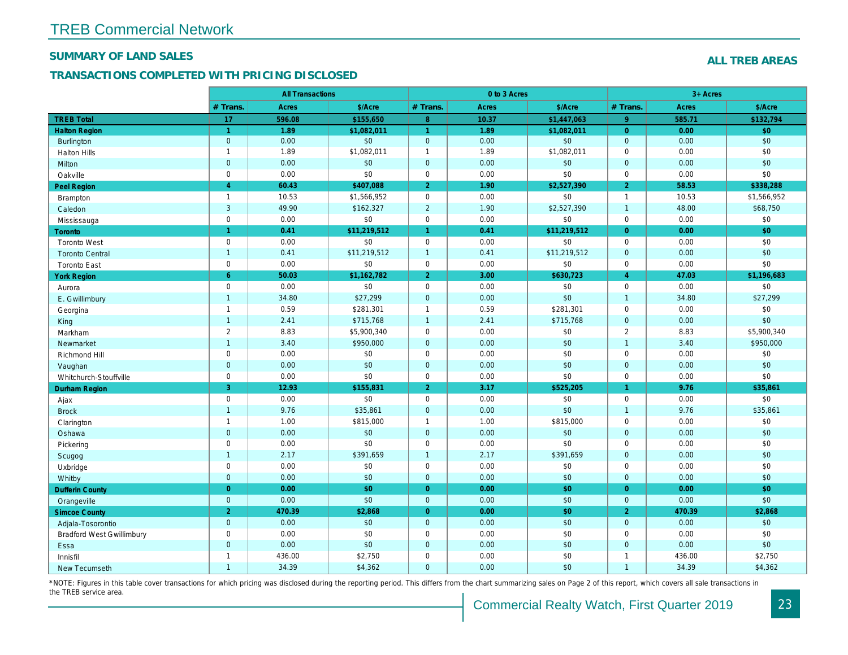#### **SUMMARY OF LAND SALES**

**TREB Total Halton Region** Burlington

#### **TRANSACTIONS COMPLETED WITH PRICING DISCLOSED**

|              | <b>All Transactions</b> |             |                | 0 to 3 Acres |             |                | $3+$ Acres |            |
|--------------|-------------------------|-------------|----------------|--------------|-------------|----------------|------------|------------|
| # Trans.     | Acres                   | \$/Acre     | $#$ Trans.     | Acres        | \$/Acre     | $#$ Trans.     | Acres      | \$/ACre    |
| 17           | 596.08                  | \$155,650   | 8              | 10.37        | \$1,447,063 | 9              | 585.71     | \$132,794  |
|              | 1.89                    | \$1,082,011 |                | 1.89         | \$1,082,011 | 0              | 0.00       | \$0        |
| $\mathbf{0}$ | 0.00                    | \$0         | $\mathbf{0}$   | 0.00         | \$0         | $\mathbf{0}$   | 0.00       | \$0        |
|              | 1.89                    | \$1,082,011 |                | 1.89         | \$1,082,011 | 0              | 0.00       | \$0        |
| $\mathbf{0}$ | 0.00 <sub>1</sub>       | \$0         | $\mathbf{0}$   | 0.00         | \$0         | $\mathbf{0}$   | 0.00       | \$0        |
| 0            | 0.00                    | \$0         | 0              | 0.00         | \$0         | 0              | 0.00       | \$0        |
| 4            | 60.43                   | \$407,088   | $\overline{2}$ | 1.90         | \$2,527,390 | $\overline{2}$ | 58.53      | \$338,288  |
|              | 10.53                   | \$1,566,952 | $\Omega$       | 0.00         | \$0         |                | 10.53      | \$1,566,95 |
| 3            | 49.90                   | \$162,327   | $\overline{2}$ | 1.90         | \$2,527,390 |                | 48.00      | \$68,750   |
| $\sim$       | 0.00                    | $\triangle$ | $\sim$         | 0.00         | $\triangle$ | $\sim$         | 0.00       | $^{\circ}$ |

| <b>Halton Hills</b>              | $\mathbf{1}$   | 1.89   | \$1,082,011  | $\mathbf{1}$   | 1.89 | \$1,082,011  | $\Omega$       | 0.00   | \$0         |
|----------------------------------|----------------|--------|--------------|----------------|------|--------------|----------------|--------|-------------|
| Milton                           | $\mathbf{0}$   | 0.00   | \$0          | $\mathbf{0}$   | 0.00 | \$0          | $\overline{0}$ | 0.00   | \$0         |
| Oakville                         | $\Omega$       | 0.00   | \$0          | $\mathbf 0$    | 0.00 | \$0          | $\mathbf 0$    | 0.00   | \$0         |
| Peel Region                      | $\overline{4}$ | 60.43  | \$407,088    | 2 <sup>1</sup> | 1.90 | \$2,527,390  | $\overline{2}$ | 58.53  | \$338,288   |
| Brampton                         | $\mathbf{1}$   | 10.53  | \$1,566,952  | $\mathbf 0$    | 0.00 | \$0          | $\overline{1}$ | 10.53  | \$1,566,952 |
| Caledon                          | $\mathbf{3}$   | 49.90  | \$162,327    | $\overline{2}$ | 1.90 | \$2,527,390  | $\overline{1}$ | 48.00  | \$68,750    |
| Mississauga                      | $\mathbf 0$    | 0.00   | \$0          | $\mathsf{O}$   | 0.00 | \$0          | $\mathbf 0$    | 0.00   | \$0         |
| <b>Toronto</b>                   | $\mathbf{1}$   | 0.41   | \$11,219,512 | $\mathbf{1}$   | 0.41 | \$11,219,512 | $\overline{0}$ | 0.00   | \$0         |
| <b>Toronto West</b>              | $\mathbf 0$    | 0.00   | \$0          | $\mathbf 0$    | 0.00 | \$0          | $\mathbf 0$    | 0.00   | \$0         |
| <b>Toronto Central</b>           | $\overline{1}$ | 0.41   | \$11,219,512 | $\mathbf{1}$   | 0.41 | \$11,219,512 | $\overline{0}$ | 0.00   | \$0         |
| <b>Toronto East</b>              | $\mathbf 0$    | 0.00   | \$0          | $\mathbf 0$    | 0.00 | \$0          | $\mathbf 0$    | 0.00   | \$0         |
| <b>York Region</b>               | 6              | 50.03  | \$1,162,782  | $\overline{2}$ | 3.00 | \$630,723    | $\overline{A}$ | 47.03  | \$1,196,683 |
| Aurora                           | $\Omega$       | 0.00   | \$0          | $\mathbf 0$    | 0.00 | \$0          | $\mathbf 0$    | 0.00   | \$0         |
| E. Gwillimbury                   | $\mathbf{1}$   | 34.80  | \$27,299     | $\overline{0}$ | 0.00 | \$0          | $\overline{1}$ | 34.80  | \$27,299    |
| Georgina                         | $\mathbf{1}$   | 0.59   | \$281,301    | $\mathbf{1}$   | 0.59 | \$281,301    | $\mathbf 0$    | 0.00   | \$0         |
| King                             | $\mathbf{1}$   | 2.41   | \$715,768    | $\mathbf{1}$   | 2.41 | \$715,768    | $\overline{0}$ | 0.00   | \$0         |
| Markham                          | $\overline{2}$ | 8.83   | \$5,900,340  | $\mathbf 0$    | 0.00 | \$0          | 2              | 8.83   | \$5,900,340 |
| Newmarket                        | $\overline{1}$ | 3.40   | \$950,000    | $\mathbf{0}$   | 0.00 | \$0          | $\overline{1}$ | 3.40   | \$950,000   |
| Richmond Hill                    | $\mathbf 0$    | 0.00   | \$0          | $\mathbf 0$    | 0.00 | \$0          | $\mathbf 0$    | 0.00   | \$0         |
| Vaughan                          | $\mathbf{0}$   | 0.00   | \$0          | $\mathbf{0}$   | 0.00 | \$0          | $\overline{0}$ | 0.00   | \$0         |
| Whitchurch-Stouffville           | $\Omega$       | 0.00   | \$0          | $\mathbf 0$    | 0.00 | \$0          | $\mathbf 0$    | 0.00   | \$0         |
| Durham Region                    | 3              | 12.93  | \$155,831    | 2 <sup>1</sup> | 3.17 | \$525,205    | 1              | 9.76   | \$35,861    |
| Ajax                             | $\mathbf 0$    | 0.00   | \$0          | $\mathbf 0$    | 0.00 | \$0          | $\mathbf 0$    | 0.00   | \$0         |
| <b>Brock</b>                     | $\mathbf{1}$   | 9.76   | \$35,861     | $\mathbf{0}$   | 0.00 | \$0          | $\overline{1}$ | 9.76   | \$35,861    |
| Clarington                       | $\mathbf{1}$   | 1.00   | \$815,000    | $\mathbf{1}$   | 1.00 | \$815,000    | $\mathbf 0$    | 0.00   | \$0         |
| Oshawa                           | $\mathbf{0}$   | 0.00   | \$0          | $\mathbf{0}$   | 0.00 | \$0          | $\overline{0}$ | 0.00   | \$0         |
| Pickering                        | $\mathbf 0$    | 0.00   | \$0          | $\mathbf 0$    | 0.00 | \$0          | $\mathbf 0$    | 0.00   | \$0         |
| Scugog                           | $\mathbf{1}$   | 2.17   | \$391,659    | $\mathbf{1}$   | 2.17 | \$391,659    | $\overline{0}$ | 0.00   | \$0         |
| Uxbridge                         | $\mathbf 0$    | 0.00   | \$0          | $\mathbf 0$    | 0.00 | \$0          | $\mathbf 0$    | 0.00   | \$0         |
| Whitby                           | $\mathbf{0}$   | 0.00   | \$0          | $\mathbf{0}$   | 0.00 | \$0          | $\overline{0}$ | 0.00   | \$0         |
| <b>Dufferin County</b>           | $\Omega$       | 0.00   | \$0          | $\overline{0}$ | 0.00 | \$0          | $\overline{0}$ | 0.00   | \$0         |
| Orangeville                      | $\Omega$       | 0.00   | \$0          | $\Omega$       | 0.00 | \$0          | $\overline{0}$ | 0.00   | \$0         |
| <b>Simcoe County</b>             | 2              | 470.39 | \$2,868      | $\overline{0}$ | 0.00 | \$0          | $\overline{2}$ | 470.39 | \$2,868     |
| Adjala-Tosorontio                | $\overline{0}$ | 0.00   | \$0          | $\overline{0}$ | 0.00 | \$0          | $\overline{0}$ | 0.00   | \$0         |
| <b>Bradford West Gwillimbury</b> | $\mathbf 0$    | 0.00   | \$0          | $\mathbf 0$    | 0.00 | \$0          | $\mathbf 0$    | 0.00   | \$0         |
| Essa                             | $\Omega$       | 0.00   | \$0          | $\mathbf{0}$   | 0.00 | \$0          | $\overline{0}$ | 0.00   | \$0         |
| Innisfil                         | $\mathbf{1}$   | 436.00 | \$2,750      | $\mathbf 0$    | 0.00 | \$0          | $\overline{1}$ | 436.00 | \$2,750     |
| New Tecumseth                    | $\mathbf{1}$   | 34.39  | \$4,362      | $\Omega$       | 0.00 | \$0          | $\overline{1}$ | 34.39  | \$4,362     |

\*NOTE: Figures in this table cover transactions for which pricing was disclosed during the reporting period. This differs from the chart summarizing sales on Page 2 of this report, which covers all sale transactions in the TREB service area.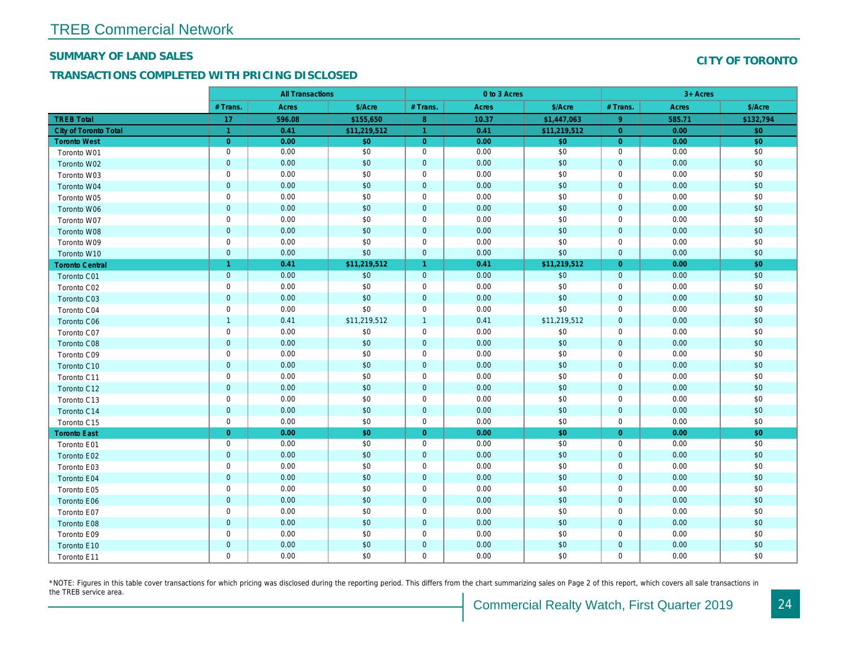#### **SUMMARY OF LAND SALES**

#### **TRANSACTIONS COMPLETED WITH PRICING DISCLOSED**

|  | CITY OF TORONTO |  |
|--|-----------------|--|

|                        | <b>All Transactions</b> |        | 0 to 3 Acres |                |       | 3+ Acres     |                |        |           |
|------------------------|-------------------------|--------|--------------|----------------|-------|--------------|----------------|--------|-----------|
|                        | # Trans.                | Acres  | \$/Acre      | # Trans.       | Acres | \$/Acre      | # Trans.       | Acres  | \$/Acre   |
| <b>TREB Total</b>      | 17                      | 596.08 | \$155,650    | 8              | 10.37 | \$1,447,063  | 9              | 585.71 | \$132,794 |
| City of Toronto Total  | $\mathbf{1}$            | 0.41   | \$11,219,512 | $\mathbf{1}$   | 0.41  | \$11,219,512 | $\Omega$       | 0.00   | \$0       |
| <b>Toronto West</b>    | $\overline{0}$          | 0.00   | \$0          | $\overline{0}$ | 0.00  | \$0          | $\overline{0}$ | 0.00   | \$0       |
| Toronto W01            | $\mathbf 0$             | 0.00   | \$0          | $\mathbf 0$    | 0.00  | \$0          | $\mathbf 0$    | 0.00   | \$0       |
| Toronto W02            | $\mathbf{0}$            | 0.00   | \$0          | $\overline{0}$ | 0.00  | \$0          | $\mathbf{0}$   | 0.00   | \$0       |
| Toronto W03            | $\mathbf 0$             | 0.00   | \$0          | $\mathbf{0}$   | 0.00  | \$0          | $\mathbf 0$    | 0.00   | \$0       |
| Toronto W04            | $\mathbf{0}$            | 0.00   | \$0          | $\overline{0}$ | 0.00  | \$0          | $\mathbf{0}$   | 0.00   | \$0       |
| Toronto W05            | $\mathbf 0$             | 0.00   | \$0          | $\mathbf 0$    | 0.00  | \$0          | $\mathbf 0$    | 0.00   | \$0       |
| Toronto W06            | $\mathbf{0}$            | 0.00   | \$0          | $\overline{0}$ | 0.00  | \$0          | $\mathbf{0}$   | 0.00   | \$0       |
| Toronto W07            | $\mathbf 0$             | 0.00   | \$0          | $\mathbf 0$    | 0.00  | \$0          | $\mathbf 0$    | 0.00   | \$0       |
| Toronto W08            | $\mathbf{0}$            | 0.00   | \$0          | $\overline{0}$ | 0.00  | \$0          | $\mathbf{0}$   | 0.00   | \$0       |
| Toronto W09            | $\mathbf 0$             | 0.00   | \$0          | $\mathbf 0$    | 0.00  | \$0          | $\mathbf 0$    | 0.00   | \$0       |
| Toronto W10            | $\mathbf{0}$            | 0.00   | \$0          | $\mathbf{0}$   | 0.00  | \$0          | $\mathbf{0}$   | 0.00   | \$0       |
| <b>Toronto Central</b> | 1                       | 0.41   | \$11,219,512 | $\mathbf{1}$   | 0.41  | \$11,219,512 | $\overline{0}$ | 0.00   | \$0       |
| Toronto C01            | $\mathbf{0}$            | 0.00   | \$0          | $\overline{0}$ | 0.00  | \$0          | $\overline{0}$ | 0.00   | \$0       |
| Toronto C02            | $\mathbf 0$             | 0.00   | \$0          | $\mathbf 0$    | 0.00  | \$0          | $\mathbf 0$    | 0.00   | \$0       |
| Toronto C03            | $\mathbf{0}$            | 0.00   | \$0          | $\overline{0}$ | 0.00  | \$0          | $\mathbf{0}$   | 0.00   | \$0       |
| Toronto C04            | $\mathbf 0$             | 0.00   | \$0          | $\mathbf 0$    | 0.00  | \$0          | $\Omega$       | 0.00   | \$0       |
| Toronto C06            | $\mathbf{1}$            | 0.41   | \$11,219,512 | $\mathbf{1}$   | 0.41  | \$11,219,512 | $\overline{0}$ | 0.00   | \$0       |
| Toronto C07            | $\mathbf 0$             | 0.00   | \$0          | $\mathsf{O}$   | 0.00  | \$0          | $\mathbf 0$    | 0.00   | \$0       |
| Toronto C08            | $\mathbf{0}$            | 0.00   | \$0          | $\overline{0}$ | 0.00  | \$0          | $\mathbf{0}$   | 0.00   | \$0       |
| Toronto C09            | $\mathbf 0$             | 0.00   | \$0          | $\mathbf 0$    | 0.00  | \$0          | $\mathbf 0$    | 0.00   | \$0       |
| Toronto C10            | $\mathbf 0$             | 0.00   | \$0          | $\overline{0}$ | 0.00  | \$0          | $\mathbf{0}$   | 0.00   | \$0       |
| Toronto C11            | $\mathbf 0$             | 0.00   | \$0          | $\mathbf 0$    | 0.00  | \$0          | $\mathbf 0$    | 0.00   | \$0       |
| Toronto C12            | $\mathbf{0}$            | 0.00   | \$0          | $\mathbf{0}$   | 0.00  | \$0          | $\mathbf{0}$   | 0.00   | \$0       |
| Toronto C13            | $\mathbf 0$             | 0.00   | \$0          | $\mathbf 0$    | 0.00  | \$0          | $\mathbf 0$    | 0.00   | \$0       |
| Toronto C14            | $\mathbf{0}$            | 0.00   | \$0          | $\overline{0}$ | 0.00  | \$0          | $\overline{0}$ | 0.00   | \$0       |
| Toronto C15            | $\mathbf 0$             | 0.00   | \$0          | $\mathbf 0$    | 0.00  | \$0          | $\mathbf 0$    | 0.00   | \$0       |
| <b>Toronto East</b>    | $\overline{0}$          | 0.00   | \$0          | $\overline{0}$ | 0.00  | \$0          | $\overline{0}$ | 0.00   | \$0       |
| Toronto E01            | $\mathbf 0$             | 0.00   | \$0          | $\mathbf 0$    | 0.00  | \$0          | $\mathbf 0$    | 0.00   | \$0       |
| Toronto E02            | $\overline{0}$          | 0.00   | \$0          | $\overline{0}$ | 0.00  | \$0          | $\mathbf{0}$   | 0.00   | \$0       |
| Toronto E03            | $\mathbf 0$             | 0.00   | \$0          | $\mathbf 0$    | 0.00  | \$0          | $\mathbf 0$    | 0.00   | \$0       |
| Toronto E04            | $\mathbf{0}$            | 0.00   | \$0          | $\overline{0}$ | 0.00  | \$0          | $\mathbf{0}$   | 0.00   | \$0       |
| Toronto E05            | $\mathbf 0$             | 0.00   | \$0          | $\mathsf{O}$   | 0.00  | \$0          | $\mathbf 0$    | 0.00   | \$0       |
| Toronto E06            | $\mathbf{0}$            | 0.00   | \$0          | $\overline{0}$ | 0.00  | \$0          | $\mathbf{0}$   | 0.00   | \$0       |
| Toronto E07            | $\mathbf 0$             | 0.00   | \$0          | $\mathsf{O}$   | 0.00  | \$0          | $\mathbf 0$    | 0.00   | \$0       |
| Toronto E08            | $\mathbf{0}$            | 0.00   | \$0          | $\overline{0}$ | 0.00  | \$0          | $\mathbf{0}$   | 0.00   | \$0       |
| Toronto E09            | $\mathbf 0$             | 0.00   | \$0          | $\mathbf 0$    | 0.00  | \$0          | $\mathbf 0$    | 0.00   | \$0       |
| Toronto E10            | $\mathbf{0}$            | 0.00   | \$0          | $\mathbf{0}$   | 0.00  | \$0          | $\mathbf{0}$   | 0.00   | \$0       |
| Toronto E11            | $\mathbf 0$             | 0.00   | \$0          | $\mathbf 0$    | 0.00  | \$0          | $\mathbf 0$    | 0.00   | \$0       |

\*NOTE: Figures in this table cover transactions for which pricing was disclosed during the reporting period. This differs from the chart summarizing sales on Page 2 of this report, which covers all sale transactions in the TREB service area.